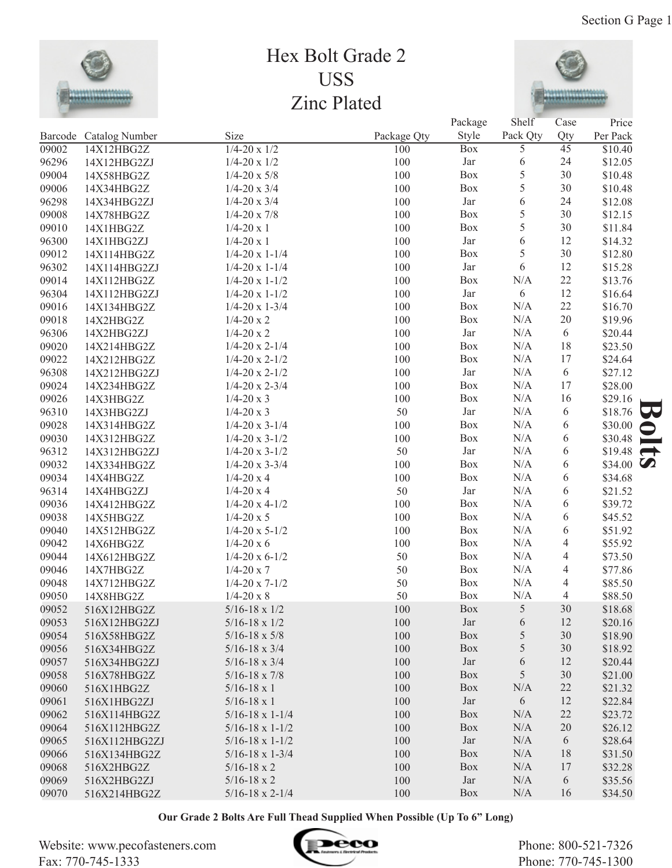

## Hex Bolt Grade 2 USS Zinc Plated



|       |                        |                            |             | Package    | Shelf           | Case            | Price                    |
|-------|------------------------|----------------------------|-------------|------------|-----------------|-----------------|--------------------------|
|       | Barcode Catalog Number | Size                       | Package Qty | Style      | Pack Qty        | Qty             | Per Pack                 |
| 09002 | 14X12HBG2Z             | $1/4 - 20 \times 1/2$      | 100         | <b>Box</b> | $\overline{5}$  | $\overline{45}$ | \$10.40                  |
| 96296 | 14X12HBG2ZJ            | $1/4 - 20 \times 1/2$      | 100         | Jar        | 6               | 24              | \$12.05                  |
| 09004 | 14X58HBG2Z             | $1/4 - 20 \times 5/8$      | 100         | Box        | $\sqrt{5}$      | 30              | \$10.48                  |
| 09006 | 14X34HBG2Z             | $1/4 - 20 \times 3/4$      | 100         | Box        | 5               | 30              | \$10.48                  |
| 96298 | 14X34HBG2ZJ            | $1/4 - 20 \times 3/4$      | 100         | Jar        | 6               | 24              | \$12.08                  |
| 09008 | 14X78HBG2Z             | $1/4 - 20 \times 7/8$      | 100         | Box        | $\sqrt{5}$      | 30              | \$12.15                  |
| 09010 | 14X1HBG2Z              | $1/4 - 20 \times 1$        | 100         | Box        | 5               | 30              | \$11.84                  |
| 96300 | 14X1HBG2ZJ             | $1/4 - 20 \times 1$        | 100         | Jar        | 6               | 12              | \$14.32                  |
| 09012 | 14X114HBG2Z            | $1/4 - 20 \times 1 - 1/4$  | 100         | Box        | 5               | 30              | \$12.80                  |
| 96302 | 14X114HBG2ZJ           | $1/4 - 20 \times 1 - 1/4$  | 100         | Jar        | 6               | 12              | \$15.28                  |
| 09014 | 14X112HBG2Z            | $1/4 - 20 \times 1 - 1/2$  | 100         | Box        | N/A             | 22              | \$13.76                  |
| 96304 | 14X112HBG2ZJ           | $1/4 - 20 \times 1 - 1/2$  | 100         | Jar        | 6               | 12              | \$16.64                  |
| 09016 | 14X134HBG2Z            | $1/4 - 20 \times 1 - 3/4$  | 100         | Box        | N/A             | 22              | \$16.70                  |
| 09018 | 14X2HBG2Z              | $1/4 - 20x2$               | 100         | Box        | N/A             | 20              | \$19.96                  |
| 96306 | 14X2HBG2ZJ             | $1/4 - 20x2$               | 100         | Jar        | N/A             | 6               | \$20.44                  |
| 09020 | 14X214HBG2Z            | $1/4 - 20 \times 2 - 1/4$  | 100         | Box        | N/A             | 18              | \$23.50                  |
| 09022 | 14X212HBG2Z            | $1/4 - 20 \times 2 - 1/2$  | 100         | Box        | N/A             | 17              | \$24.64                  |
| 96308 | 14X212HBG2ZJ           | $1/4 - 20 \times 2 - 1/2$  | 100         | Jar        | N/A             | 6               | \$27.12                  |
| 09024 | 14X234HBG2Z            | $1/4 - 20 \times 2 - 3/4$  | 100         | Box        | N/A             | 17              | \$28.00                  |
| 09026 | 14X3HBG2Z              | $1/4 - 20 \times 3$        | 100         | Box        | N/A             | 16              | \$29.16                  |
| 96310 | 14X3HBG2ZJ             | $1/4 - 20 \times 3$        | 50          | Jar        | N/A             | 6               | \$18.76<br>79            |
| 09028 | 14X314HBG2Z            | $1/4 - 20 \times 3 - 1/4$  | 100         | Box        | $\rm N/A$       | 6               | \$30.00<br>$\Rightarrow$ |
| 09030 | 14X312HBG2Z            | $1/4 - 20 \times 3 - 1/2$  | 100         | Box        | $\rm N/A$       | 6               | \$30.48<br>÷             |
| 96312 | 14X312HBG2ZJ           | $1/4 - 20 \times 3 - 1/2$  | 50          | Jar        | $\rm N/A$       | 6               | \$19.48<br>$\rightarrow$ |
| 09032 | 14X334HBG2Z            | $1/4 - 20 \times 3 - 3/4$  | 100         | Box        | $\rm N/A$       | 6               | \$34.00 $\bullet$        |
| 09034 | 14X4HBG2Z              | $1/4 - 20x4$               | 100         | Box        | N/A             | 6               | \$34.68                  |
| 96314 | 14X4HBG2ZJ             | $1/4 - 20x4$               | 50          | Jar        | N/A             | 6               | \$21.52                  |
| 09036 | 14X412HBG2Z            | $1/4 - 20 \times 4 - 1/2$  | 100         | Box        | N/A             | 6               | \$39.72                  |
| 09038 | 14X5HBG2Z              | $1/4 - 20 \times 5$        | 100         | Box        | N/A             | 6               | \$45.52                  |
| 09040 | 14X512HBG2Z            | $1/4 - 20 \times 5 - 1/2$  | 100         | Box        | N/A             | 6               | \$51.92                  |
| 09042 | 14X6HBG2Z              | $1/4 - 20x6$               | 100         | Box        | N/A             | $\overline{4}$  | \$55.92                  |
| 09044 | 14X612HBG2Z            | $1/4 - 20 \times 6 - 1/2$  | 50          | Box        | N/A             | $\overline{4}$  | \$73.50                  |
| 09046 | 14X7HBG2Z              | $1/4 - 20 \times 7$        | 50          | Box        | N/A             | $\overline{4}$  | \$77.86                  |
| 09048 | 14X712HBG2Z            | $1/4 - 20 \times 7 - 1/2$  | 50          | Box        | N/A             | 4               | \$85.50                  |
| 09050 | 14X8HBG2Z              | $1/4 - 20 \times 8$        | 50          | Box        | N/A             | 4               | \$88.50                  |
| 09052 | 516X12HBG2Z            | $5/16 - 18 \times 1/2$     | $100\,$     | Box        | $5\overline{)}$ | $30\,$          | \$18.68                  |
| 09053 | 516X12HBG2ZJ           | $5/16 - 18 \times 1/2$     | 100         | Jar        | 6               | 12              | \$20.16                  |
| 09054 | 516X58HBG2Z            | $5/16 - 18 \times 5/8$     | 100         | Box        | 5               | 30              | \$18.90                  |
| 09056 | 516X34HBG2Z            | $5/16 - 18 \times 3/4$     | 100         | Box        | 5               | 30              | \$18.92                  |
| 09057 | 516X34HBG2ZJ           | $5/16 - 18 \times 3/4$     | 100         | Jar        | 6               | 12              | \$20.44                  |
| 09058 | 516X78HBG2Z            | $5/16 - 18 \times 7/8$     | 100         | Box        | 5               | 30              | \$21.00                  |
| 09060 | 516X1HBG2Z             | $5/16 - 18 \times 1$       | 100         | Box        | N/A             | 22              | \$21.32                  |
| 09061 | 516X1HBG2ZJ            | $5/16 - 18 \times 1$       | 100         | Jar        | 6               | 12              | \$22.84                  |
| 09062 | 516X114HBG2Z           | $5/16 - 18 \times 1 - 1/4$ | 100         | Box        | N/A             | $22\,$          | \$23.72                  |
| 09064 | 516X112HBG2Z           | $5/16 - 18 \times 1 - 1/2$ | 100         | Box        | N/A             | 20              | \$26.12                  |
| 09065 | 516X112HBG2ZJ          | $5/16 - 18 \times 1 - 1/2$ | 100         | Jar        | N/A             | 6               | \$28.64                  |
| 09066 | 516X134HBG2Z           | $5/16 - 18 \times 1 - 3/4$ | 100         | Box        | N/A             | 18              | \$31.50                  |
| 09068 | 516X2HBG2Z             | $5/16 - 18 \times 2$       | 100         | Box        | N/A             | 17              | \$32.28                  |
| 09069 | 516X2HBG2ZJ            | $5/16 - 18 \times 2$       | 100         | Jar        | N/A             | 6               | \$35.56                  |
| 09070 | 516X214HBG2Z           | $5/16 - 18 \times 2 - 1/4$ | 100         | Box        | N/A             | 16              | \$34.50                  |

**Our Grade 2 Bolts Are Full Thead Supplied When Possible (Up To 6" Long)**

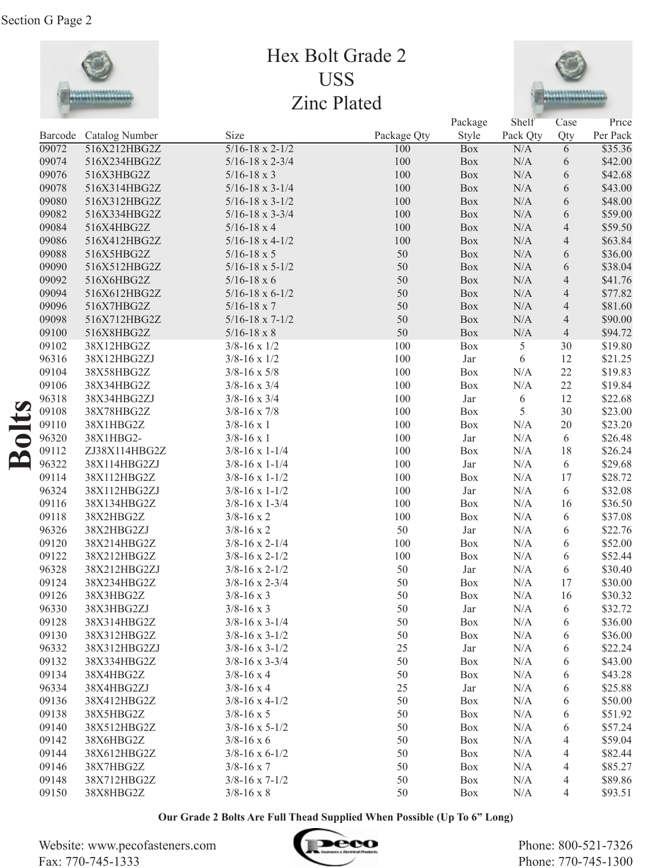

## Hex Bolt Grade 2 USS Zinc Plated



|                                 |       |                        |                            |             | Package | Shelf     | Case                     | Price    |
|---------------------------------|-------|------------------------|----------------------------|-------------|---------|-----------|--------------------------|----------|
|                                 |       | Barcode Catalog Number | Size                       | Package Qty | Style   | Pack Qty  | Qty                      | Per Pack |
|                                 | 09072 | 516X212HBG2Z           | $5/16 - 18 \times 2 - 1/2$ | 100         | Box     | N/A       | 6                        | \$35.36  |
|                                 | 09074 | 516X234HBG2Z           | $5/16 - 18 \times 2 - 3/4$ | 100         | Box     | N/A       | 6                        | \$42.00  |
|                                 | 09076 | 516X3HBG2Z             | $5/16 - 18 \times 3$       | 100         | Box     | $\rm N/A$ | 6                        | \$42.68  |
|                                 | 09078 | 516X314HBG2Z           | $5/16 - 18 \times 3 - 1/4$ | 100         | Box     | $\rm N/A$ | 6                        | \$43.00  |
|                                 | 09080 | 516X312HBG2Z           | $5/16 - 18 \times 3 - 1/2$ | 100         | Box     | $\rm N/A$ | $\sqrt{6}$               | \$48.00  |
|                                 | 09082 | 516X334HBG2Z           | $5/16 - 18 \times 3 - 3/4$ | 100         | Box     | $\rm N/A$ | $\sqrt{6}$               | \$59.00  |
|                                 | 09084 | 516X4HBG2Z             | $5/16 - 18 \times 4$       | 100         | Box     | $\rm N/A$ | $\overline{\mathcal{L}}$ | \$59.50  |
|                                 | 09086 | 516X412HBG2Z           | $5/16 - 18 \times 4 - 1/2$ | 100         | Box     | $\rm N/A$ | $\overline{\mathcal{A}}$ | \$63.84  |
|                                 | 09088 | 516X5HBG2Z             | $5/16 - 18 \times 5$       | 50          | Box     | $\rm N/A$ | 6                        | \$36.00  |
|                                 | 09090 | 516X512HBG2Z           | $5/16 - 18 \times 5 - 1/2$ | 50          | Box     | $\rm N/A$ | 6                        | \$38.04  |
|                                 | 09092 | 516X6HBG2Z             | $5/16 - 18 \times 6$       | 50          | Box     | $\rm N/A$ | $\overline{\mathcal{L}}$ | \$41.76  |
|                                 | 09094 | 516X612HBG2Z           | $5/16 - 18 \times 6 - 1/2$ | 50          | Box     | $\rm N/A$ | 4                        | \$77.82  |
|                                 | 09096 | 516X7HBG2Z             | $5/16 - 18 \times 7$       | 50          | Box     | $\rm N/A$ | 4                        | \$81.60  |
|                                 | 09098 | 516X712HBG2Z           | $5/16 - 18 \times 7 - 1/2$ | 50          | Box     | $\rm N/A$ | 4                        | \$90.00  |
|                                 | 09100 | 516X8HBG2Z             | $5/16 - 18 \times 8$       | 50          | Box     | $\rm N/A$ | $\overline{4}$           | \$94.72  |
|                                 | 09102 | 38X12HBG2Z             | $3/8 - 16 \times 1/2$      | 100         | Box     | 5         | 30                       | \$19.80  |
|                                 | 96316 | 38X12HBG2ZJ            | $3/8 - 16 \times 1/2$      | 100         | Jar     | 6         | 12                       | \$21.25  |
|                                 | 09104 | 38X58HBG2Z             | $3/8 - 16 \times 5/8$      | 100         | Box     | N/A       | 22                       | \$19.83  |
|                                 | 09106 | 38X34HBG2Z             | $3/8 - 16 \times 3/4$      | 100         | Box     | N/A       | 22                       | \$19.84  |
|                                 | 96318 | 38X34HBG2ZJ            | $3/8 - 16 \times 3/4$      | 100         | Jar     | 6         | 12                       | \$22.68  |
|                                 | 09108 | 38X78HBG2Z             | $3/8 - 16 \times 7/8$      | 100         | Box     | 5         | 30                       | \$23.00  |
|                                 | 09110 | 38X1HBG2Z              | $3/8 - 16 \times 1$        | 100         | Box     | N/A       | 20                       | \$23.20  |
| $\frac{1}{5}$                   | 96320 | 38X1HBG2-              | $3/8 - 16 \times 1$        | 100         | Jar     | $\rm N/A$ | 6                        | \$26.48  |
|                                 | 09112 | ZJ38X114HBG2Z          | $3/8 - 16 \times 1 - 1/4$  | 100         | Box     | N/A       | 18                       | \$26.24  |
| $\mathbf{\underline{\upalpha}}$ | 96322 | 38X114HBG2ZJ           | $3/8 - 16 \times 1 - 1/4$  | 100         | Jar     | $\rm N/A$ | $\sqrt{6}$               | \$29.68  |
|                                 | 09114 | 38X112HBG2Z            | $3/8 - 16 \times 1 - 1/2$  | 100         | Box     | N/A       | 17                       | \$28.72  |
|                                 | 96324 | 38X112HBG2ZJ           | $3/8 - 16 \times 1 - 1/2$  | 100         | Jar     | N/A       | 6                        | \$32.08  |
|                                 | 09116 | 38X134HBG2Z            | $3/8 - 16 \times 1 - 3/4$  | 100         | Box     | N/A       | 16                       | \$36.50  |
|                                 | 09118 | 38X2HBG2Z              | $3/8 - 16 \times 2$        | 100         | Box     | N/A       | 6                        | \$37.08  |
|                                 | 96326 | 38X2HBG2ZJ             | $3/8 - 16 \times 2$        | 50          | Jar     | N/A       | 6                        | \$22.76  |
|                                 | 09120 | 38X214HBG2Z            | $3/8 - 16 \times 2 - 1/4$  | 100         | Box     | N/A       | 6                        | \$52.00  |
|                                 | 09122 | 38X212HBG2Z            | $3/8 - 16 \times 2 - 1/2$  | 100         | Box     | N/A       | 6                        | \$52.44  |
|                                 | 96328 | 38X212HBG2ZJ           | $3/8 - 16 \times 2 - 1/2$  | 50          | Jar     | N/A       | 6                        | \$30.40  |
|                                 | 09124 | 38X234HBG2Z            | $3/8 - 16 \times 2 - 3/4$  | 50          | Box     | N/A       | 17                       | \$30.00  |
|                                 | 09126 | 38X3HBG2Z              | $3/8 - 16 \times 3$        | 50          | Box     | N/A       | 16                       | \$30.32  |
|                                 | 96330 | 38X3HBG2ZJ             | $3/8 - 16 \times 3$        | 50          | Jar     | N/A       | 6                        | \$32.72  |
|                                 | 09128 | 38X314HBG2Z            | $3/8 - 16 \times 3 - 1/4$  | 50          | Box     | N/A       | 6                        | \$36.00  |
|                                 | 09130 | 38X312HBG2Z            | $3/8 - 16 \times 3 - 1/2$  | 50          | Box     | N/A       | 6                        | \$36.00  |
|                                 | 96332 | 38X312HBG2ZJ           | $3/8 - 16 \times 3 - 1/2$  | 25          | Jar     | N/A       | 6                        | \$22.24  |
|                                 | 09132 | 38X334HBG2Z            | $3/8 - 16 \times 3 - 3/4$  | 50          | Box     | N/A       | 6                        | \$43.00  |
|                                 | 09134 | 38X4HBG2Z              | $3/8 - 16 \times 4$        | 50          | Box     | N/A       | 6                        | \$43.28  |
|                                 | 96334 | 38X4HBG2ZJ             | $3/8 - 16 \times 4$        | 25          | Jar     | N/A       | 6                        | \$25.88  |
|                                 | 09136 | 38X412HBG2Z            | $3/8 - 16 \times 4 - 1/2$  | 50          | Box     | N/A       |                          | \$50.00  |
|                                 | 09138 | 38X5HBG2Z              | $3/8 - 16 \times 5$        | 50          | Box     | N/A       | 6<br>6                   | \$51.92  |
|                                 | 09140 | 38X512HBG2Z            | $3/8 - 16 \times 5 - 1/2$  | 50          | Box     | N/A       |                          | \$57.24  |
|                                 | 09142 |                        |                            | 50          |         |           | 6                        | \$59.04  |
|                                 | 09144 | 38X6HBG2Z              | $3/8 - 16 \times 6$        | 50          | Box     | N/A       | 4                        | \$82.44  |
|                                 | 09146 | 38X612HBG2Z            | $3/8 - 16 \times 6 - 1/2$  |             | Box     | N/A       | 4                        |          |
|                                 | 09148 | 38X7HBG2Z              | $3/8 - 16 \times 7$        | 50          | Box     | N/A       | 4                        | \$85.27  |
|                                 |       | 38X712HBG2Z            | $3/8 - 16 \times 7 - 1/2$  | 50          | Box     | N/A       | 4                        | \$89.86  |
|                                 | 09150 | 38X8HBG2Z              | $3/8 - 16 \times 8$        | 50          | Box     | N/A       | 4                        | \$93.51  |

Website: www.pecofasteners.com Fax: 770-745-1333

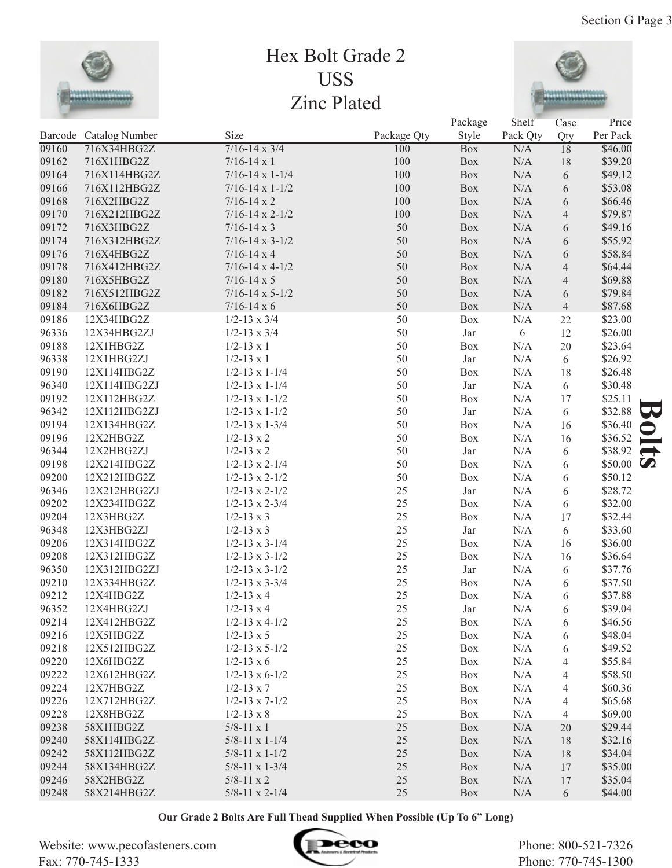

## Hex Bolt Grade 2 USS Zinc Plated



 $D_0$  also a  $\alpha$ 

|       |                        |                            |             | Package    | Shelf     | Case           | Price             |
|-------|------------------------|----------------------------|-------------|------------|-----------|----------------|-------------------|
|       | Barcode Catalog Number | Size                       | Package Qty | Style      | Pack Qty  | Qty            | Per Pack          |
| 09160 | 716X34HBG2Z            | $7/16 - 14 \times 3/4$     | 100         | <b>Box</b> | N/A       | 18             | \$46.00           |
| 09162 | 716X1HBG2Z             | $7/16 - 14 \times 1$       | 100         | Box        | N/A       | 18             | \$39.20           |
| 09164 | 716X114HBG2Z           | $7/16 - 14 \times 1 - 1/4$ | 100         | Box        | N/A       | 6              | \$49.12           |
| 09166 | 716X112HBG2Z           | $7/16 - 14 \times 1 - 1/2$ | 100         | Box        | N/A       | 6              | \$53.08           |
| 09168 | 716X2HBG2Z             | $7/16 - 14 \times 2$       | 100         | Box        | N/A       | 6              | \$66.46           |
| 09170 | 716X212HBG2Z           | $7/16 - 14 \times 2 - 1/2$ | 100         | Box        | N/A       | $\overline{4}$ | \$79.87           |
| 09172 | 716X3HBG2Z             | $7/16 - 14 \times 3$       | 50          | Box        | N/A       | 6              | \$49.16           |
| 09174 | 716X312HBG2Z           | $7/16 - 14 \times 3 - 1/2$ | 50          | Box        | N/A       | 6              | \$55.92           |
| 09176 | 716X4HBG2Z             | $7/16 - 14 \times 4$       | 50          | Box        | N/A       | 6              | \$58.84           |
| 09178 | 716X412HBG2Z           | $7/16 - 14 \times 4 - 1/2$ | 50          | Box        | N/A       | $\overline{4}$ | \$64.44           |
| 09180 | 716X5HBG2Z             | $7/16 - 14 \times 5$       | 50          | Box        | N/A       | $\overline{4}$ | \$69.88           |
| 09182 | 716X512HBG2Z           | $7/16 - 14 \times 5 - 1/2$ | 50          | Box        | N/A       | 6              | \$79.84           |
| 09184 | 716X6HBG2Z             | $7/16 - 14 \times 6$       | 50          | Box        | N/A       | $\overline{4}$ | \$87.68           |
| 09186 | 12X34HBG2Z             | $1/2 - 13 \times 3/4$      | 50          | Box        | N/A       | 22             | \$23.00           |
| 96336 | 12X34HBG2ZJ            | $1/2 - 13 \times 3/4$      | 50          | Jar        | 6         | 12             | \$26.00           |
| 09188 | 12X1HBG2Z              | $1/2 - 13 \times 1$        | 50          | Box        | N/A       | 20             | \$23.64           |
| 96338 | 12X1HBG2ZJ             | $1/2 - 13 \times 1$        | 50          | Jar        | N/A       | 6              | \$26.92           |
| 09190 | 12X114HBG2Z            | $1/2 - 13 \times 1 - 1/4$  | 50          | Box        | N/A       | 18             | \$26.48           |
| 96340 | 12X114HBG2ZJ           | $1/2 - 13 \times 1 - 1/4$  | 50          | Jar        | N/A       | 6              | \$30.48           |
| 09192 | 12X112HBG2Z            | $1/2 - 13 \times 1 - 1/2$  | 50          | Box        | N/A       | 17             | \$25.11           |
| 96342 | 12X112HBG2ZJ           | $1/2 - 13 \times 1 - 1/2$  | 50          | Jar        | N/A       | 6              | \$32.88<br>53     |
| 09194 | 12X134HBG2Z            | $1/2 - 13 \times 1 - 3/4$  | 50          | Box        | N/A       | 16             | \$36.40           |
| 09196 | 12X2HBG2Z              | $1/2 - 13 \times 2$        | 50          | Box        | N/A       | 16             | \$36.52           |
| 96344 | 12X2HBG2ZJ             | $1/2 - 13 \times 2$        | 50          | Jar        | N/A       | 6              | \$38.92           |
| 09198 | 12X214HBG2Z            | $1/2 - 13 \times 2 - 1/4$  | 50          | Box        | N/A       | 6              | \$50.00 $\bullet$ |
| 09200 | 12X212HBG2Z            | $1/2 - 13 \times 2 - 1/2$  | 50          | Box        | N/A       | 6              | \$50.12           |
| 96346 | 12X212HBG2ZJ           | $1/2 - 13 \times 2 - 1/2$  | 25          | Jar        | N/A       | 6              | \$28.72           |
| 09202 | 12X234HBG2Z            | $1/2 - 13 \times 2 - 3/4$  | 25          | Box        | N/A       | 6              | \$32.00           |
| 09204 | 12X3HBG2Z              | $1/2 - 13 \times 3$        | 25          | Box        | N/A       | 17             | \$32.44           |
| 96348 | 12X3HBG2ZJ             | $1/2 - 13 \times 3$        | 25          | Jar        | N/A       | 6              | \$33.60           |
| 09206 | 12X314HBG2Z            | $1/2 - 13 \times 3 - 1/4$  | 25          | Box        | N/A       | 16             | \$36.00           |
| 09208 | 12X312HBG2Z            | $1/2 - 13 \times 3 - 1/2$  | 25          | Box        | N/A       | 16             | \$36.64           |
| 96350 | 12X312HBG2ZJ           | $1/2 - 13 \times 3 - 1/2$  | 25          | Jar        | N/A       | 6              | \$37.76           |
| 09210 | 12X334HBG2Z            | $1/2 - 13 \times 3 - 3/4$  | 25          | Box        | N/A       |                | \$37.50           |
| 09212 | 12X4HBG2Z              | $1/2 - 13 \times 4$        | 25          | Box        | N/A       | 6<br>6         | \$37.88           |
| 96352 | 12X4HBG2ZJ             | $1/2 - 13 \times 4$        | 25          |            | $\rm N/A$ |                | \$39.04           |
| 09214 | 12X412HBG2Z            | $1/2 - 13 \times 4 - 1/2$  | 25          | Jar        | N/A       | 6              |                   |
| 09216 | 12X5HBG2Z              |                            | 25          | Box        | N/A       | 6              | \$46.56           |
| 09218 | 12X512HBG2Z            | $1/2 - 13 \times 5$        | 25          | Box        | N/A       | 6              | \$48.04           |
|       |                        | $1/2 - 13 \times 5 - 1/2$  |             | Box        |           | 6              | \$49.52           |
| 09220 | 12X6HBG2Z              | $1/2 - 13 \times 6$        | 25          | Box        | N/A       | 4              | \$55.84           |
| 09222 | 12X612HBG2Z            | $1/2 - 13 \times 6 - 1/2$  | 25          | Box        | N/A       | 4              | \$58.50           |
| 09224 | 12X7HBG2Z              | $1/2 - 13 \times 7$        | 25          | Box        | N/A       | 4              | \$60.36           |
| 09226 | 12X712HBG2Z            | $1/2 - 13 \times 7 - 1/2$  | 25          | Box        | N/A       | 4              | \$65.68           |
| 09228 | 12X8HBG2Z              | $1/2 - 13 \times 8$        | 25          | Box        | N/A       | 4              | \$69.00           |
| 09238 | 58X1HBG2Z              | $5/8 - 11 \times 1$        | 25          | Box        | N/A       | 20             | \$29.44           |
| 09240 | 58X114HBG2Z            | $5/8 - 11 \times 1 - 1/4$  | 25          | Box        | N/A       | 18             | \$32.16           |
| 09242 | 58X112HBG2Z            | $5/8-11 \times 1-1/2$      | 25          | Box        | N/A       | 18             | \$34.04           |
| 09244 | 58X134HBG2Z            | $5/8 - 11 \times 1 - 3/4$  | 25          | Box        | N/A       | 17             | \$35.00           |
| 09246 | 58X2HBG2Z              | $5/8 - 11 \times 2$        | 25          | Box        | N/A       | 17             | \$35.04           |
| 09248 | 58X214HBG2Z            | $5/8 - 11 \times 2 - 1/4$  | 25          | Box        | N/A       | 6              | \$44.00           |

**Our Grade 2 Bolts Are Full Thead Supplied When Possible (Up To 6" Long)**

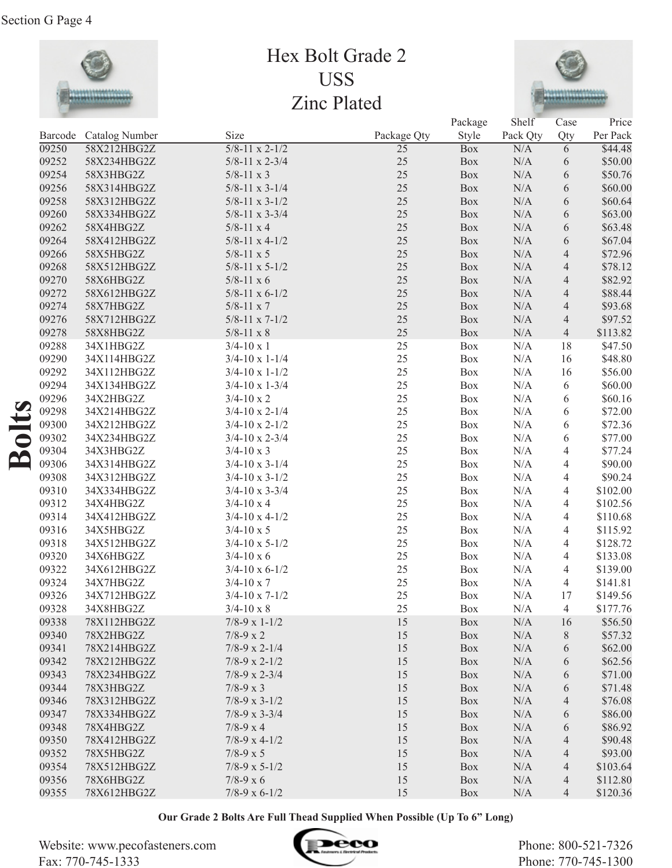

## Hex Bolt Grade 2 USS Zinc Plated



| Size<br>Style<br>Per Pack<br>Barcode Catalog Number<br>Package Qty<br>Pack Qty<br>Qty<br>09250<br>58X212HBG2Z<br>$5/8 - 11 \times 2 - 1/2$<br>$\overline{25}$<br>N/A<br>\$44.48<br><b>Box</b><br>$6\overline{6}$<br>\$50.00<br>09252<br>$5/8 - 11 \times 2 - 3/4$<br>$25\,$<br>$\rm N/A$<br>58X234HBG2Z<br>Box<br>6<br>25<br>09254<br>Box<br>N/A<br>$\sqrt{6}$<br>\$50.76<br>58X3HBG2Z<br>$5/8 - 11 \times 3$<br>25<br>N/A<br>09256<br>$5/8 - 11 \times 3 - 1/4$<br>Box<br>$\sqrt{6}$<br>\$60.00<br>58X314HBG2Z<br>25<br>N/A<br>09258<br>58X312HBG2Z<br>$5/8 - 11 \times 3 - 1/2$<br>Box<br>$\sqrt{6}$<br>\$60.64<br>25<br>09260<br>Box<br>N/A<br>$\sqrt{6}$<br>\$63.00<br>58X334HBG2Z<br>$5/8 - 11 \times 3 - 3/4$<br>25<br>09262<br>Box<br>N/A<br>$\sqrt{6}$<br>\$63.48<br>58X4HBG2Z<br>$5/8 - 11 \times 4$<br>25<br>09264<br>$5/8 - 11 \times 4 - 1/2$<br>$\rm N/A$<br>$\sqrt{6}$<br>\$67.04<br>58X412HBG2Z<br>Box<br>25<br>$\rm N/A$<br>09266<br>$\overline{4}$<br>\$72.96<br>58X5HBG2Z<br>$5/8 - 11 \times 5$<br>Box<br>25<br>$\rm N/A$<br>09268<br>$\overline{4}$<br>\$78.12<br>58X512HBG2Z<br>$5/8 - 11 \times 5 - 1/2$<br>Box<br>25<br>$\rm N/A$<br>\$82.92<br>09270<br>$5/8 - 11 \times 6$<br>$\overline{4}$<br>58X6HBG2Z<br>Box<br>25<br>$\rm N/A$<br>09272<br>$5/8 - 11 \times 6 - 1/2$<br>Box<br>$\overline{4}$<br>\$88.44<br>58X612HBG2Z<br>25<br>$\rm N/A$<br>09274<br>Box<br>$\overline{4}$<br>\$93.68<br>58X7HBG2Z<br>$5/8 - 11 \times 7$<br>25<br>$\rm N/A$<br>09276<br>Box<br>$\overline{4}$<br>\$97.52<br>58X712HBG2Z<br>$5/8 - 11 \times 7 - 1/2$<br>25<br>N/A<br>09278<br>58X8HBG2Z<br>Box<br>$\overline{4}$<br>\$113.82<br>$5/8 - 11 \times 8$<br>25<br>\$47.50<br>09288<br>N/A<br>18<br>34X1HBG2Z<br>$3/4 - 10 \times 1$<br>Box<br>25<br>\$48.80<br>09290<br>N/A<br>16<br>34X114HBG2Z<br>$3/4 - 10 \times 1 - 1/4$<br>Box<br>25<br>09292<br>34X112HBG2Z<br>Box<br>N/A<br>16<br>\$56.00<br>$3/4 - 10 \times 1 - 1/2$<br>25<br>09294<br>Box<br>N/A<br>6<br>\$60.00<br>34X134HBG2Z<br>$3/4 - 10 \times 1 - 3/4$<br>25<br>09296<br>34X2HBG2Z<br>Box<br>N/A<br>6<br>\$60.16<br>$3/4 - 10 \times 2$<br>25<br>09298<br>\$72.00<br>34X214HBG2Z<br>Box<br>N/A<br>6<br>$3/4 - 10 \times 2 - 1/4$<br>$\overline{\mathbf{a}}$<br>25<br>09300<br>34X212HBG2Z<br>Box<br>N/A<br>6<br>\$72.36<br>$3/4 - 10 \times 2 - 1/2$<br>25<br>09302<br>34X234HBG2Z<br>Box<br>N/A<br>6<br>\$77.00<br>$3/4 - 10 \times 2 - 3/4$<br>25<br>N/A<br>09304<br>$\overline{4}$<br>\$77.24<br>34X3HBG2Z<br>$3/4 - 10 \times 3$<br>Box<br>$\mathbf{\underline{\alpha}}$<br>25<br>09306<br>N/A<br>$\overline{4}$<br>\$90.00<br>34X314HBG2Z<br>$3/4 - 10 \times 3 - 1/4$<br>Box<br>25<br>09308<br>N/A<br>$\overline{4}$<br>\$90.24<br>34X312HBG2Z<br>$3/4 - 10 \times 3 - 1/2$<br>Box<br>25<br>09310<br>N/A<br>$\overline{4}$<br>\$102.00<br>34X334HBG2Z<br>$3/4 - 10 \times 3 - 3/4$<br>Box<br>25<br>09312<br>N/A<br>$\overline{4}$<br>\$102.56<br>34X4HBG2Z<br>$3/4 - 10 \times 4$<br>Box<br>25<br>09314<br>N/A<br>$\overline{4}$<br>\$110.68<br>34X412HBG2Z<br>$3/4 - 10 \times 4 - 1/2$<br>Box<br>25<br>09316<br>N/A<br>$\overline{4}$<br>34X5HBG2Z<br>$3/4 - 10 \times 5$<br>Box<br>\$115.92<br>25<br>09318<br>N/A<br>$\overline{4}$<br>\$128.72<br>34X512HBG2Z<br>$3/4 - 10 \times 5 - 1/2$<br>Box<br>25<br>09320<br>N/A<br>\$133.08<br>34X6HBG2Z<br>$3/4 - 10 \times 6$<br>Box<br>4<br>25<br>09322<br>34X612HBG2Z<br>N/A<br>\$139.00<br>$3/4 - 10 \times 6 - 1/2$<br>Box<br>4<br>25<br>09324<br>N/A<br>\$141.81<br>34X7HBG2Z<br>$3/4 - 10 \times 7$<br>Box<br>4<br>25<br>09326<br>N/A<br>\$149.56<br>34X712HBG2Z<br>$3/4 - 10 \times 7 - 1/2$<br>Box<br>17<br>25<br>\$177.76<br>09328<br>34X8HBG2Z<br>$3/4 - 10 \times 8$<br>Box<br>$\rm N/A$<br>$\overline{4}$<br>09338<br>$\rm N/A$<br>\$56.50<br>78X112HBG2Z<br>$7/8-9 \times 1-1/2$<br>15<br>Box<br>16<br>09340<br>78X2HBG2Z<br>$7/8 - 9 \times 2$<br>15<br>N/A<br>$8\,$<br>\$57.32<br>Box<br>09341<br>78X214HBG2Z<br>$7/8-9 \times 2-1/4$<br>15<br>N/A<br>6<br>\$62.00<br><b>Box</b><br>09342<br>78X212HBG2Z<br>15<br>N/A<br>\$62.56<br>$7/8-9 \times 2-1/2$<br><b>Box</b><br>6 |       |             |                      |    | Package    | Shelf | Case | Price   |
|-----------------------------------------------------------------------------------------------------------------------------------------------------------------------------------------------------------------------------------------------------------------------------------------------------------------------------------------------------------------------------------------------------------------------------------------------------------------------------------------------------------------------------------------------------------------------------------------------------------------------------------------------------------------------------------------------------------------------------------------------------------------------------------------------------------------------------------------------------------------------------------------------------------------------------------------------------------------------------------------------------------------------------------------------------------------------------------------------------------------------------------------------------------------------------------------------------------------------------------------------------------------------------------------------------------------------------------------------------------------------------------------------------------------------------------------------------------------------------------------------------------------------------------------------------------------------------------------------------------------------------------------------------------------------------------------------------------------------------------------------------------------------------------------------------------------------------------------------------------------------------------------------------------------------------------------------------------------------------------------------------------------------------------------------------------------------------------------------------------------------------------------------------------------------------------------------------------------------------------------------------------------------------------------------------------------------------------------------------------------------------------------------------------------------------------------------------------------------------------------------------------------------------------------------------------------------------------------------------------------------------------------------------------------------------------------------------------------------------------------------------------------------------------------------------------------------------------------------------------------------------------------------------------------------------------------------------------------------------------------------------------------------------------------------------------------------------------------------------------------------------------------------------------------------------------------------------------------------------------------------------------------------------------------------------------------------------------------------------------------------------------------------------------------------------------------------------------------------------------------------------------------------------------------------------------------------------------------------------------------------------------------------------------------------------------------------------------------------------------------------------------------------------------------------------------------------------------------------------------------------------------------------------------------------------------------------------------------------------------------------------------------------------------------------------------------------------------------------------------------------------|-------|-------------|----------------------|----|------------|-------|------|---------|
|                                                                                                                                                                                                                                                                                                                                                                                                                                                                                                                                                                                                                                                                                                                                                                                                                                                                                                                                                                                                                                                                                                                                                                                                                                                                                                                                                                                                                                                                                                                                                                                                                                                                                                                                                                                                                                                                                                                                                                                                                                                                                                                                                                                                                                                                                                                                                                                                                                                                                                                                                                                                                                                                                                                                                                                                                                                                                                                                                                                                                                                                                                                                                                                                                                                                                                                                                                                                                                                                                                                                                                                                                                                                                                                                                                                                                                                                                                                                                                                                                                                                                                                             |       |             |                      |    |            |       |      |         |
|                                                                                                                                                                                                                                                                                                                                                                                                                                                                                                                                                                                                                                                                                                                                                                                                                                                                                                                                                                                                                                                                                                                                                                                                                                                                                                                                                                                                                                                                                                                                                                                                                                                                                                                                                                                                                                                                                                                                                                                                                                                                                                                                                                                                                                                                                                                                                                                                                                                                                                                                                                                                                                                                                                                                                                                                                                                                                                                                                                                                                                                                                                                                                                                                                                                                                                                                                                                                                                                                                                                                                                                                                                                                                                                                                                                                                                                                                                                                                                                                                                                                                                                             |       |             |                      |    |            |       |      |         |
|                                                                                                                                                                                                                                                                                                                                                                                                                                                                                                                                                                                                                                                                                                                                                                                                                                                                                                                                                                                                                                                                                                                                                                                                                                                                                                                                                                                                                                                                                                                                                                                                                                                                                                                                                                                                                                                                                                                                                                                                                                                                                                                                                                                                                                                                                                                                                                                                                                                                                                                                                                                                                                                                                                                                                                                                                                                                                                                                                                                                                                                                                                                                                                                                                                                                                                                                                                                                                                                                                                                                                                                                                                                                                                                                                                                                                                                                                                                                                                                                                                                                                                                             |       |             |                      |    |            |       |      |         |
|                                                                                                                                                                                                                                                                                                                                                                                                                                                                                                                                                                                                                                                                                                                                                                                                                                                                                                                                                                                                                                                                                                                                                                                                                                                                                                                                                                                                                                                                                                                                                                                                                                                                                                                                                                                                                                                                                                                                                                                                                                                                                                                                                                                                                                                                                                                                                                                                                                                                                                                                                                                                                                                                                                                                                                                                                                                                                                                                                                                                                                                                                                                                                                                                                                                                                                                                                                                                                                                                                                                                                                                                                                                                                                                                                                                                                                                                                                                                                                                                                                                                                                                             |       |             |                      |    |            |       |      |         |
|                                                                                                                                                                                                                                                                                                                                                                                                                                                                                                                                                                                                                                                                                                                                                                                                                                                                                                                                                                                                                                                                                                                                                                                                                                                                                                                                                                                                                                                                                                                                                                                                                                                                                                                                                                                                                                                                                                                                                                                                                                                                                                                                                                                                                                                                                                                                                                                                                                                                                                                                                                                                                                                                                                                                                                                                                                                                                                                                                                                                                                                                                                                                                                                                                                                                                                                                                                                                                                                                                                                                                                                                                                                                                                                                                                                                                                                                                                                                                                                                                                                                                                                             |       |             |                      |    |            |       |      |         |
|                                                                                                                                                                                                                                                                                                                                                                                                                                                                                                                                                                                                                                                                                                                                                                                                                                                                                                                                                                                                                                                                                                                                                                                                                                                                                                                                                                                                                                                                                                                                                                                                                                                                                                                                                                                                                                                                                                                                                                                                                                                                                                                                                                                                                                                                                                                                                                                                                                                                                                                                                                                                                                                                                                                                                                                                                                                                                                                                                                                                                                                                                                                                                                                                                                                                                                                                                                                                                                                                                                                                                                                                                                                                                                                                                                                                                                                                                                                                                                                                                                                                                                                             |       |             |                      |    |            |       |      |         |
|                                                                                                                                                                                                                                                                                                                                                                                                                                                                                                                                                                                                                                                                                                                                                                                                                                                                                                                                                                                                                                                                                                                                                                                                                                                                                                                                                                                                                                                                                                                                                                                                                                                                                                                                                                                                                                                                                                                                                                                                                                                                                                                                                                                                                                                                                                                                                                                                                                                                                                                                                                                                                                                                                                                                                                                                                                                                                                                                                                                                                                                                                                                                                                                                                                                                                                                                                                                                                                                                                                                                                                                                                                                                                                                                                                                                                                                                                                                                                                                                                                                                                                                             |       |             |                      |    |            |       |      |         |
|                                                                                                                                                                                                                                                                                                                                                                                                                                                                                                                                                                                                                                                                                                                                                                                                                                                                                                                                                                                                                                                                                                                                                                                                                                                                                                                                                                                                                                                                                                                                                                                                                                                                                                                                                                                                                                                                                                                                                                                                                                                                                                                                                                                                                                                                                                                                                                                                                                                                                                                                                                                                                                                                                                                                                                                                                                                                                                                                                                                                                                                                                                                                                                                                                                                                                                                                                                                                                                                                                                                                                                                                                                                                                                                                                                                                                                                                                                                                                                                                                                                                                                                             |       |             |                      |    |            |       |      |         |
|                                                                                                                                                                                                                                                                                                                                                                                                                                                                                                                                                                                                                                                                                                                                                                                                                                                                                                                                                                                                                                                                                                                                                                                                                                                                                                                                                                                                                                                                                                                                                                                                                                                                                                                                                                                                                                                                                                                                                                                                                                                                                                                                                                                                                                                                                                                                                                                                                                                                                                                                                                                                                                                                                                                                                                                                                                                                                                                                                                                                                                                                                                                                                                                                                                                                                                                                                                                                                                                                                                                                                                                                                                                                                                                                                                                                                                                                                                                                                                                                                                                                                                                             |       |             |                      |    |            |       |      |         |
|                                                                                                                                                                                                                                                                                                                                                                                                                                                                                                                                                                                                                                                                                                                                                                                                                                                                                                                                                                                                                                                                                                                                                                                                                                                                                                                                                                                                                                                                                                                                                                                                                                                                                                                                                                                                                                                                                                                                                                                                                                                                                                                                                                                                                                                                                                                                                                                                                                                                                                                                                                                                                                                                                                                                                                                                                                                                                                                                                                                                                                                                                                                                                                                                                                                                                                                                                                                                                                                                                                                                                                                                                                                                                                                                                                                                                                                                                                                                                                                                                                                                                                                             |       |             |                      |    |            |       |      |         |
|                                                                                                                                                                                                                                                                                                                                                                                                                                                                                                                                                                                                                                                                                                                                                                                                                                                                                                                                                                                                                                                                                                                                                                                                                                                                                                                                                                                                                                                                                                                                                                                                                                                                                                                                                                                                                                                                                                                                                                                                                                                                                                                                                                                                                                                                                                                                                                                                                                                                                                                                                                                                                                                                                                                                                                                                                                                                                                                                                                                                                                                                                                                                                                                                                                                                                                                                                                                                                                                                                                                                                                                                                                                                                                                                                                                                                                                                                                                                                                                                                                                                                                                             |       |             |                      |    |            |       |      |         |
|                                                                                                                                                                                                                                                                                                                                                                                                                                                                                                                                                                                                                                                                                                                                                                                                                                                                                                                                                                                                                                                                                                                                                                                                                                                                                                                                                                                                                                                                                                                                                                                                                                                                                                                                                                                                                                                                                                                                                                                                                                                                                                                                                                                                                                                                                                                                                                                                                                                                                                                                                                                                                                                                                                                                                                                                                                                                                                                                                                                                                                                                                                                                                                                                                                                                                                                                                                                                                                                                                                                                                                                                                                                                                                                                                                                                                                                                                                                                                                                                                                                                                                                             |       |             |                      |    |            |       |      |         |
|                                                                                                                                                                                                                                                                                                                                                                                                                                                                                                                                                                                                                                                                                                                                                                                                                                                                                                                                                                                                                                                                                                                                                                                                                                                                                                                                                                                                                                                                                                                                                                                                                                                                                                                                                                                                                                                                                                                                                                                                                                                                                                                                                                                                                                                                                                                                                                                                                                                                                                                                                                                                                                                                                                                                                                                                                                                                                                                                                                                                                                                                                                                                                                                                                                                                                                                                                                                                                                                                                                                                                                                                                                                                                                                                                                                                                                                                                                                                                                                                                                                                                                                             |       |             |                      |    |            |       |      |         |
|                                                                                                                                                                                                                                                                                                                                                                                                                                                                                                                                                                                                                                                                                                                                                                                                                                                                                                                                                                                                                                                                                                                                                                                                                                                                                                                                                                                                                                                                                                                                                                                                                                                                                                                                                                                                                                                                                                                                                                                                                                                                                                                                                                                                                                                                                                                                                                                                                                                                                                                                                                                                                                                                                                                                                                                                                                                                                                                                                                                                                                                                                                                                                                                                                                                                                                                                                                                                                                                                                                                                                                                                                                                                                                                                                                                                                                                                                                                                                                                                                                                                                                                             |       |             |                      |    |            |       |      |         |
|                                                                                                                                                                                                                                                                                                                                                                                                                                                                                                                                                                                                                                                                                                                                                                                                                                                                                                                                                                                                                                                                                                                                                                                                                                                                                                                                                                                                                                                                                                                                                                                                                                                                                                                                                                                                                                                                                                                                                                                                                                                                                                                                                                                                                                                                                                                                                                                                                                                                                                                                                                                                                                                                                                                                                                                                                                                                                                                                                                                                                                                                                                                                                                                                                                                                                                                                                                                                                                                                                                                                                                                                                                                                                                                                                                                                                                                                                                                                                                                                                                                                                                                             |       |             |                      |    |            |       |      |         |
|                                                                                                                                                                                                                                                                                                                                                                                                                                                                                                                                                                                                                                                                                                                                                                                                                                                                                                                                                                                                                                                                                                                                                                                                                                                                                                                                                                                                                                                                                                                                                                                                                                                                                                                                                                                                                                                                                                                                                                                                                                                                                                                                                                                                                                                                                                                                                                                                                                                                                                                                                                                                                                                                                                                                                                                                                                                                                                                                                                                                                                                                                                                                                                                                                                                                                                                                                                                                                                                                                                                                                                                                                                                                                                                                                                                                                                                                                                                                                                                                                                                                                                                             |       |             |                      |    |            |       |      |         |
|                                                                                                                                                                                                                                                                                                                                                                                                                                                                                                                                                                                                                                                                                                                                                                                                                                                                                                                                                                                                                                                                                                                                                                                                                                                                                                                                                                                                                                                                                                                                                                                                                                                                                                                                                                                                                                                                                                                                                                                                                                                                                                                                                                                                                                                                                                                                                                                                                                                                                                                                                                                                                                                                                                                                                                                                                                                                                                                                                                                                                                                                                                                                                                                                                                                                                                                                                                                                                                                                                                                                                                                                                                                                                                                                                                                                                                                                                                                                                                                                                                                                                                                             |       |             |                      |    |            |       |      |         |
|                                                                                                                                                                                                                                                                                                                                                                                                                                                                                                                                                                                                                                                                                                                                                                                                                                                                                                                                                                                                                                                                                                                                                                                                                                                                                                                                                                                                                                                                                                                                                                                                                                                                                                                                                                                                                                                                                                                                                                                                                                                                                                                                                                                                                                                                                                                                                                                                                                                                                                                                                                                                                                                                                                                                                                                                                                                                                                                                                                                                                                                                                                                                                                                                                                                                                                                                                                                                                                                                                                                                                                                                                                                                                                                                                                                                                                                                                                                                                                                                                                                                                                                             |       |             |                      |    |            |       |      |         |
|                                                                                                                                                                                                                                                                                                                                                                                                                                                                                                                                                                                                                                                                                                                                                                                                                                                                                                                                                                                                                                                                                                                                                                                                                                                                                                                                                                                                                                                                                                                                                                                                                                                                                                                                                                                                                                                                                                                                                                                                                                                                                                                                                                                                                                                                                                                                                                                                                                                                                                                                                                                                                                                                                                                                                                                                                                                                                                                                                                                                                                                                                                                                                                                                                                                                                                                                                                                                                                                                                                                                                                                                                                                                                                                                                                                                                                                                                                                                                                                                                                                                                                                             |       |             |                      |    |            |       |      |         |
|                                                                                                                                                                                                                                                                                                                                                                                                                                                                                                                                                                                                                                                                                                                                                                                                                                                                                                                                                                                                                                                                                                                                                                                                                                                                                                                                                                                                                                                                                                                                                                                                                                                                                                                                                                                                                                                                                                                                                                                                                                                                                                                                                                                                                                                                                                                                                                                                                                                                                                                                                                                                                                                                                                                                                                                                                                                                                                                                                                                                                                                                                                                                                                                                                                                                                                                                                                                                                                                                                                                                                                                                                                                                                                                                                                                                                                                                                                                                                                                                                                                                                                                             |       |             |                      |    |            |       |      |         |
|                                                                                                                                                                                                                                                                                                                                                                                                                                                                                                                                                                                                                                                                                                                                                                                                                                                                                                                                                                                                                                                                                                                                                                                                                                                                                                                                                                                                                                                                                                                                                                                                                                                                                                                                                                                                                                                                                                                                                                                                                                                                                                                                                                                                                                                                                                                                                                                                                                                                                                                                                                                                                                                                                                                                                                                                                                                                                                                                                                                                                                                                                                                                                                                                                                                                                                                                                                                                                                                                                                                                                                                                                                                                                                                                                                                                                                                                                                                                                                                                                                                                                                                             |       |             |                      |    |            |       |      |         |
|                                                                                                                                                                                                                                                                                                                                                                                                                                                                                                                                                                                                                                                                                                                                                                                                                                                                                                                                                                                                                                                                                                                                                                                                                                                                                                                                                                                                                                                                                                                                                                                                                                                                                                                                                                                                                                                                                                                                                                                                                                                                                                                                                                                                                                                                                                                                                                                                                                                                                                                                                                                                                                                                                                                                                                                                                                                                                                                                                                                                                                                                                                                                                                                                                                                                                                                                                                                                                                                                                                                                                                                                                                                                                                                                                                                                                                                                                                                                                                                                                                                                                                                             |       |             |                      |    |            |       |      |         |
|                                                                                                                                                                                                                                                                                                                                                                                                                                                                                                                                                                                                                                                                                                                                                                                                                                                                                                                                                                                                                                                                                                                                                                                                                                                                                                                                                                                                                                                                                                                                                                                                                                                                                                                                                                                                                                                                                                                                                                                                                                                                                                                                                                                                                                                                                                                                                                                                                                                                                                                                                                                                                                                                                                                                                                                                                                                                                                                                                                                                                                                                                                                                                                                                                                                                                                                                                                                                                                                                                                                                                                                                                                                                                                                                                                                                                                                                                                                                                                                                                                                                                                                             |       |             |                      |    |            |       |      |         |
|                                                                                                                                                                                                                                                                                                                                                                                                                                                                                                                                                                                                                                                                                                                                                                                                                                                                                                                                                                                                                                                                                                                                                                                                                                                                                                                                                                                                                                                                                                                                                                                                                                                                                                                                                                                                                                                                                                                                                                                                                                                                                                                                                                                                                                                                                                                                                                                                                                                                                                                                                                                                                                                                                                                                                                                                                                                                                                                                                                                                                                                                                                                                                                                                                                                                                                                                                                                                                                                                                                                                                                                                                                                                                                                                                                                                                                                                                                                                                                                                                                                                                                                             |       |             |                      |    |            |       |      |         |
|                                                                                                                                                                                                                                                                                                                                                                                                                                                                                                                                                                                                                                                                                                                                                                                                                                                                                                                                                                                                                                                                                                                                                                                                                                                                                                                                                                                                                                                                                                                                                                                                                                                                                                                                                                                                                                                                                                                                                                                                                                                                                                                                                                                                                                                                                                                                                                                                                                                                                                                                                                                                                                                                                                                                                                                                                                                                                                                                                                                                                                                                                                                                                                                                                                                                                                                                                                                                                                                                                                                                                                                                                                                                                                                                                                                                                                                                                                                                                                                                                                                                                                                             |       |             |                      |    |            |       |      |         |
|                                                                                                                                                                                                                                                                                                                                                                                                                                                                                                                                                                                                                                                                                                                                                                                                                                                                                                                                                                                                                                                                                                                                                                                                                                                                                                                                                                                                                                                                                                                                                                                                                                                                                                                                                                                                                                                                                                                                                                                                                                                                                                                                                                                                                                                                                                                                                                                                                                                                                                                                                                                                                                                                                                                                                                                                                                                                                                                                                                                                                                                                                                                                                                                                                                                                                                                                                                                                                                                                                                                                                                                                                                                                                                                                                                                                                                                                                                                                                                                                                                                                                                                             |       |             |                      |    |            |       |      |         |
|                                                                                                                                                                                                                                                                                                                                                                                                                                                                                                                                                                                                                                                                                                                                                                                                                                                                                                                                                                                                                                                                                                                                                                                                                                                                                                                                                                                                                                                                                                                                                                                                                                                                                                                                                                                                                                                                                                                                                                                                                                                                                                                                                                                                                                                                                                                                                                                                                                                                                                                                                                                                                                                                                                                                                                                                                                                                                                                                                                                                                                                                                                                                                                                                                                                                                                                                                                                                                                                                                                                                                                                                                                                                                                                                                                                                                                                                                                                                                                                                                                                                                                                             |       |             |                      |    |            |       |      |         |
|                                                                                                                                                                                                                                                                                                                                                                                                                                                                                                                                                                                                                                                                                                                                                                                                                                                                                                                                                                                                                                                                                                                                                                                                                                                                                                                                                                                                                                                                                                                                                                                                                                                                                                                                                                                                                                                                                                                                                                                                                                                                                                                                                                                                                                                                                                                                                                                                                                                                                                                                                                                                                                                                                                                                                                                                                                                                                                                                                                                                                                                                                                                                                                                                                                                                                                                                                                                                                                                                                                                                                                                                                                                                                                                                                                                                                                                                                                                                                                                                                                                                                                                             |       |             |                      |    |            |       |      |         |
|                                                                                                                                                                                                                                                                                                                                                                                                                                                                                                                                                                                                                                                                                                                                                                                                                                                                                                                                                                                                                                                                                                                                                                                                                                                                                                                                                                                                                                                                                                                                                                                                                                                                                                                                                                                                                                                                                                                                                                                                                                                                                                                                                                                                                                                                                                                                                                                                                                                                                                                                                                                                                                                                                                                                                                                                                                                                                                                                                                                                                                                                                                                                                                                                                                                                                                                                                                                                                                                                                                                                                                                                                                                                                                                                                                                                                                                                                                                                                                                                                                                                                                                             |       |             |                      |    |            |       |      |         |
|                                                                                                                                                                                                                                                                                                                                                                                                                                                                                                                                                                                                                                                                                                                                                                                                                                                                                                                                                                                                                                                                                                                                                                                                                                                                                                                                                                                                                                                                                                                                                                                                                                                                                                                                                                                                                                                                                                                                                                                                                                                                                                                                                                                                                                                                                                                                                                                                                                                                                                                                                                                                                                                                                                                                                                                                                                                                                                                                                                                                                                                                                                                                                                                                                                                                                                                                                                                                                                                                                                                                                                                                                                                                                                                                                                                                                                                                                                                                                                                                                                                                                                                             |       |             |                      |    |            |       |      |         |
|                                                                                                                                                                                                                                                                                                                                                                                                                                                                                                                                                                                                                                                                                                                                                                                                                                                                                                                                                                                                                                                                                                                                                                                                                                                                                                                                                                                                                                                                                                                                                                                                                                                                                                                                                                                                                                                                                                                                                                                                                                                                                                                                                                                                                                                                                                                                                                                                                                                                                                                                                                                                                                                                                                                                                                                                                                                                                                                                                                                                                                                                                                                                                                                                                                                                                                                                                                                                                                                                                                                                                                                                                                                                                                                                                                                                                                                                                                                                                                                                                                                                                                                             |       |             |                      |    |            |       |      |         |
|                                                                                                                                                                                                                                                                                                                                                                                                                                                                                                                                                                                                                                                                                                                                                                                                                                                                                                                                                                                                                                                                                                                                                                                                                                                                                                                                                                                                                                                                                                                                                                                                                                                                                                                                                                                                                                                                                                                                                                                                                                                                                                                                                                                                                                                                                                                                                                                                                                                                                                                                                                                                                                                                                                                                                                                                                                                                                                                                                                                                                                                                                                                                                                                                                                                                                                                                                                                                                                                                                                                                                                                                                                                                                                                                                                                                                                                                                                                                                                                                                                                                                                                             |       |             |                      |    |            |       |      |         |
|                                                                                                                                                                                                                                                                                                                                                                                                                                                                                                                                                                                                                                                                                                                                                                                                                                                                                                                                                                                                                                                                                                                                                                                                                                                                                                                                                                                                                                                                                                                                                                                                                                                                                                                                                                                                                                                                                                                                                                                                                                                                                                                                                                                                                                                                                                                                                                                                                                                                                                                                                                                                                                                                                                                                                                                                                                                                                                                                                                                                                                                                                                                                                                                                                                                                                                                                                                                                                                                                                                                                                                                                                                                                                                                                                                                                                                                                                                                                                                                                                                                                                                                             |       |             |                      |    |            |       |      |         |
|                                                                                                                                                                                                                                                                                                                                                                                                                                                                                                                                                                                                                                                                                                                                                                                                                                                                                                                                                                                                                                                                                                                                                                                                                                                                                                                                                                                                                                                                                                                                                                                                                                                                                                                                                                                                                                                                                                                                                                                                                                                                                                                                                                                                                                                                                                                                                                                                                                                                                                                                                                                                                                                                                                                                                                                                                                                                                                                                                                                                                                                                                                                                                                                                                                                                                                                                                                                                                                                                                                                                                                                                                                                                                                                                                                                                                                                                                                                                                                                                                                                                                                                             |       |             |                      |    |            |       |      |         |
|                                                                                                                                                                                                                                                                                                                                                                                                                                                                                                                                                                                                                                                                                                                                                                                                                                                                                                                                                                                                                                                                                                                                                                                                                                                                                                                                                                                                                                                                                                                                                                                                                                                                                                                                                                                                                                                                                                                                                                                                                                                                                                                                                                                                                                                                                                                                                                                                                                                                                                                                                                                                                                                                                                                                                                                                                                                                                                                                                                                                                                                                                                                                                                                                                                                                                                                                                                                                                                                                                                                                                                                                                                                                                                                                                                                                                                                                                                                                                                                                                                                                                                                             |       |             |                      |    |            |       |      |         |
|                                                                                                                                                                                                                                                                                                                                                                                                                                                                                                                                                                                                                                                                                                                                                                                                                                                                                                                                                                                                                                                                                                                                                                                                                                                                                                                                                                                                                                                                                                                                                                                                                                                                                                                                                                                                                                                                                                                                                                                                                                                                                                                                                                                                                                                                                                                                                                                                                                                                                                                                                                                                                                                                                                                                                                                                                                                                                                                                                                                                                                                                                                                                                                                                                                                                                                                                                                                                                                                                                                                                                                                                                                                                                                                                                                                                                                                                                                                                                                                                                                                                                                                             |       |             |                      |    |            |       |      |         |
|                                                                                                                                                                                                                                                                                                                                                                                                                                                                                                                                                                                                                                                                                                                                                                                                                                                                                                                                                                                                                                                                                                                                                                                                                                                                                                                                                                                                                                                                                                                                                                                                                                                                                                                                                                                                                                                                                                                                                                                                                                                                                                                                                                                                                                                                                                                                                                                                                                                                                                                                                                                                                                                                                                                                                                                                                                                                                                                                                                                                                                                                                                                                                                                                                                                                                                                                                                                                                                                                                                                                                                                                                                                                                                                                                                                                                                                                                                                                                                                                                                                                                                                             |       |             |                      |    |            |       |      |         |
|                                                                                                                                                                                                                                                                                                                                                                                                                                                                                                                                                                                                                                                                                                                                                                                                                                                                                                                                                                                                                                                                                                                                                                                                                                                                                                                                                                                                                                                                                                                                                                                                                                                                                                                                                                                                                                                                                                                                                                                                                                                                                                                                                                                                                                                                                                                                                                                                                                                                                                                                                                                                                                                                                                                                                                                                                                                                                                                                                                                                                                                                                                                                                                                                                                                                                                                                                                                                                                                                                                                                                                                                                                                                                                                                                                                                                                                                                                                                                                                                                                                                                                                             |       |             |                      |    |            |       |      |         |
|                                                                                                                                                                                                                                                                                                                                                                                                                                                                                                                                                                                                                                                                                                                                                                                                                                                                                                                                                                                                                                                                                                                                                                                                                                                                                                                                                                                                                                                                                                                                                                                                                                                                                                                                                                                                                                                                                                                                                                                                                                                                                                                                                                                                                                                                                                                                                                                                                                                                                                                                                                                                                                                                                                                                                                                                                                                                                                                                                                                                                                                                                                                                                                                                                                                                                                                                                                                                                                                                                                                                                                                                                                                                                                                                                                                                                                                                                                                                                                                                                                                                                                                             |       |             |                      |    |            |       |      |         |
|                                                                                                                                                                                                                                                                                                                                                                                                                                                                                                                                                                                                                                                                                                                                                                                                                                                                                                                                                                                                                                                                                                                                                                                                                                                                                                                                                                                                                                                                                                                                                                                                                                                                                                                                                                                                                                                                                                                                                                                                                                                                                                                                                                                                                                                                                                                                                                                                                                                                                                                                                                                                                                                                                                                                                                                                                                                                                                                                                                                                                                                                                                                                                                                                                                                                                                                                                                                                                                                                                                                                                                                                                                                                                                                                                                                                                                                                                                                                                                                                                                                                                                                             |       |             |                      |    |            |       |      |         |
|                                                                                                                                                                                                                                                                                                                                                                                                                                                                                                                                                                                                                                                                                                                                                                                                                                                                                                                                                                                                                                                                                                                                                                                                                                                                                                                                                                                                                                                                                                                                                                                                                                                                                                                                                                                                                                                                                                                                                                                                                                                                                                                                                                                                                                                                                                                                                                                                                                                                                                                                                                                                                                                                                                                                                                                                                                                                                                                                                                                                                                                                                                                                                                                                                                                                                                                                                                                                                                                                                                                                                                                                                                                                                                                                                                                                                                                                                                                                                                                                                                                                                                                             |       |             |                      |    |            |       |      |         |
|                                                                                                                                                                                                                                                                                                                                                                                                                                                                                                                                                                                                                                                                                                                                                                                                                                                                                                                                                                                                                                                                                                                                                                                                                                                                                                                                                                                                                                                                                                                                                                                                                                                                                                                                                                                                                                                                                                                                                                                                                                                                                                                                                                                                                                                                                                                                                                                                                                                                                                                                                                                                                                                                                                                                                                                                                                                                                                                                                                                                                                                                                                                                                                                                                                                                                                                                                                                                                                                                                                                                                                                                                                                                                                                                                                                                                                                                                                                                                                                                                                                                                                                             | 09343 | 78X234HBG2Z | $7/8-9 \times 2-3/4$ | 15 | <b>Box</b> | N/A   | 6    | \$71.00 |
| 09344<br>15<br>N/A<br>\$71.48<br>78X3HBG2Z<br>$7/8-9 \times 3$<br><b>Box</b><br>6                                                                                                                                                                                                                                                                                                                                                                                                                                                                                                                                                                                                                                                                                                                                                                                                                                                                                                                                                                                                                                                                                                                                                                                                                                                                                                                                                                                                                                                                                                                                                                                                                                                                                                                                                                                                                                                                                                                                                                                                                                                                                                                                                                                                                                                                                                                                                                                                                                                                                                                                                                                                                                                                                                                                                                                                                                                                                                                                                                                                                                                                                                                                                                                                                                                                                                                                                                                                                                                                                                                                                                                                                                                                                                                                                                                                                                                                                                                                                                                                                                           |       |             |                      |    |            |       |      |         |
| 09346<br>78X312HBG2Z<br>15<br>N/A<br>4<br>\$76.08<br>$7/8-9 \times 3-1/2$<br><b>Box</b>                                                                                                                                                                                                                                                                                                                                                                                                                                                                                                                                                                                                                                                                                                                                                                                                                                                                                                                                                                                                                                                                                                                                                                                                                                                                                                                                                                                                                                                                                                                                                                                                                                                                                                                                                                                                                                                                                                                                                                                                                                                                                                                                                                                                                                                                                                                                                                                                                                                                                                                                                                                                                                                                                                                                                                                                                                                                                                                                                                                                                                                                                                                                                                                                                                                                                                                                                                                                                                                                                                                                                                                                                                                                                                                                                                                                                                                                                                                                                                                                                                     |       |             |                      |    |            |       |      |         |
| 09347<br>15<br>N/A<br>6<br>\$86.00<br>78X334HBG2Z<br>$7/8 - 9 \times 3 - 3/4$<br><b>Box</b>                                                                                                                                                                                                                                                                                                                                                                                                                                                                                                                                                                                                                                                                                                                                                                                                                                                                                                                                                                                                                                                                                                                                                                                                                                                                                                                                                                                                                                                                                                                                                                                                                                                                                                                                                                                                                                                                                                                                                                                                                                                                                                                                                                                                                                                                                                                                                                                                                                                                                                                                                                                                                                                                                                                                                                                                                                                                                                                                                                                                                                                                                                                                                                                                                                                                                                                                                                                                                                                                                                                                                                                                                                                                                                                                                                                                                                                                                                                                                                                                                                 |       |             |                      |    |            |       |      |         |
| 09348<br>15<br>N/A<br>\$86.92<br>78X4HBG2Z<br>$7/8 - 9 \times 4$<br><b>Box</b><br>6                                                                                                                                                                                                                                                                                                                                                                                                                                                                                                                                                                                                                                                                                                                                                                                                                                                                                                                                                                                                                                                                                                                                                                                                                                                                                                                                                                                                                                                                                                                                                                                                                                                                                                                                                                                                                                                                                                                                                                                                                                                                                                                                                                                                                                                                                                                                                                                                                                                                                                                                                                                                                                                                                                                                                                                                                                                                                                                                                                                                                                                                                                                                                                                                                                                                                                                                                                                                                                                                                                                                                                                                                                                                                                                                                                                                                                                                                                                                                                                                                                         |       |             |                      |    |            |       |      |         |
| 09350<br>78X412HBG2Z<br>15<br>N/A<br>4<br>\$90.48<br>$7/8-9 \times 4-1/2$<br><b>Box</b>                                                                                                                                                                                                                                                                                                                                                                                                                                                                                                                                                                                                                                                                                                                                                                                                                                                                                                                                                                                                                                                                                                                                                                                                                                                                                                                                                                                                                                                                                                                                                                                                                                                                                                                                                                                                                                                                                                                                                                                                                                                                                                                                                                                                                                                                                                                                                                                                                                                                                                                                                                                                                                                                                                                                                                                                                                                                                                                                                                                                                                                                                                                                                                                                                                                                                                                                                                                                                                                                                                                                                                                                                                                                                                                                                                                                                                                                                                                                                                                                                                     |       |             |                      |    |            |       |      |         |
| 09352<br>15<br>N/A<br>4<br>\$93.00<br>78X5HBG2Z<br>$7/8 - 9 \times 5$<br><b>Box</b>                                                                                                                                                                                                                                                                                                                                                                                                                                                                                                                                                                                                                                                                                                                                                                                                                                                                                                                                                                                                                                                                                                                                                                                                                                                                                                                                                                                                                                                                                                                                                                                                                                                                                                                                                                                                                                                                                                                                                                                                                                                                                                                                                                                                                                                                                                                                                                                                                                                                                                                                                                                                                                                                                                                                                                                                                                                                                                                                                                                                                                                                                                                                                                                                                                                                                                                                                                                                                                                                                                                                                                                                                                                                                                                                                                                                                                                                                                                                                                                                                                         |       |             |                      |    |            |       |      |         |
| 09354<br>78X512HBG2Z<br>15<br>N/A<br>$\overline{\mathcal{A}}$<br>\$103.64<br>$7/8-9 \times 5-1/2$<br><b>Box</b>                                                                                                                                                                                                                                                                                                                                                                                                                                                                                                                                                                                                                                                                                                                                                                                                                                                                                                                                                                                                                                                                                                                                                                                                                                                                                                                                                                                                                                                                                                                                                                                                                                                                                                                                                                                                                                                                                                                                                                                                                                                                                                                                                                                                                                                                                                                                                                                                                                                                                                                                                                                                                                                                                                                                                                                                                                                                                                                                                                                                                                                                                                                                                                                                                                                                                                                                                                                                                                                                                                                                                                                                                                                                                                                                                                                                                                                                                                                                                                                                             |       |             |                      |    |            |       |      |         |
| 09356<br>15<br>N/A<br>\$112.80<br>78X6HBG2Z<br>$7/8-9 \times 6$<br><b>Box</b><br>4                                                                                                                                                                                                                                                                                                                                                                                                                                                                                                                                                                                                                                                                                                                                                                                                                                                                                                                                                                                                                                                                                                                                                                                                                                                                                                                                                                                                                                                                                                                                                                                                                                                                                                                                                                                                                                                                                                                                                                                                                                                                                                                                                                                                                                                                                                                                                                                                                                                                                                                                                                                                                                                                                                                                                                                                                                                                                                                                                                                                                                                                                                                                                                                                                                                                                                                                                                                                                                                                                                                                                                                                                                                                                                                                                                                                                                                                                                                                                                                                                                          |       |             |                      |    |            |       |      |         |
| 15<br>09355<br>78X612HBG2Z<br>$7/8-9 \times 6-1/2$<br>$\rm N/A$<br>\$120.36<br>Box<br>4                                                                                                                                                                                                                                                                                                                                                                                                                                                                                                                                                                                                                                                                                                                                                                                                                                                                                                                                                                                                                                                                                                                                                                                                                                                                                                                                                                                                                                                                                                                                                                                                                                                                                                                                                                                                                                                                                                                                                                                                                                                                                                                                                                                                                                                                                                                                                                                                                                                                                                                                                                                                                                                                                                                                                                                                                                                                                                                                                                                                                                                                                                                                                                                                                                                                                                                                                                                                                                                                                                                                                                                                                                                                                                                                                                                                                                                                                                                                                                                                                                     |       |             |                      |    |            |       |      |         |

**Our Grade 2 Bolts Are Full Thead Supplied When Possible (Up To 6" Long)**

Website: www.pecofasteners.com Fax: 770-745-1333

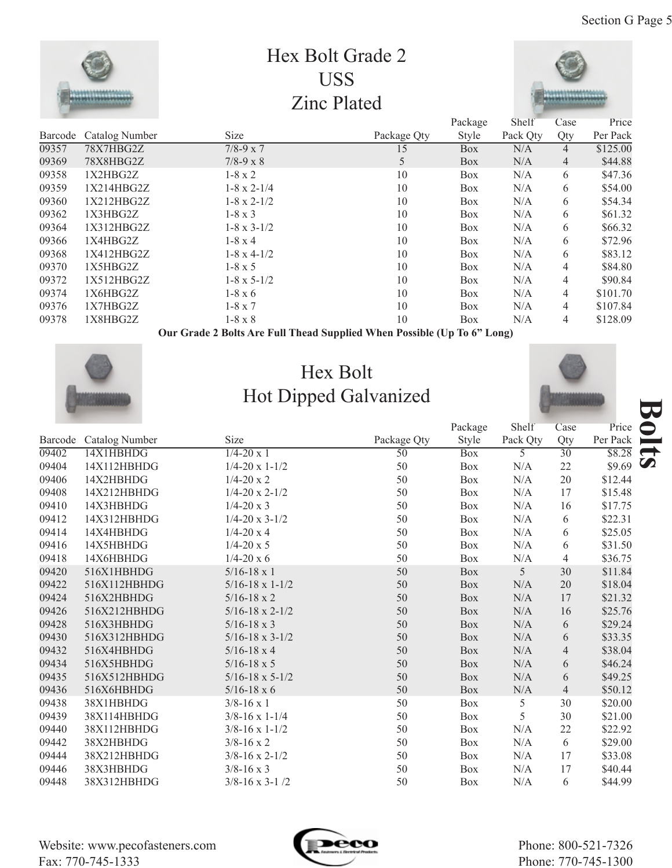

**Our Grade 2 Bolts Are Full Thead Supplied When Possible (Up To 6" Long)**



## Hex Bolt Hot Dipped Galvanized



|         |                | HOUDIPPUN ONLIMING         |                 |            |           |                 |          |
|---------|----------------|----------------------------|-----------------|------------|-----------|-----------------|----------|
|         |                |                            |                 | Package    | Shelf     | Case            | Price    |
| Barcode | Catalog Number | <b>Size</b>                | Package Qty     | Style      | Pack Qty  | Qty             | Per Pack |
| 09402   | 14X1HBHDG      | $1/4 - 20x1$               | $\overline{50}$ | <b>Box</b> | 5         | $\overline{30}$ | \$8.28   |
| 09404   | 14X112HBHDG    | $1/4 - 20 \times 1 - 1/2$  | 50              | <b>Box</b> | N/A       | 22              | \$9.69   |
| 09406   | 14X2HBHDG      | $1/4 - 20 \times 2$        | 50              | <b>Box</b> | N/A       | 20              | \$12.44  |
| 09408   | 14X212HBHDG    | $1/4 - 20 \times 2 - 1/2$  | 50              | Box        | $\rm N/A$ | 17              | \$15.48  |
| 09410   | 14X3HBHDG      | $1/4 - 20x3$               | 50              | Box        | N/A       | 16              | \$17.75  |
| 09412   | 14X312HBHDG    | $1/4 - 20 \times 3 - 1/2$  | 50              | Box        | $\rm N/A$ | 6               | \$22.31  |
| 09414   | 14X4HBHDG      | $1/4 - 20x4$               | 50              | <b>Box</b> | N/A       | 6               | \$25.05  |
| 09416   | 14X5HBHDG      | $1/4 - 20 \times 5$        | 50              | Box        | N/A       | 6               | \$31.50  |
| 09418   | 14X6HBHDG      | $1/4 - 20x6$               | 50              | <b>Box</b> | N/A       | $\overline{4}$  | \$36.75  |
| 09420   | 516X1HBHDG     | $5/16 - 18 \times 1$       | 50              | <b>Box</b> | 5         | 30              | \$11.84  |
| 09422   | 516X112HBHDG   | $5/16 - 18 \times 1 - 1/2$ | 50              | <b>Box</b> | N/A       | 20              | \$18.04  |
| 09424   | 516X2HBHDG     | $5/16 - 18 \times 2$       | 50              | Box        | N/A       | 17              | \$21.32  |
| 09426   | 516X212HBHDG   | $5/16 - 18 \times 2 - 1/2$ | 50              | <b>Box</b> | $\rm N/A$ | 16              | \$25.76  |
| 09428   | 516X3HBHDG     | $5/16 - 18 \times 3$       | 50              | Box        | N/A       | 6               | \$29.24  |
| 09430   | 516X312HBHDG   | $5/16 - 18 \times 3 - 1/2$ | 50              | <b>Box</b> | $\rm N/A$ | 6               | \$33.35  |
| 09432   | 516X4HBHDG     | $5/16 - 18 \times 4$       | 50              | <b>Box</b> | N/A       | 4               | \$38.04  |
| 09434   | 516X5HBHDG     | $5/16 - 18 \times 5$       | 50              | Box        | $\rm N/A$ | 6               | \$46.24  |
| 09435   | 516X512HBHDG   | $5/16 - 18 \times 5 - 1/2$ | 50              | <b>Box</b> | N/A       | 6               | \$49.25  |
| 09436   | 516X6HBHDG     | $5/16 - 18 \times 6$       | 50              | <b>Box</b> | $\rm N/A$ | $\overline{4}$  | \$50.12  |
| 09438   | 38X1HBHDG      | $3/8 - 16 \times 1$        | 50              | Box        | 5         | 30              | \$20.00  |
| 09439   | 38X114HBHDG    | $3/8 - 16 \times 1 - 1/4$  | 50              | <b>Box</b> | 5         | 30              | \$21.00  |
| 09440   | 38X112HBHDG    | $3/8 - 16 \times 1 - 1/2$  | 50              | Box        | $\rm N/A$ | 22              | \$22.92  |
| 09442   | 38X2HBHDG      | $3/8 - 16 \times 2$        | 50              | Box        | N/A       | 6               | \$29.00  |
| 09444   | 38X212HBHDG    | $3/8 - 16 \times 2 - 1/2$  | 50              | Box        | N/A       | 17              | \$33.08  |
| 09446   | 38X3HBHDG      | $3/8 - 16 \times 3$        | 50              | Box        | N/A       | 17              | \$40.44  |
| 09448   | 38X312HBHDG    | $3/8 - 16 \times 3 - 1/2$  | 50              | <b>Box</b> | N/A       | 6               | \$44.99  |

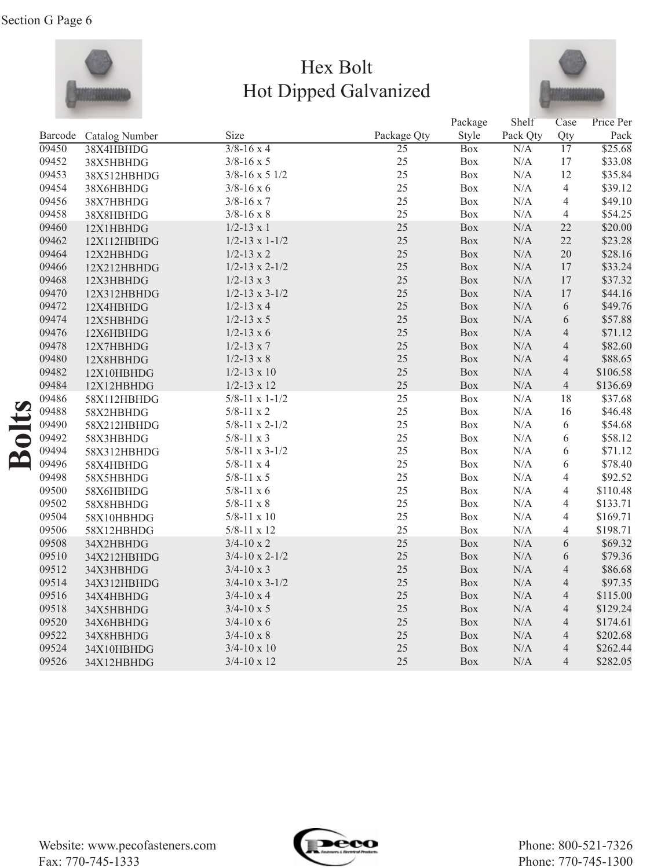

## Hex Bolt Hot Dipped Galvanized



|         |                |                           |                 | Package    | Shelf     | Case            | Price Per |
|---------|----------------|---------------------------|-----------------|------------|-----------|-----------------|-----------|
| Barcode | Catalog Number | Size                      | Package Qty     | Style      | Pack Qty  | Qty             | Pack      |
| 09450   | 38X4HBHDG      | $3/8 - 16x$               | $\overline{25}$ | <b>Box</b> | N/A       | $\overline{17}$ | \$25.68   |
| 09452   | 38X5HBHDG      | $3/8 - 16 \times 5$       | 25              | Box        | N/A       | 17              | \$33.08   |
| 09453   | 38X512HBHDG    | $3/8 - 16 \times 5$ 1/2   | 25              | Box        | $\rm N/A$ | 12              | \$35.84   |
| 09454   | 38X6HBHDG      | $3/8 - 16 \times 6$       | 25              | Box        | N/A       | $\overline{4}$  | \$39.12   |
| 09456   | 38X7HBHDG      | $3/8 - 16 \times 7$       | 25              | Box        | N/A       | 4               | \$49.10   |
| 09458   | 38X8HBHDG      | $3/8 - 16 \times 8$       | 25              | Box        | N/A       | 4               | \$54.25   |
| 09460   | 12X1HBHDG      | $1/2 - 13 \times 1$       | 25              | Box        | $\rm N/A$ | 22              | \$20.00   |
| 09462   | 12X112HBHDG    | $1/2 - 13 \times 1 - 1/2$ | 25              | Box        | $\rm N/A$ | 22              | \$23.28   |
| 09464   | 12X2HBHDG      | $1/2 - 13 \times 2$       | 25              | Box        | N/A       | 20              | \$28.16   |
| 09466   | 12X212HBHDG    | $1/2 - 13 \times 2 - 1/2$ | 25              | Box        | N/A       | 17              | \$33.24   |
| 09468   | 12X3HBHDG      | $1/2 - 13 \times 3$       | 25              | Box        | $\rm N/A$ | 17              | \$37.32   |
| 09470   | 12X312HBHDG    | $1/2 - 13 \times 3 - 1/2$ | 25              | Box        | N/A       | 17              | \$44.16   |
| 09472   | 12X4HBHDG      | $1/2 - 13 \times 4$       | 25              | Box        | $\rm N/A$ | 6               | \$49.76   |
| 09474   | 12X5HBHDG      | $1/2 - 13 \times 5$       | 25              | Box        | N/A       | 6               | \$57.88   |
| 09476   | 12X6HBHDG      | $1/2 - 13 \times 6$       | 25              | Box        | N/A       | $\overline{4}$  | \$71.12   |
| 09478   | 12X7HBHDG      | $1/2 - 13 \times 7$       | 25              | Box        | $\rm N/A$ | $\overline{4}$  | \$82.60   |
| 09480   | 12X8HBHDG      | $1/2 - 13 \times 8$       | 25              | Box        | N/A       | $\overline{4}$  | \$88.65   |
| 09482   | 12X10HBHDG     | $1/2 - 13 \times 10$      | 25              | Box        | $\rm N/A$ | $\overline{4}$  | \$106.58  |
| 09484   | 12X12HBHDG     | $1/2 - 13 \times 12$      | 25              | Box        | $\rm N/A$ | $\overline{4}$  | \$136.69  |
| 09486   | 58X112HBHDG    | $5/8 - 11 \times 1 - 1/2$ | 25              | Box        | N/A       | 18              | \$37.68   |
| 09488   | 58X2HBHDG      | $5/8 - 11 \times 2$       | 25              | Box        | $\rm N/A$ | 16              | \$46.48   |
| 09490   | 58X212HBHDG    | $5/8 - 11 \times 2 - 1/2$ | 25              | Box        | N/A       | 6               | \$54.68   |
| 09492   | 58X3HBHDG      | $5/8 - 11 \times 3$       | 25              | Box        | N/A       | 6               | \$58.12   |
| 09494   | 58X312HBHDG    | $5/8 - 11 \times 3 - 1/2$ | 25              | <b>Box</b> | N/A       | 6               | \$71.12   |
| 09496   | 58X4HBHDG      | $5/8 - 11 \times 4$       | 25              | Box        | $\rm N/A$ | 6               | \$78.40   |
| 09498   | 58X5HBHDG      | $5/8 - 11 \times 5$       | 25              | Box        | $\rm N/A$ | $\overline{4}$  | \$92.52   |
| 09500   | 58X6HBHDG      | $5/8 - 11 \times 6$       | 25              | Box        | N/A       | 4               | \$110.48  |
| 09502   | 58X8HBHDG      | $5/8-11 \ge 8$            | 25              | Box        | $\rm N/A$ | $\overline{4}$  | \$133.71  |
| 09504   | 58X10HBHDG     | $5/8 - 11 \times 10$      | 25              | Box        | N/A       | 4               | \$169.71  |
| 09506   | 58X12HBHDG     | $5/8 - 11 \times 12$      | 25              | Box        | N/A       | $\overline{4}$  | \$198.71  |
| 09508   | 34X2HBHDG      | $3/4 - 10 \times 2$       | 25              | <b>Box</b> | N/A       | 6               | \$69.32   |
| 09510   | 34X212HBHDG    | $3/4 - 10 \times 2 - 1/2$ | 25              | Box        | N/A       | 6               | \$79.36   |
| 09512   | 34X3HBHDG      | $3/4 - 10 \times 3$       | 25              | Box        | $\rm N/A$ | $\overline{4}$  | \$86.68   |
| 09514   | 34X312HBHDG    | $3/4 - 10 \times 3 - 1/2$ | 25              | Box        | N/A       | $\overline{4}$  | \$97.35   |
| 09516   | 34X4HBHDG      | $3/4 - 10 \times 4$       | 25              | Box        | $\rm N/A$ | $\overline{4}$  | \$115.00  |
| 09518   | 34X5HBHDG      | $3/4 - 10 \times 5$       | 25              | Box        | N/A       | $\overline{4}$  | \$129.24  |
| 09520   | 34X6HBHDG      | $3/4 - 10 \times 6$       | 25              | Box        | N/A       | $\overline{4}$  | \$174.61  |
| 09522   | 34X8HBHDG      | $3/4 - 10 \times 8$       | 25              | Box        | $\rm N/A$ | $\overline{4}$  | \$202.68  |
| 09524   | 34X10HBHDG     | $3/4 - 10 \times 10$      | 25              | Box        | N/A       | $\overline{4}$  | \$262.44  |
| 09526   | 34X12HBHDG     | $3/4 - 10 \times 12$      | 25              | Box        | $\rm N/A$ | $\overline{4}$  | \$282.05  |

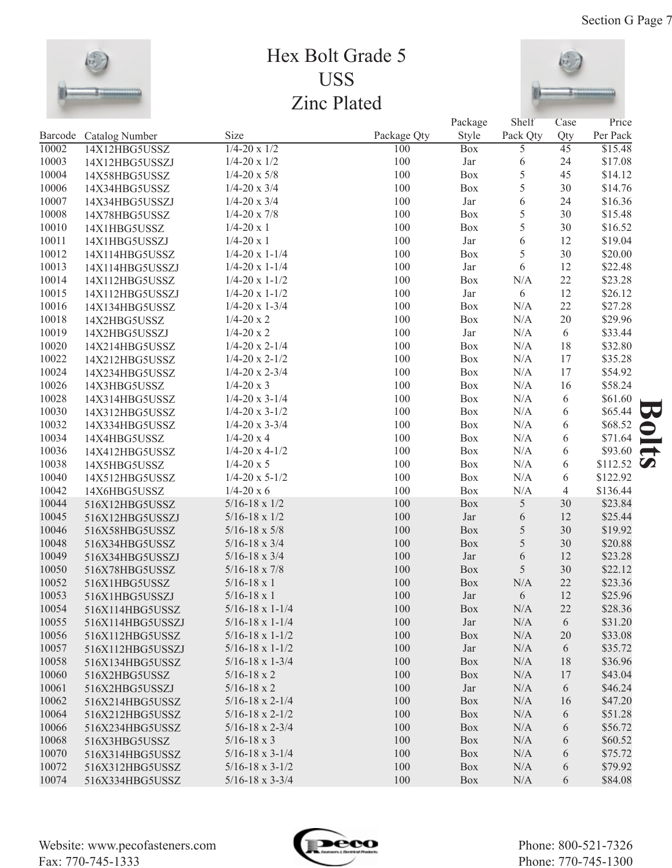

## Hex Bolt Grade 5 USS Zinc Plated



|       |                        | Size                       |                    | Package    | Shelf<br>Pack Qty | Case                   | Price               |               |
|-------|------------------------|----------------------------|--------------------|------------|-------------------|------------------------|---------------------|---------------|
| 10002 | Barcode Catalog Number | $1/4 - 20 \times 1/2$      | Package Qty<br>100 | Style      |                   | Qty<br>$\overline{45}$ | Per Pack<br>\$15.48 |               |
| 10003 | 14X12HBG5USSZ          | $1/4 - 20 \times 1/2$      | 100                | <b>Box</b> | 5                 | 24                     | \$17.08             |               |
|       | 14X12HBG5USSZJ         | $1/4 - 20 \times 5/8$      | 100                | Jar        | 6                 |                        |                     |               |
| 10004 | 14X58HBG5USSZ          |                            |                    | Box        | 5                 | 45                     | \$14.12             |               |
| 10006 | 14X34HBG5USSZ          | $1/4 - 20 \times 3/4$      | 100                | Box        | 5                 | 30                     | \$14.76             |               |
| 10007 | 14X34HBG5USSZJ         | $1/4 - 20 \times 3/4$      | 100                | Jar        | 6                 | 24                     | \$16.36             |               |
| 10008 | 14X78HBG5USSZ          | $1/4 - 20 \times 7/8$      | 100                | Box        | 5                 | 30                     | \$15.48             |               |
| 10010 | 14X1HBG5USSZ           | $1/4 - 20 \times 1$        | 100                | Box        | 5                 | 30                     | \$16.52             |               |
| 10011 | 14X1HBG5USSZJ          | $1/4 - 20 \times 1$        | 100                | Jar        | 6                 | 12                     | \$19.04             |               |
| 10012 | 14X114HBG5USSZ         | $1/4 - 20 \times 1 - 1/4$  | 100                | Box        | 5                 | 30                     | \$20.00             |               |
| 10013 | 14X114HBG5USSZJ        | $1/4 - 20 \times 1 - 1/4$  | 100                | Jar        | 6                 | 12                     | \$22.48             |               |
| 10014 | 14X112HBG5USSZ         | $1/4 - 20 \times 1 - 1/2$  | 100                | Box        | N/A               | 22                     | \$23.28             |               |
| 10015 | 14X112HBG5USSZJ        | $1/4 - 20 \times 1 - 1/2$  | 100                | Jar        | 6                 | 12                     | \$26.12             |               |
| 10016 | 14X134HBG5USSZ         | $1/4 - 20 \times 1 - 3/4$  | 100                | Box        | N/A               | 22                     | \$27.28             |               |
| 10018 | 14X2HBG5USSZ           | $1/4 - 20x2$               | 100                | Box        | N/A               | $20\,$                 | \$29.96             |               |
| 10019 | 14X2HBG5USSZJ          | $1/4 - 20x2$               | 100                | Jar        | N/A               | $6\,$                  | \$33.44             |               |
| 10020 | 14X214HBG5USSZ         | $1/4 - 20 \times 2 - 1/4$  | 100                | Box        | N/A               | 18                     | \$32.80             |               |
| 10022 | 14X212HBG5USSZ         | $1/4 - 20 \times 2 - 1/2$  | 100                | Box        | N/A               | 17                     | \$35.28             |               |
| 10024 | 14X234HBG5USSZ         | $1/4 - 20 \times 2 - 3/4$  | 100                | Box        | N/A               | 17                     | \$54.92             |               |
| 10026 | 14X3HBG5USSZ           | $1/4 - 20x3$               | 100                | Box        | N/A               | 16                     | \$58.24             |               |
| 10028 | 14X314HBG5USSZ         | $1/4 - 20 \times 3 - 1/4$  | 100                | Box        | N/A               | 6                      | \$61.60             |               |
| 10030 | 14X312HBG5USSZ         | $1/4 - 20 \times 3 - 1/2$  | 100                | Box        | N/A               | 6                      | \$65.44             |               |
| 10032 | 14X334HBG5USSZ         | $1/4 - 20 \times 3 - 3/4$  | 100                | Box        | N/A               | 6                      | \$68.52             |               |
| 10034 | 14X4HBG5USSZ           | $1/4 - 20x4$               | 100                | Box        | N/A               | 6                      | \$71.64             |               |
| 10036 | 14X412HBG5USSZ         | $1/4 - 20 \times 4 - 1/2$  | 100                | Box        | N/A               | 6                      | \$93.60             | $\rightarrow$ |
| 10038 | 14X5HBG5USSZ           | $1/4 - 20 \times 5$        | 100                | Box        | N/A               | 6                      | \$112.52 $\bullet$  |               |
| 10040 | 14X512HBG5USSZ         | $1/4 - 20 \times 5 - 1/2$  | 100                | Box        | N/A               | 6                      | \$122.92            |               |
| 10042 | 14X6HBG5USSZ           | $1/4 - 20x6$               | 100                | Box        | N/A               | $\overline{4}$         | \$136.44            |               |
| 10044 | 516X12HBG5USSZ         | $5/16 - 18 \times 1/2$     | 100                | Box        | 5                 | 30                     | \$23.84             |               |
| 10045 | 516X12HBG5USSZJ        | $5/16 - 18 \times 1/2$     | 100                | Jar        | 6                 | 12                     | \$25.44             |               |
| 10046 | 516X58HBG5USSZ         | $5/16 - 18 \times 5/8$     | 100                | Box        | 5                 | 30                     | \$19.92             |               |
| 10048 | 516X34HBG5USSZ         | $5/16 - 18 \times 3/4$     | 100                | Box        | 5                 | 30                     | \$20.88             |               |
| 10049 | 516X34HBG5USSZJ        | $5/16 - 18 \times 3/4$     | 100                | Jar        | 6                 | 12                     | \$23.28             |               |
| 10050 | 516X78HBG5USSZ         | $5/16 - 18 \times 7/8$     | 100                | Box        | 5                 | 30                     | \$22.12             |               |
| 10052 | 516X1HBG5USSZ          | $5/16 - 18 \times 1$       | 100                | Box        | N/A               | $22\,$                 | \$23.36             |               |
| 10053 | 516X1HBG5USSZJ         | $5/16 - 18 \times 1$       | 100                | Jar        | 6                 | 12                     | \$25.96             |               |
| 10054 | 516X114HBG5USSZ        | $5/16 - 18 \times 1 - 1/4$ | 100                | Box        | N/A               | 22                     | \$28.36             |               |
| 10055 | 516X114HBG5USSZJ       | $5/16 - 18 \times 1 - 1/4$ | 100                | Jar        | N/A               | 6                      | \$31.20             |               |
| 10056 | 516X112HBG5USSZ        | $5/16 - 18 \times 1 - 1/2$ | 100                | Box        | N/A               | 20                     | \$33.08             |               |
| 10057 | 516X112HBG5USSZJ       | $5/16 - 18 \times 1 - 1/2$ | 100                | Jar        | N/A               | 6                      | \$35.72             |               |
| 10058 | 516X134HBG5USSZ        | $5/16 - 18 \times 1 - 3/4$ | 100                | Box        | N/A               | 18                     | \$36.96             |               |
| 10060 | 516X2HBG5USSZ          | $5/16 - 18 \times 2$       | 100                | Box        | N/A               | 17                     | \$43.04             |               |
| 10061 | 516X2HBG5USSZJ         | $5/16 - 18 \times 2$       | 100                | Jar        | N/A               | 6                      | \$46.24             |               |
| 10062 | 516X214HBG5USSZ        | $5/16 - 18 \times 2 - 1/4$ | 100                | Box        | N/A               | 16                     | \$47.20             |               |
| 10064 | 516X212HBG5USSZ        | $5/16 - 18 \times 2 - 1/2$ | 100                | <b>Box</b> | N/A               | 6                      | \$51.28             |               |
| 10066 | 516X234HBG5USSZ        | $5/16 - 18 \times 2 - 3/4$ | 100                | <b>Box</b> | N/A               | 6                      | \$56.72             |               |
| 10068 | 516X3HBG5USSZ          | $5/16 - 18 \times 3$       | 100                | <b>Box</b> | N/A               | 6                      | \$60.52             |               |
| 10070 | 516X314HBG5USSZ        | $5/16 - 18 \times 3 - 1/4$ | 100                | <b>Box</b> | N/A               | 6                      | \$75.72             |               |
| 10072 | 516X312HBG5USSZ        | $5/16 - 18 \times 3 - 1/2$ | 100                | <b>Box</b> | N/A               | 6                      | \$79.92             |               |
| 10074 | 516X334HBG5USSZ        | $5/16 - 18 \times 3 - 3/4$ | 100                | <b>Box</b> | N/A               | 6                      | \$84.08             |               |

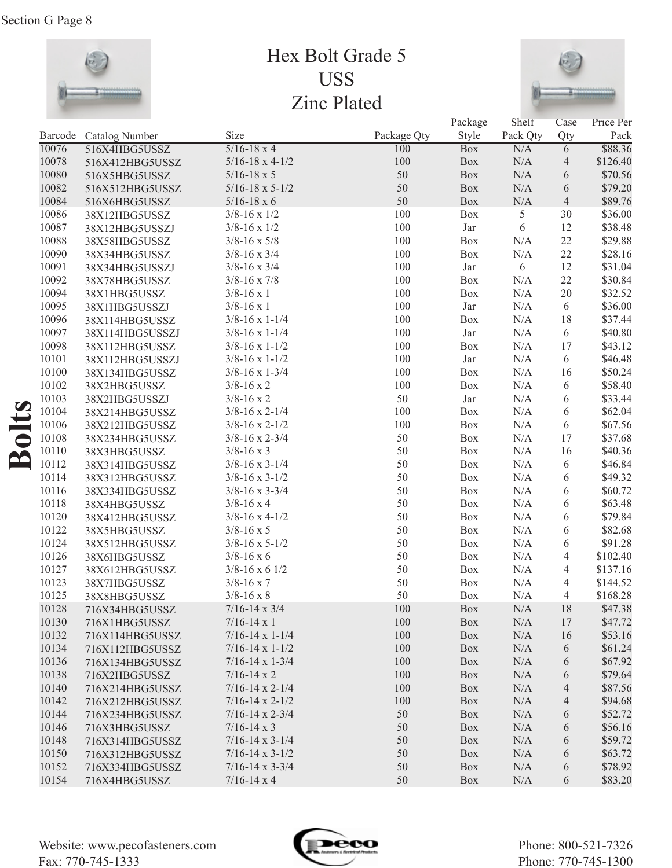

## Hex Bolt Grade 5 USS Zinc Plated



|                      |         |                 |                            |             | Package    | Shelf     | Case            | Price Per |
|----------------------|---------|-----------------|----------------------------|-------------|------------|-----------|-----------------|-----------|
|                      | Barcode | Catalog Number  | Size                       | Package Qty | Style      | Pack Qty  | Qty             | Pack      |
|                      | 10076   | 516X4HBG5USSZ   | $5/16 - 18 \times 4$       | 100         | <b>Box</b> | N/A       | $6\overline{6}$ | \$88.36   |
|                      | 10078   | 516X412HBG5USSZ | $5/16 - 18 \times 4 - 1/2$ | 100         | Box        | $\rm N/A$ | $\overline{4}$  | \$126.40  |
|                      | 10080   | 516X5HBG5USSZ   | $5/16 - 18 \times 5$       | 50          | Box        | $\rm N/A$ | $\sqrt{6}$      | \$70.56   |
|                      | 10082   | 516X512HBG5USSZ | $5/16 - 18 \times 5 - 1/2$ | 50          | Box        | $\rm N/A$ | $\sqrt{6}$      | \$79.20   |
|                      | 10084   | 516X6HBG5USSZ   | $5/16 - 18 \times 6$       | 50          | Box        | $\rm N/A$ | $\overline{4}$  | \$89.76   |
|                      | 10086   | 38X12HBG5USSZ   | $3/8 - 16 \times 1/2$      | 100         | Box        | 5         | 30              | \$36.00   |
|                      | 10087   | 38X12HBG5USSZJ  | $3/8 - 16 \times 1/2$      | 100         | Jar        | 6         | 12              | \$38.48   |
|                      | 10088   | 38X58HBG5USSZ   | $3/8 - 16 \times 5/8$      | 100         | Box        | $\rm N/A$ | 22              | \$29.88   |
|                      | 10090   | 38X34HBG5USSZ   | $3/8 - 16 \times 3/4$      | 100         | Box        | $\rm N/A$ | 22              | \$28.16   |
|                      | 10091   | 38X34HBG5USSZJ  | $3/8 - 16 \times 3/4$      | 100         | Jar        | $6\,$     | 12              | \$31.04   |
|                      | 10092   | 38X78HBG5USSZ   | $3/8 - 16 \times 7/8$      | 100         | Box        | $\rm N/A$ | 22              | \$30.84   |
|                      | 10094   | 38X1HBG5USSZ    | $3/8 - 16 \times 1$        | 100         | Box        | $\rm N/A$ | 20              | \$32.52   |
|                      | 10095   | 38X1HBG5USSZJ   | $3/8 - 16 \times 1$        | 100         | Jar        | $\rm N/A$ | $\sqrt{6}$      | \$36.00   |
|                      | 10096   | 38X114HBG5USSZ  | $3/8 - 16 \times 1 - 1/4$  | 100         | Box        | $\rm N/A$ | 18              | \$37.44   |
|                      | 10097   | 38X114HBG5USSZJ | $3/8 - 16 \times 1 - 1/4$  | 100         | Jar        | $\rm N/A$ | $\sqrt{6}$      | \$40.80   |
|                      | 10098   | 38X112HBG5USSZ  | $3/8 - 16 \times 1 - 1/2$  | 100         | Box        | $\rm N/A$ | 17              | \$43.12   |
|                      | 10101   | 38X112HBG5USSZJ | $3/8 - 16 \times 1 - 1/2$  | 100         | Jar        | $\rm N/A$ | 6               | \$46.48   |
|                      | 10100   | 38X134HBG5USSZ  | $3/8 - 16 \times 1 - 3/4$  | 100         | Box        | $\rm N/A$ | 16              | \$50.24   |
|                      | 10102   | 38X2HBG5USSZ    | $3/8 - 16 \times 2$        | 100         | Box        | $\rm N/A$ | 6               | \$58.40   |
|                      | 10103   | 38X2HBG5USSZJ   | $3/8 - 16 \times 2$        | 50          | Jar        | $\rm N/A$ | 6               | \$33.44   |
|                      | 10104   | 38X214HBG5USSZ  | $3/8 - 16 \times 2 - 1/4$  | 100         | Box        | $\rm N/A$ | 6               | \$62.04   |
|                      | 10106   | 38X212HBG5USSZ  | $3/8 - 16 \times 2 - 1/2$  | 100         | Box        | $\rm N/A$ | $\sqrt{6}$      | \$67.56   |
| olts                 | 10108   | 38X234HBG5USSZ  | $3/8 - 16 \times 2 - 3/4$  | 50          | Box        | $\rm N/A$ | 17              | \$37.68   |
|                      | 10110   | 38X3HBG5USSZ    | $3/8 - 16 \times 3$        | 50          | Box        | $\rm N/A$ | 16              | \$40.36   |
| $\tilde{\mathbf{r}}$ | 10112   | 38X314HBG5USSZ  | $3/8 - 16 \times 3 - 1/4$  | 50          | Box        | $\rm N/A$ | 6               | \$46.84   |
|                      | 10114   | 38X312HBG5USSZ  | $3/8 - 16 \times 3 - 1/2$  | 50          | Box        | $\rm N/A$ | 6               | \$49.32   |
|                      | 10116   | 38X334HBG5USSZ  | $3/8 - 16 \times 3 - 3/4$  | 50          | Box        | $\rm N/A$ | 6               | \$60.72   |
|                      | 10118   | 38X4HBG5USSZ    | $3/8 - 16 \times 4$        | 50          | Box        | $\rm N/A$ | 6               | \$63.48   |
|                      | 10120   | 38X412HBG5USSZ  | $3/8 - 16 \times 4 - 1/2$  | 50          | Box        | $\rm N/A$ | 6               | \$79.84   |
|                      | 10122   | 38X5HBG5USSZ    | $3/8 - 16 \times 5$        | 50          | Box        | $\rm N/A$ | 6               | \$82.68   |
|                      | 10124   | 38X512HBG5USSZ  | $3/8 - 16 \times 5 - 1/2$  | 50          | Box        | $\rm N/A$ | 6               | \$91.28   |
|                      | 10126   | 38X6HBG5USSZ    | $3/8 - 16 \times 6$        | 50          | Box        | $\rm N/A$ | $\overline{4}$  | \$102.40  |
|                      | 10127   | 38X612HBG5USSZ  | $3/8 - 16 \times 6$ 1/2    | 50          | Box        | $\rm N/A$ | 4               | \$137.16  |
|                      | 10123   | 38X7HBG5USSZ    | $3/8 - 16 \times 7$        | 50          | Box        | $\rm N/A$ | 4               | \$144.52  |
|                      | 10125   | 38X8HBG5USSZ    | $3/8 - 16 \times 8$        | 50          | Box        | N/A       | 4               | \$168.28  |
|                      | 10128   | 716X34HBG5USSZ  | $7/16 - 14 \times 3/4$     | 100         | Box        | $\rm N/A$ | 18              | \$47.38   |
|                      | 10130   | 716X1HBG5USSZ   | $7/16 - 14 \times 1$       | 100         | Box        | N/A       | 17              | \$47.72   |
|                      | 10132   | 716X114HBG5USSZ | $7/16 - 14 \times 1 - 1/4$ | 100         | Box        | N/A       | 16              | \$53.16   |
|                      | 10134   | 716X112HBG5USSZ | $7/16 - 14 \times 1 - 1/2$ | 100         | <b>Box</b> | N/A       | 6               | \$61.24   |
|                      | 10136   | 716X134HBG5USSZ | $7/16 - 14 \times 1 - 3/4$ | 100         | <b>Box</b> | N/A       | 6               | \$67.92   |
|                      | 10138   | 716X2HBG5USSZ   | $7/16 - 14 \times 2$       | 100         | <b>Box</b> | $\rm N/A$ | 6               | \$79.64   |
|                      | 10140   | 716X214HBG5USSZ | $7/16 - 14 \times 2 - 1/4$ | 100         | <b>Box</b> | $\rm N/A$ | $\overline{4}$  | \$87.56   |
|                      | 10142   | 716X212HBG5USSZ | $7/16 - 14 \times 2 - 1/2$ | 100         | <b>Box</b> | $\rm N/A$ | $\overline{4}$  | \$94.68   |
|                      | 10144   | 716X234HBG5USSZ | $7/16 - 14 \times 2 - 3/4$ | 50          | <b>Box</b> | N/A       | 6               | \$52.72   |
|                      | 10146   | 716X3HBG5USSZ   | $7/16 - 14 \times 3$       | 50          | Box        | N/A       | 6               | \$56.16   |
|                      | 10148   | 716X314HBG5USSZ | $7/16 - 14 \times 3 - 1/4$ | 50          | Box        | $\rm N/A$ | 6               | \$59.72   |
|                      | 10150   | 716X312HBG5USSZ | $7/16 - 14 \times 3 - 1/2$ | 50          | Box        | $\rm N/A$ | 6               | \$63.72   |
|                      | 10152   | 716X334HBG5USSZ | $7/16 - 14 \times 3 - 3/4$ | 50          | Box        | N/A       | 6               | \$78.92   |
|                      | 10154   | 716X4HBG5USSZ   | $7/16 - 14 \times 4$       | 50          | Box        | $\rm N/A$ | 6               | \$83.20   |

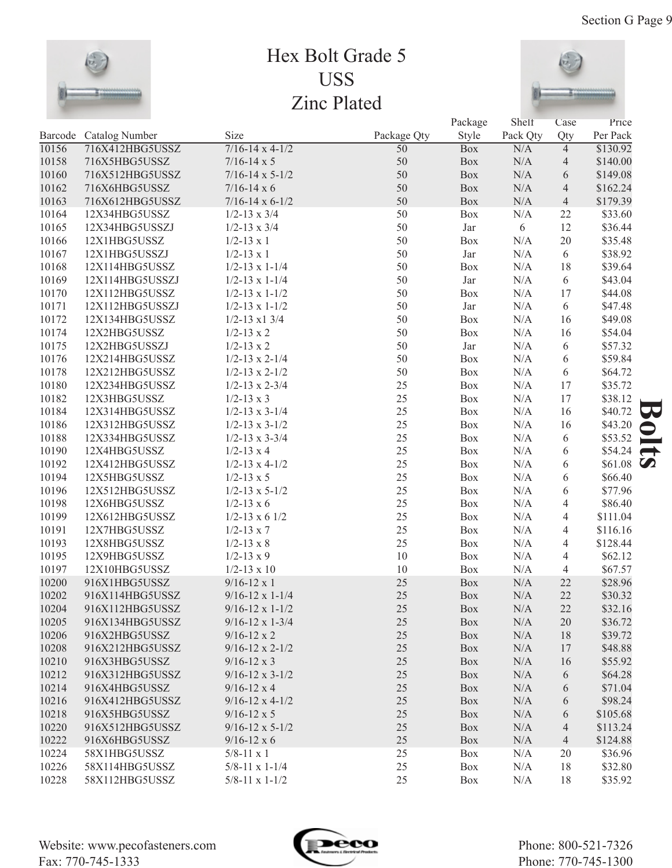

## Hex Bolt Grade 5 USS Zinc Plated



|       |                        |                                                  |                 | Package    | Shelf      | Case           | Price              |    |
|-------|------------------------|--------------------------------------------------|-----------------|------------|------------|----------------|--------------------|----|
|       | Barcode Catalog Number | Size                                             | Package Qty     | Style      | Pack Qty   | Qty            | Per Pack           |    |
| 10156 | 716X412HBG5USSZ        | $7/16 - 14 \times 4 - 1/2$                       | $\overline{50}$ | <b>Box</b> | N/A        | $\overline{4}$ | \$130.92           |    |
| 10158 | 716X5HBG5USSZ          | $7/16 - 14 \times 5$                             | 50              | Box        | N/A        | 4              | \$140.00           |    |
| 10160 | 716X512HBG5USSZ        | $7/16 - 14 \times 5 - 1/2$                       | 50              | Box        | N/A        | 6              | \$149.08           |    |
| 10162 | 716X6HBG5USSZ          | $7/16 - 14 \times 6$                             | 50              | Box        | N/A        | $\overline{4}$ | \$162.24           |    |
| 10163 | 716X612HBG5USSZ        | $7/16 - 14 \times 6 - 1/2$                       | 50              | Box        | N/A        | $\overline{4}$ | \$179.39           |    |
| 10164 | 12X34HBG5USSZ          | $1/2 - 13 \times 3/4$                            | 50              | Box        | N/A        | 22             | \$33.60            |    |
| 10165 | 12X34HBG5USSZJ         | $1/2 - 13 \times 3/4$                            | 50              | Jar        | 6          | 12             | \$36.44            |    |
| 10166 | 12X1HBG5USSZ           | $1/2 - 13 \times 1$                              | 50              | Box        | N/A        | $20\,$         | \$35.48            |    |
| 10167 | 12X1HBG5USSZJ          | $1/2 - 13 \times 1$                              | 50              | Jar        | N/A        | 6              | \$38.92            |    |
| 10168 | 12X114HBG5USSZ         | $1/2 - 13 \times 1 - 1/4$                        | 50              | Box        | N/A        | 18             | \$39.64            |    |
| 10169 | 12X114HBG5USSZJ        | $1/2 - 13 \times 1 - 1/4$                        | 50              | Jar        | N/A        | 6              | \$43.04            |    |
| 10170 | 12X112HBG5USSZ         | $1/2 - 13 \times 1 - 1/2$                        | 50              | Box        | N/A        | 17             | \$44.08            |    |
| 10171 | 12X112HBG5USSZJ        | $1/2 - 13 \times 1 - 1/2$                        | 50              | Jar        | N/A        | 6              | \$47.48            |    |
| 10172 | 12X134HBG5USSZ         | $1/2 - 13 \times 1 \frac{3}{4}$                  | 50              | Box        | N/A        | 16             | \$49.08            |    |
| 10174 | 12X2HBG5USSZ           | $1/2 - 13 \times 2$                              | 50              | Box        | N/A        | 16             | \$54.04            |    |
| 10175 | 12X2HBG5USSZJ          | $1/2 - 13 \times 2$                              | 50              | Jar        | N/A        | 6              | \$57.32            |    |
| 10176 | 12X214HBG5USSZ         | $1/2 - 13 \times 2 - 1/4$                        | 50              | Box        | N/A        | 6              | \$59.84            |    |
| 10178 | 12X212HBG5USSZ         | $1/2 - 13 \times 2 - 1/2$                        | 50              | Box        | N/A        | 6              | \$64.72            |    |
| 10180 | 12X234HBG5USSZ         | $1/2 - 13 \times 2 - 3/4$                        | 25              | Box        | N/A        | 17             | \$35.72            |    |
| 10182 | 12X3HBG5USSZ           | $1/2 - 13 \times 3$                              | 25              | Box        | N/A        | 17             | \$38.12            |    |
| 10184 | 12X314HBG5USSZ         | $1/2 - 13 \times 3 - 1/4$                        | 25              | Box        | N/A        | 16             | \$40.72            | 53 |
| 10186 | 12X312HBG5USSZ         | $1/2 - 13 \times 3 - 1/2$                        | 25              | Box        | N/A        | 16             | \$43.20            |    |
| 10188 | 12X334HBG5USSZ         | $1/2 - 13 \times 3 - 3/4$                        | 25              | Box        | N/A        | 6              | \$53.52            |    |
| 10190 | 12X4HBG5USSZ           | $1/2 - 13 \times 4$                              | 25              | Box        | N/A        | 6              | \$54.24            |    |
| 10192 | 12X412HBG5USSZ         | $1/2 - 13 \times 4 - 1/2$                        | 25              | Box        | N/A        | 6              | $$61.08$ $\bullet$ |    |
| 10194 | 12X5HBG5USSZ           | $1/2 - 13 \times 5$                              | 25              | Box        | N/A        | 6              | \$66.40            |    |
| 10196 | 12X512HBG5USSZ         | $1/2 - 13 \times 5 - 1/2$                        | 25              | Box        | N/A        | 6              | \$77.96            |    |
| 10198 | 12X6HBG5USSZ           | $1/2 - 13 \times 6$                              | 25              | Box        | N/A        | 4              | \$86.40            |    |
| 10199 | 12X612HBG5USSZ         | $1/2 - 13 \times 6$ 1/2                          | 25              | Box        | N/A        | 4              | \$111.04           |    |
| 10191 | 12X7HBG5USSZ           | $1/2 - 13 \times 7$                              | 25              | Box        | N/A        | 4              | \$116.16           |    |
| 10193 | 12X8HBG5USSZ           | $1/2 - 13 \times 8$                              | 25              | Box        | N/A        | 4              | \$128.44           |    |
| 10195 | 12X9HBG5USSZ           | $1/2 - 13 \times 9$                              | 10              | Box        | N/A        | 4              | \$62.12            |    |
| 10197 | 12X10HBG5USSZ          | $1/2 - 13 \times 10$                             | 10              | Box        | N/A        | $\overline{4}$ | \$67.57            |    |
| 10200 | 916X1HBG5USSZ          | $9/16 - 12 \times 1$                             | 25              | Box        | N/A        | 22             | \$28.96            |    |
| 10202 | 916X114HBG5USSZ        | $9/16 - 12 \times 1 - 1/4$                       | 25              | Box        | N/A        | 22             | \$30.32            |    |
| 10204 | 916X112HBG5USSZ        | $9/16 - 12 \times 1 - 1/2$                       | $25\,$          | Box        | $\rm N/A$  | $22\,$         | \$32.16            |    |
| 10205 | 916X134HBG5USSZ        | $9/16 - 12 \times 1 - 3/4$                       | 25              | Box        | N/A        | 20             | \$36.72            |    |
| 10206 | 916X2HBG5USSZ          | $9/16 - 12 \times 2$                             | 25              | Box        | N/A        | 18             | \$39.72            |    |
| 10208 | 916X212HBG5USSZ        | $9/16 - 12 \times 2 - 1/2$                       | 25              | Box        | N/A        | 17             | \$48.88            |    |
| 10210 | 916X3HBG5USSZ          | $9/16 - 12 \times 3$                             | 25              | Box        | N/A        | 16             | \$55.92            |    |
| 10212 | 916X312HBG5USSZ        | $9/16 - 12 \times 3 - 1/2$                       | 25              | Box        | N/A        | 6              | \$64.28            |    |
| 10214 | 916X4HBG5USSZ          | $9/16 - 12 \times 4$                             | 25              | Box        | N/A        | 6              | \$71.04            |    |
| 10216 | 916X412HBG5USSZ        | $9/16 - 12 \times 4 - 1/2$                       | 25              | Box        | N/A        | 6              | \$98.24            |    |
| 10218 | 916X5HBG5USSZ          | $9/16 - 12 \times 5$                             | 25              | Box        | N/A        |                | \$105.68           |    |
| 10220 | 916X512HBG5USSZ        | $9/16 - 12 \times 5 - 1/2$                       | 25              | Box        | N/A        | 6<br>4         | \$113.24           |    |
| 10222 | 916X6HBG5USSZ          |                                                  | 25              | Box        | N/A        | $\overline{4}$ | \$124.88           |    |
|       |                        | $9/16 - 12 \times 6$                             | 25              |            |            |                |                    |    |
| 10224 | 58X1HBG5USSZ           | $5/8 - 11 \times 1$<br>$5/8 - 11 \times 1 - 1/4$ | 25              | Box        | N/A<br>N/A | 20             | \$36.96            |    |
| 10226 | 58X114HBG5USSZ         |                                                  | 25              | Box        |            | 18             | \$32.80            |    |
| 10228 | 58X112HBG5USSZ         | 5/8-11 x 1-1/2                                   |                 | Box        | N/A        | 18             | \$35.92            |    |



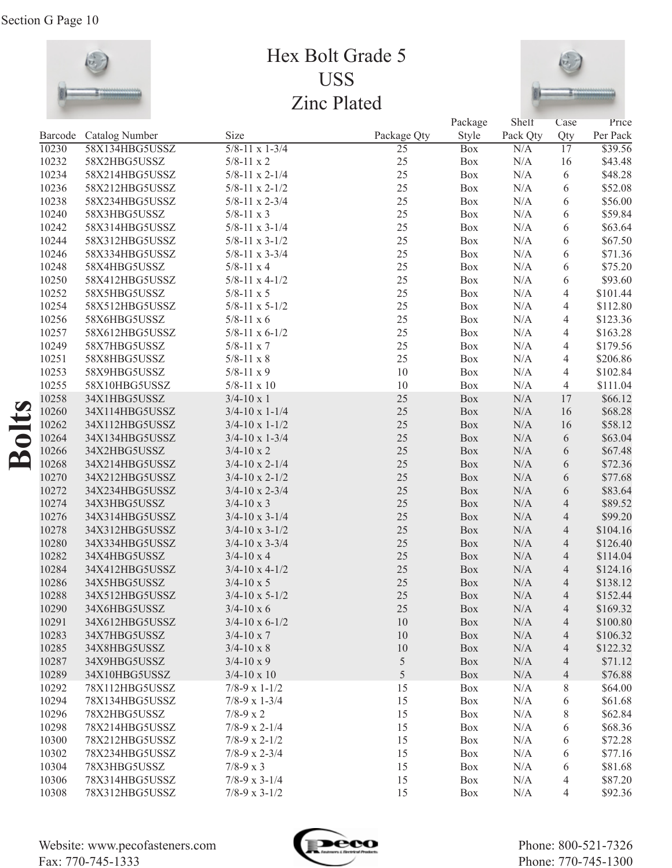

## Hex Bolt Grade 5 USS Zinc Plated



|                  |       |                                          |                                   |                                | Package    | Shelf           | Case                   | Price               |
|------------------|-------|------------------------------------------|-----------------------------------|--------------------------------|------------|-----------------|------------------------|---------------------|
|                  | 10230 | Barcode Catalog Number<br>58X134HBG5USSZ | Size<br>$5/8 - 11 \times 1 - 3/4$ | Package Qty<br>$\overline{25}$ | Style      | Pack Qty<br>N/A | Qty<br>$\overline{17}$ | Per Pack<br>\$39.56 |
|                  | 10232 | 58X2HBG5USSZ                             |                                   | 25                             | <b>Box</b> |                 |                        | \$43.48             |
|                  | 10234 |                                          | $5/8 - 11 \times 2$               | 25                             | Box        | $\rm N/A$       | 16                     | \$48.28             |
|                  |       | 58X214HBG5USSZ                           | $5/8 - 11 \times 2 - 1/4$         | 25                             | Box        | $\rm N/A$       | 6                      |                     |
|                  | 10236 | 58X212HBG5USSZ                           | $5/8 - 11 \times 2 - 1/2$         | 25                             | Box        | $\rm N/A$       | 6                      | \$52.08             |
|                  | 10238 | 58X234HBG5USSZ                           | $5/8 - 11 \times 2 - 3/4$         |                                | Box        | $\rm N/A$       | 6                      | \$56.00             |
|                  | 10240 | 58X3HBG5USSZ                             | $5/8 - 11 \times 3$               | 25                             | Box        | $\rm N/A$       | 6                      | \$59.84             |
|                  | 10242 | 58X314HBG5USSZ                           | $5/8 - 11 \times 3 - 1/4$         | 25                             | Box        | $\rm N/A$       | 6                      | \$63.64             |
|                  | 10244 | 58X312HBG5USSZ                           | $5/8 - 11 \times 3 - 1/2$         | 25                             | Box        | $\rm N/A$       | 6                      | \$67.50             |
|                  | 10246 | 58X334HBG5USSZ                           | $5/8 - 11 \times 3 - 3/4$         | 25                             | Box        | $\rm N/A$       | 6                      | \$71.36             |
|                  | 10248 | 58X4HBG5USSZ                             | $5/8 - 11 \times 4$               | 25                             | Box        | $\rm N/A$       | 6                      | \$75.20             |
|                  | 10250 | 58X412HBG5USSZ                           | $5/8 - 11 \times 4 - 1/2$         | 25                             | Box        | $\rm N/A$       | 6                      | \$93.60             |
|                  | 10252 | 58X5HBG5USSZ                             | $5/8 - 11 \times 5$               | 25                             | Box        | $\rm N/A$       | $\overline{4}$         | \$101.44            |
|                  | 10254 | 58X512HBG5USSZ                           | $5/8 - 11 \times 5 - 1/2$         | 25                             | Box        | $\rm N/A$       | $\overline{4}$         | \$112.80            |
|                  | 10256 | 58X6HBG5USSZ                             | $5/8 - 11 \times 6$               | 25                             | Box        | $\rm N/A$       | $\overline{4}$         | \$123.36            |
|                  | 10257 | 58X612HBG5USSZ                           | $5/8 - 11 \times 6 - 1/2$         | 25                             | Box        | $\rm N/A$       | $\overline{4}$         | \$163.28            |
|                  | 10249 | 58X7HBG5USSZ                             | $5/8 - 11 \times 7$               | 25                             | Box        | $\rm N/A$       | $\overline{4}$         | \$179.56            |
|                  | 10251 | 58X8HBG5USSZ                             | $5/8 - 11 \times 8$               | 25                             | Box        | $\rm N/A$       | $\overline{4}$         | \$206.86            |
|                  | 10253 | 58X9HBG5USSZ                             | $5/8 - 11 \times 9$               | 10                             | Box        | $\rm N/A$       | $\overline{4}$         | \$102.84            |
|                  | 10255 | 58X10HBG5USSZ                            | $5/8 - 11 \times 10$              | 10                             | Box        | N/A             | $\overline{4}$         | \$111.04            |
| $\boldsymbol{O}$ | 10258 | 34X1HBG5USSZ                             | $3/4 - 10 \times 1$               | 25                             | Box        | $\rm N/A$       | 17                     | \$66.12             |
|                  | 10260 | 34X114HBG5USSZ                           | $3/4 - 10 \times 1 - 1/4$         | 25                             | Box        | $\rm N/A$       | 16                     | \$68.28             |
|                  | 10262 | 34X112HBG5USSZ                           | $3/4 - 10 \times 1 - 1/2$         | 25                             | Box        | $\rm N/A$       | 16                     | \$58.12             |
| olt              | 10264 | 34X134HBG5USSZ                           | $3/4 - 10 \times 1 - 3/4$         | 25                             | Box        | $\rm N/A$       | 6                      | \$63.04             |
| Ě                | 10266 | 34X2HBG5USSZ                             | $3/4 - 10 \times 2$               | 25                             | Box        | $\rm N/A$       | 6                      | \$67.48             |
|                  | 10268 | 34X214HBG5USSZ                           | $3/4 - 10 \times 2 - 1/4$         | 25                             | Box        | $\rm N/A$       | 6                      | \$72.36             |
|                  | 10270 | 34X212HBG5USSZ                           | $3/4 - 10 \times 2 - 1/2$         | 25                             | Box        | $\rm N/A$       | 6                      | \$77.68             |
|                  | 10272 | 34X234HBG5USSZ                           | $3/4 - 10 \times 2 - 3/4$         | 25                             | Box        | $\rm N/A$       | 6                      | \$83.64             |
|                  | 10274 | 34X3HBG5USSZ                             | $3/4 - 10 \times 3$               | 25                             | Box        | $\rm N/A$       | $\overline{4}$         | \$89.52             |
|                  | 10276 | 34X314HBG5USSZ                           | $3/4 - 10 \times 3 - 1/4$         | 25                             | Box        | $\rm N/A$       | $\overline{4}$         | \$99.20             |
|                  | 10278 | 34X312HBG5USSZ                           | $3/4 - 10 \times 3 - 1/2$         | 25                             | Box        | $\rm N/A$       | $\overline{4}$         | \$104.16            |
|                  | 10280 | 34X334HBG5USSZ                           | $3/4 - 10 \times 3 - 3/4$         | 25                             | Box        | $\rm N/A$       | $\overline{4}$         | \$126.40            |
|                  | 10282 | 34X4HBG5USSZ                             | $3/4 - 10 \times 4$               | 25                             | Box        | $\rm N/A$       | $\overline{4}$         | \$114.04            |
|                  | 10284 | 34X412HBG5USSZ                           | $3/4 - 10 \times 4 - 1/2$         | 25                             | Box        | $\rm N/A$       | $\overline{4}$         | \$124.16            |
|                  | 10286 | 34X5HBG5USSZ                             | $3/4 - 10 \times 5$               | 25                             | Box        | $\rm N/A$       | $\overline{4}$         | \$138.12            |
|                  | 10288 | 34X512HBG5USSZ                           | $3/4 - 10 \times 5 - 1/2$         | 25                             | Box        | $\rm N/A$       | $\overline{4}$         | \$152.44            |
|                  | 10290 | 34X6HBG5USSZ                             | $3/4 - 10 \times 6$               | 25                             | Box        | $\rm N/A$       | $\overline{4}$         | \$169.32            |
|                  | 10291 | 34X612HBG5USSZ                           | $3/4 - 10 \times 6 - 1/2$         | 10                             | Box        | N/A             | $\overline{4}$         | \$100.80            |
|                  | 10283 | 34X7HBG5USSZ                             | $3/4 - 10 \times 7$               | $10\,$                         | Box        | $\rm N/A$       | $\overline{4}$         | \$106.32            |
|                  | 10285 | 34X8HBG5USSZ                             | $3/4 - 10 \times 8$               | 10                             | Box        | N/A             | $\overline{4}$         | \$122.32            |
|                  | 10287 | 34X9HBG5USSZ                             | $3/4 - 10 \times 9$               | $\sqrt{5}$                     | Box        | N/A             | $\overline{4}$         | \$71.12             |
|                  | 10289 | 34X10HBG5USSZ                            | $3/4 - 10 \times 10$              | $\sqrt{5}$                     | Box        | N/A             | $\overline{4}$         | \$76.88             |
|                  | 10292 | 78X112HBG5USSZ                           | $7/8-9 \times 1-1/2$              | 15                             | Box        | N/A             | $8\,$                  | \$64.00             |
|                  | 10294 | 78X134HBG5USSZ                           | $7/8-9 \times 1-3/4$              | 15                             | Box        | N/A             | 6                      | \$61.68             |
|                  | 10296 | 78X2HBG5USSZ                             | $7/8-9 \times 2$                  | 15                             | Box        | N/A             | 8                      | \$62.84             |
|                  | 10298 | 78X214HBG5USSZ                           | $7/8-9 \times 2-1/4$              | 15                             | Box        | N/A             | 6                      | \$68.36             |
|                  | 10300 | 78X212HBG5USSZ                           | $7/8-9 \times 2-1/2$              | 15                             | Box        | N/A             | 6                      | \$72.28             |
|                  | 10302 | 78X234HBG5USSZ                           | $7/8-9 \times 2-3/4$              | 15                             | Box        | N/A             | 6                      | \$77.16             |
|                  | 10304 | 78X3HBG5USSZ                             | $7/8 - 9 \times 3$                | 15                             | Box        | N/A             | 6                      | \$81.68             |
|                  | 10306 | 78X314HBG5USSZ                           | $7/8-9 \times 3-1/4$              | 15                             | Box        | N/A             | $\overline{4}$         | \$87.20             |
|                  | 10308 | 78X312HBG5USSZ                           | $7/8-9 \times 3-1/2$              | 15                             | Box        | N/A             | 4                      | \$92.36             |

Website: www.pecofasteners.com Fax: 770-745-1333

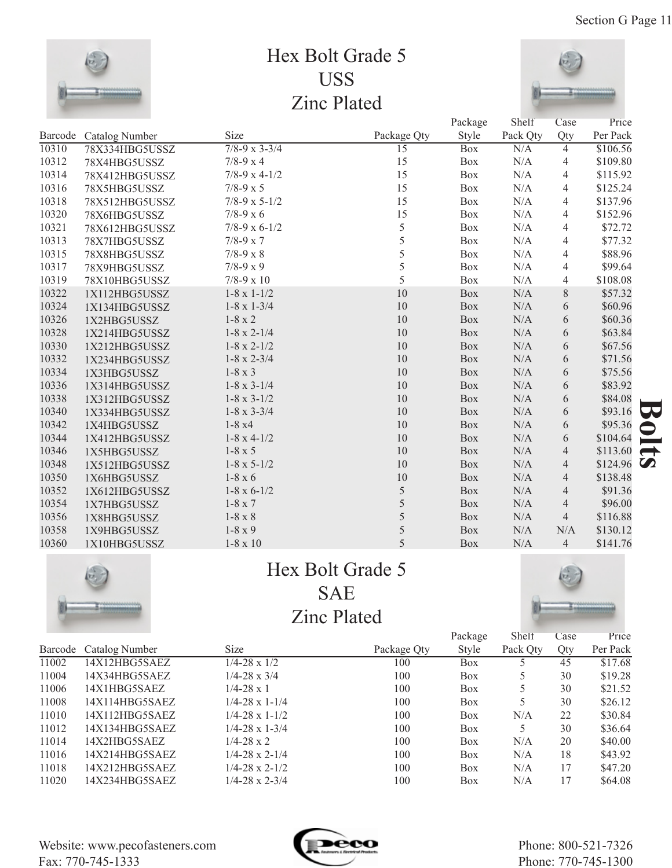

## Hex Bolt Grade 5 USS Zinc Plated



|       |                        |                          |                 | Package    | Shelf     | Case           | Price                             |    |
|-------|------------------------|--------------------------|-----------------|------------|-----------|----------------|-----------------------------------|----|
|       | Barcode Catalog Number | Size                     | Package Qty     | Style      | Pack Qty  | Qty            | Per Pack                          |    |
| 10310 | 78X334HBG5USSZ         | $7/8 - 9 \times 3 - 3/4$ | $\overline{15}$ | <b>Box</b> | N/A       | $\overline{4}$ | \$106.56                          |    |
| 10312 | 78X4HBG5USSZ           | $7/8-9 x 4$              | 15              | <b>Box</b> | N/A       | 4              | \$109.80                          |    |
| 10314 | 78X412HBG5USSZ         | $7/8-9 \times 4-1/2$     | 15              | Box        | N/A       | 4              | \$115.92                          |    |
| 10316 | 78X5HBG5USSZ           | $7/8 - 9 \times 5$       | 15              | Box        | N/A       | 4              | \$125.24                          |    |
| 10318 | 78X512HBG5USSZ         | $7/8-9 \times 5-1/2$     | 15              | <b>Box</b> | N/A       | 4              | \$137.96                          |    |
| 10320 | 78X6HBG5USSZ           | $7/8 - 9 \times 6$       | 15              | Box        | N/A       | 4              | \$152.96                          |    |
| 10321 | 78X612HBG5USSZ         | $7/8-9 \times 6-1/2$     | 5               | Box        | N/A       | 4              | \$72.72                           |    |
| 10313 | 78X7HBG5USSZ           | $7/8 - 9 \times 7$       | 5               | <b>Box</b> | N/A       | 4              | \$77.32                           |    |
| 10315 | 78X8HBG5USSZ           | $7/8 - 9 \times 8$       | 5               | Box        | N/A       | 4              | \$88.96                           |    |
| 10317 | 78X9HBG5USSZ           | $7/8-9 x 9$              | 5               | Box        | N/A       | 4              | \$99.64                           |    |
| 10319 | 78X10HBG5USSZ          | $7/8 - 9 \times 10$      | 5               | <b>Box</b> | N/A       | $\overline{4}$ | \$108.08                          |    |
| 10322 | 1X112HBG5USSZ          | $1-8 \times 1-1/2$       | 10              | <b>Box</b> | N/A       | 8              | \$57.32                           |    |
| 10324 | 1X134HBG5USSZ          | $1-8 \times 1-3/4$       | 10              | <b>Box</b> | N/A       | 6              | \$60.96                           |    |
| 10326 | 1X2HBG5USSZ            | $1-8 \times 2$           | 10              | Box        | N/A       | 6              | \$60.36                           |    |
| 10328 | 1X214HBG5USSZ          | $1-8 \times 2-1/4$       | 10              | Box        | N/A       | 6              | \$63.84                           |    |
| 10330 | 1X212HBG5USSZ          | $1-8 \times 2-1/2$       | 10              | <b>Box</b> | N/A       | 6              | \$67.56                           |    |
| 10332 | 1X234HBG5USSZ          | $1-8 \times 2-3/4$       | 10              | Box        | $\rm N/A$ | 6              | \$71.56                           |    |
| 10334 | 1X3HBG5USSZ            | $1-8 \times 3$           | 10              | Box        | N/A       | 6              | \$75.56                           |    |
| 10336 | 1X314HBG5USSZ          | $1-8 \times 3-1/4$       | 10              | <b>Box</b> | N/A       | 6              | \$83.92                           |    |
| 10338 | 1X312HBG5USSZ          | $1-8 \times 3-1/2$       | 10              | <b>Box</b> | N/A       | 6              | \$84.08                           |    |
| 10340 | 1X334HBG5USSZ          | $1-8 \times 3-3/4$       | 10              | <b>Box</b> | N/A       | 6              | \$93.16                           | 59 |
| 10342 | 1X4HBG5USSZ            | $1-8x4$                  | 10              | <b>Box</b> | N/A       | 6              | \$95.36<br>$\blacktriangleright$  |    |
| 10344 | 1X412HBG5USSZ          | $1-8 \times 4-1/2$       | 10              | Box        | N/A       | 6              | \$104.64                          | -  |
| 10346 | 1X5HBG5USSZ            | $1-8 \times 5$           | 10              | Box        | $\rm N/A$ | $\overline{4}$ | \$113.60<br>$\rightarrow$         |    |
| 10348 | 1X512HBG5USSZ          | $1-8 \times 5-1/2$       | 10              | Box        | N/A       | $\overline{4}$ | $\boldsymbol{\Omega}$<br>\$124.96 |    |
| 10350 | 1X6HBG5USSZ            | $1-8 \times 6$           | $10\,$          | <b>Box</b> | N/A       | $\overline{4}$ | \$138.48                          |    |
| 10352 | 1X612HBG5USSZ          | $1-8 \times 6-1/2$       | 5               | <b>Box</b> | N/A       | $\overline{4}$ | \$91.36                           |    |
| 10354 | 1X7HBG5USSZ            | $1-8 \times 7$           | 5               | Box        | $\rm N/A$ | $\overline{4}$ | \$96.00                           |    |
| 10356 | 1X8HBG5USSZ            | $1-8 \times 8$           | 5               | <b>Box</b> | N/A       | $\overline{4}$ | \$116.88                          |    |
| 10358 | 1X9HBG5USSZ            | $1-8 \times 9$           | 5               | Box        | N/A       | N/A            | \$130.12                          |    |
| 10360 | 1X10HBG5USSZ           | $1-8 \times 10$          | 5               | <b>Box</b> | N/A       | $\overline{4}$ | \$141.76                          |    |



## Hex Bolt Grade 5 SAE Zinc Plated



|       |                        |                           |             | Package      | Shelf    | Case | Price    |
|-------|------------------------|---------------------------|-------------|--------------|----------|------|----------|
|       | Barcode Catalog Number | <b>Size</b>               | Package Qty | <b>Style</b> | Pack Qty | Qty  | Per Pack |
| 11002 | 14X12HBG5SAEZ          | $1/4 - 28 \times 1/2$     | 100         | Box          |          | 45   | \$17.68  |
| 11004 | 14X34HBG5SAEZ          | $1/4 - 28 \times 3/4$     | 100         | Box          |          | 30   | \$19.28  |
| 11006 | 14X1HBG5SAEZ           | $1/4 - 28 \times 1$       | 100         | Box          |          | 30   | \$21.52  |
| 11008 | 14X114HBG5SAEZ         | $1/4 - 28 \times 1 - 1/4$ | 100         | Box          |          | 30   | \$26.12  |
| 11010 | 14X112HBG5SAEZ         | $1/4 - 28 \times 1 - 1/2$ | 100         | Box          | N/A      | 22   | \$30.84  |
| 11012 | 14X134HBG5SAEZ         | $1/4 - 28 \times 1 - 3/4$ | 100         | Box          |          | 30   | \$36.64  |
| 11014 | 14X2HBG5SAEZ           | $1/4 - 28 \times 2$       | 100         | Box          | N/A      | 20   | \$40.00  |
| 11016 | 14X214HBG5SAEZ         | $1/4 - 28 \times 2 - 1/4$ | 100         | Box          | N/A      | 18   | \$43.92  |
| 11018 | 14X212HBG5SAEZ         | $1/4 - 28 \times 2 - 1/2$ | 100         | Box          | N/A      | 17   | \$47.20  |
| 11020 | 14X234HBG5SAEZ         | $1/4 - 28 \times 2 - 3/4$ | 100         | Box          | N/A      | 17   | \$64.08  |

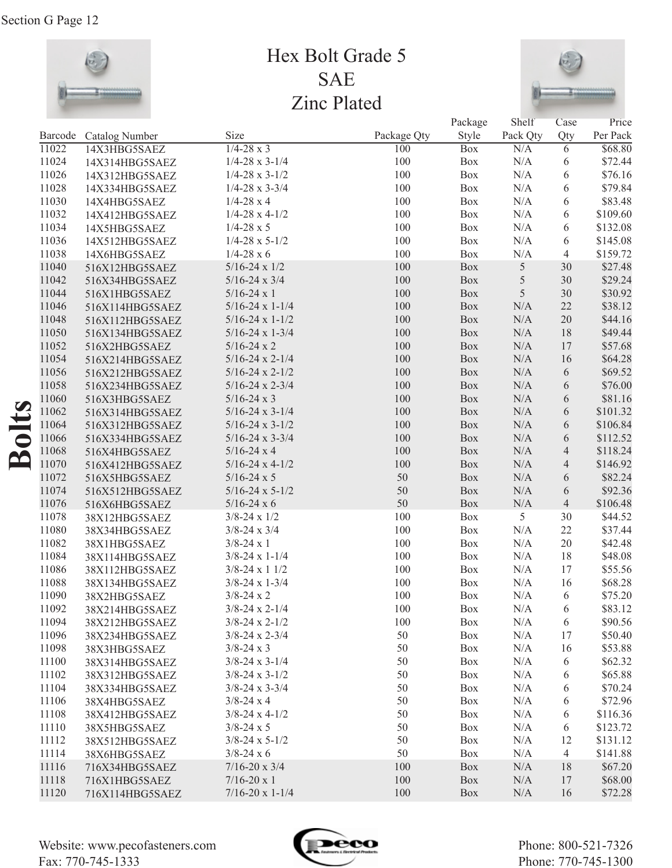

## Hex Bolt Grade 5 SAE Zinc Plated



|         |                 |                            |             | Package    | Shelf      | Case           | Price    |
|---------|-----------------|----------------------------|-------------|------------|------------|----------------|----------|
| Barcode | Catalog Number  | Size                       | Package Qty | Style      | Pack Qty   | Qty            | Per Pack |
| 11022   | 14X3HBG5SAEZ    | $1/4 - 28 \times 3$        | 100         | <b>Box</b> | N/A        | 6              | \$68.80  |
| 11024   | 14X314HBG5SAEZ  | $1/4 - 28 \times 3 - 1/4$  | 100         | Box        | $\rm N/A$  | 6              | \$72.44  |
| 11026   | 14X312HBG5SAEZ  | $1/4 - 28 \times 3 - 1/2$  | 100         | Box        | $\rm N/A$  | 6              | \$76.16  |
| 11028   | 14X334HBG5SAEZ  | $1/4 - 28 \times 3 - 3/4$  | 100         | Box        | $\rm N/A$  | 6              | \$79.84  |
| 11030   | 14X4HBG5SAEZ    | $1/4 - 28x4$               | 100         | Box        | $\rm N/A$  | 6              | \$83.48  |
| 11032   | 14X412HBG5SAEZ  | $1/4 - 28 \times 4 - 1/2$  | 100         | Box        | $\rm N/A$  | 6              | \$109.60 |
| 11034   | 14X5HBG5SAEZ    | $1/4 - 28 \times 5$        | 100         | Box        | $\rm N/A$  | 6              | \$132.08 |
| 11036   | 14X512HBG5SAEZ  | $1/4 - 28 \times 5 - 1/2$  | 100         | Box        | $\rm N/A$  | 6              | \$145.08 |
| 11038   | 14X6HBG5SAEZ    | $1/4 - 28 \times 6$        | 100         | Box        | N/A        | 4              | \$159.72 |
| 11040   | 516X12HBG5SAEZ  | $5/16 - 24 \times 1/2$     | 100         | Box        | $\sqrt{5}$ | 30             | \$27.48  |
| 11042   | 516X34HBG5SAEZ  | $5/16 - 24 \times 3/4$     | 100         | Box        | $\sqrt{5}$ | 30             | \$29.24  |
| 11044   | 516X1HBG5SAEZ   | $5/16 - 24 \times 1$       | 100         | Box        | 5          | 30             | \$30.92  |
| 11046   | 516X114HBG5SAEZ | $5/16-24 \times 1-1/4$     | 100         | Box        | $\rm N/A$  | 22             | \$38.12  |
| 11048   | 516X112HBG5SAEZ | $5/16 - 24 \times 1 - 1/2$ | 100         | Box        | $\rm N/A$  | $20\,$         | \$44.16  |
| 11050   | 516X134HBG5SAEZ | $5/16 - 24 \times 1 - 3/4$ | 100         | Box        | $\rm N/A$  | 18             | \$49.44  |
| 11052   | 516X2HBG5SAEZ   | $5/16 - 24 \times 2$       | 100         | Box        | $\rm N/A$  | 17             | \$57.68  |
| 11054   | 516X214HBG5SAEZ | $5/16 - 24 \times 2 - 1/4$ | 100         | Box        | $\rm N/A$  | 16             | \$64.28  |
| 11056   | 516X212HBG5SAEZ | $5/16 - 24 \times 2 - 1/2$ | 100         | Box        | $\rm N/A$  | 6              | \$69.52  |
| 11058   | 516X234HBG5SAEZ | $5/16 - 24 \times 2 - 3/4$ | 100         | Box        | $\rm N/A$  | 6              | \$76.00  |
| 11060   | 516X3HBG5SAEZ   | $5/16 - 24 \times 3$       | 100         | Box        | $\rm N/A$  | 6              | \$81.16  |
| 11062   | 516X314HBG5SAEZ | $5/16 - 24 \times 3 - 1/4$ | 100         | Box        | $\rm N/A$  | 6              | \$101.32 |
| 11064   | 516X312HBG5SAEZ | $5/16 - 24 \times 3 - 1/2$ | 100         | Box        | $\rm N/A$  | 6              | \$106.84 |
| 11066   | 516X334HBG5SAEZ | $5/16 - 24 \times 3 - 3/4$ | 100         | Box        | $\rm N/A$  | 6              | \$112.52 |
| 11068   | 516X4HBG5SAEZ   | $5/16 - 24 \times 4$       | 100         | Box        | $\rm N/A$  | $\overline{4}$ | \$118.24 |
| 11070   | 516X412HBG5SAEZ | $5/16 - 24 \times 4 - 1/2$ | 100         | Box        | $\rm N/A$  | 4              | \$146.92 |
| 11072   | 516X5HBG5SAEZ   | $5/16 - 24 \times 5$       | 50          | Box        | $\rm N/A$  | 6              | \$82.24  |
| 11074   | 516X512HBG5SAEZ | $5/16 - 24 \times 5 - 1/2$ | 50          | Box        | $\rm N/A$  | 6              | \$92.36  |
| 11076   | 516X6HBG5SAEZ   | $5/16 - 24 \times 6$       | 50          | Box        | N/A        | $\overline{4}$ | \$106.48 |
| 11078   | 38X12HBG5SAEZ   | $3/8 - 24 \times 1/2$      | 100         | Box        | 5          | 30             | \$44.52  |
| 11080   | 38X34HBG5SAEZ   | $3/8 - 24 \times 3/4$      | 100         | Box        | $\rm N/A$  | 22             | \$37.44  |
| 11082   | 38X1HBG5SAEZ    | $3/8 - 24x1$               | 100         | Box        | $\rm N/A$  | $20\,$         | \$42.48  |
| 11084   | 38X114HBG5SAEZ  | $3/8 - 24 \times 1 - 1/4$  | 100         | Box        | $\rm N/A$  | 18             | \$48.08  |
| 11086   | 38X112HBG5SAEZ  | $3/8 - 24 \times 11/2$     | 100         | Box        | $\rm N/A$  | 17             | \$55.56  |
| 11088   | 38X134HBG5SAEZ  | $3/8 - 24 \times 1 - 3/4$  | 100         | Box        | $\rm N/A$  | 16             | \$68.28  |
| 11090   | 38X2HBG5SAEZ    | $3/8 - 24x2$               | 100         | Box        | $\rm N/A$  | 6              | \$75.20  |
| 11092   | 38X214HBG5SAEZ  | $3/8 - 24 \times 2 - 1/4$  | 100         | Box        | $\rm N/A$  | 6              | \$83.12  |
| 11094   | 38X212HBG5SAEZ  | $3/8 - 24 \times 2 - 1/2$  | 100         | Box        | N/A        | 6              | \$90.56  |
| 11096   | 38X234HBG5SAEZ  | $3/8 - 24 \times 2 - 3/4$  | 50          | Box        | N/A        | 17             | \$50.40  |
| 11098   | 38X3HBG5SAEZ    | $3/8 - 24x3$               | 50          | Box        | N/A        | 16             | \$53.88  |
| 11100   | 38X314HBG5SAEZ  | $3/8 - 24 \times 3 - 1/4$  | 50          | Box        | N/A        | 6              | \$62.32  |
| 11102   | 38X312HBG5SAEZ  | $3/8 - 24 \times 3 - 1/2$  | 50          | Box        | N/A        | 6              | \$65.88  |
| 11104   | 38X334HBG5SAEZ  | $3/8 - 24 \times 3 - 3/4$  | 50          | Box        | N/A        | 6              | \$70.24  |
| 11106   | 38X4HBG5SAEZ    | $3/8 - 24x4$               | 50          | Box        | N/A        | 6              | \$72.96  |
| 11108   | 38X412HBG5SAEZ  | $3/8 - 24 \times 4 - 1/2$  | 50          | Box        | N/A        | 6              | \$116.36 |
| 11110   | 38X5HBG5SAEZ    | $3/8 - 24 \times 5$        | 50          | Box        | N/A        | 6              | \$123.72 |
| 11112   | 38X512HBG5SAEZ  | $3/8 - 24 \times 5 - 1/2$  | 50          | Box        | N/A        | 12             | \$131.12 |
| 11114   | 38X6HBG5SAEZ    | $3/8 - 24 \times 6$        | 50          | Box        | N/A        | $\overline{4}$ | \$141.88 |
| 11116   | 716X34HBG5SAEZ  | $7/16 - 20 \times 3/4$     | 100         | Box        | N/A        | 18             | \$67.20  |
| 11118   | 716X1HBG5SAEZ   | $7/16 - 20 \times 1$       | 100         | <b>Box</b> | N/A        | 17             | \$68.00  |
| 11120   | 716X114HBG5SAEZ | $7/16 - 20 \times 1 - 1/4$ | 100         | Box        | $\rm N/A$  | 16             | \$72.28  |

**Bolts**

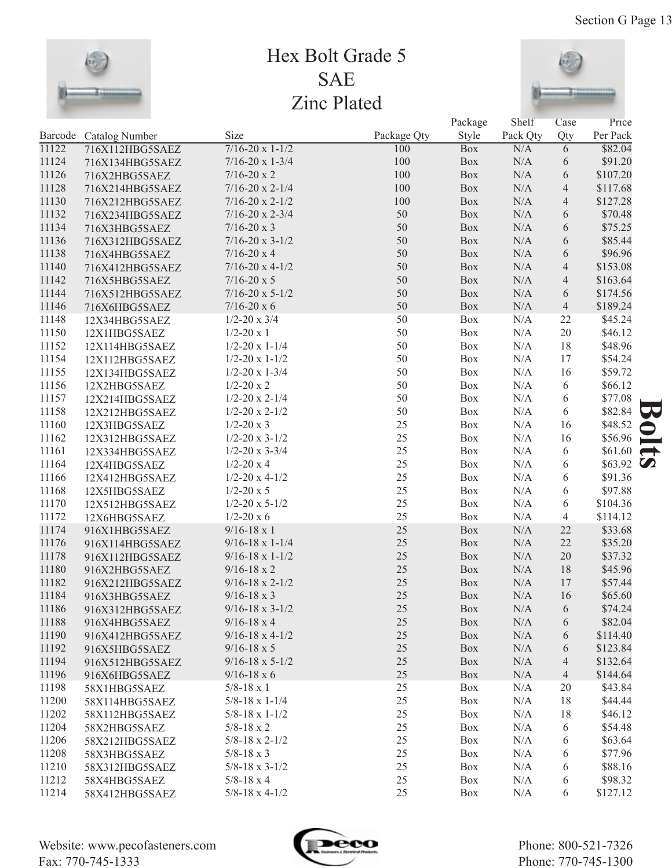

## Hex Bolt Grade 5 SAE Zinc Plated



 $D_{\alpha}$ alsage

 $C<sub>h</sub>$ <sub>o</sub> $I<sub>i</sub>$ 

|                |                 |                            |             | Package    | Shelf     | Case           | Price              |               |
|----------------|-----------------|----------------------------|-------------|------------|-----------|----------------|--------------------|---------------|
| Barcode        | Catalog Number  | Size                       | Package Qty | Style      | Pack Qty  | Qty            | Per Pack           |               |
| 11122          | 716X112HBG5SAEZ | $7/16 - 20 \times 1 - 1/2$ | 100         | <b>Box</b> | N/A       | $\overline{6}$ | \$82.04            |               |
| 11124          | 716X134HBG5SAEZ | $7/16 - 20 \times 1 - 3/4$ | 100         | Box        | $\rm N/A$ | 6              | \$91.20            |               |
| 11126          | 716X2HBG5SAEZ   | $7/16 - 20 \times 2$       | 100         | Box        | N/A       | 6              | \$107.20           |               |
| 11128          | 716X214HBG5SAEZ | $7/16 - 20 \times 2 - 1/4$ | 100         | Box        | $\rm N/A$ | $\overline{4}$ | \$117.68           |               |
| 11130          | 716X212HBG5SAEZ | $7/16 - 20 \times 2 - 1/2$ | 100         | Box        | $\rm N/A$ | $\overline{4}$ | \$127.28           |               |
| 11132          | 716X234HBG5SAEZ | $7/16 - 20 \times 2 - 3/4$ | 50          | Box        | N/A       | 6              | \$70.48            |               |
| 11134          | 716X3HBG5SAEZ   | $7/16 - 20 \times 3$       | 50          | Box        | N/A       | 6              | \$75.25            |               |
| 11136          | 716X312HBG5SAEZ | $7/16 - 20 \times 3 - 1/2$ | 50          | Box        | N/A       | 6              | \$85.44            |               |
| 11138          | 716X4HBG5SAEZ   | $7/16 - 20 \times 4$       | 50          | Box        | $\rm N/A$ | 6              | \$96.96            |               |
| 11140          | 716X412HBG5SAEZ | $7/16 - 20 \times 4 - 1/2$ | 50          | Box        | $\rm N/A$ | $\overline{4}$ | \$153.08           |               |
| 11142          | 716X5HBG5SAEZ   | $7/16 - 20 \times 5$       | 50          | Box        | $\rm N/A$ | $\overline{4}$ | \$163.64           |               |
| 11144          | 716X512HBG5SAEZ | $7/16 - 20 \times 5 - 1/2$ | 50          | Box        | N/A       | 6              | \$174.56           |               |
| 11146          | 716X6HBG5SAEZ   | $7/16 - 20 \times 6$       | 50          | Box        | N/A       | $\overline{4}$ | \$189.24           |               |
| 11148          | 12X34HBG5SAEZ   | $1/2 - 20 \times 3/4$      | 50          | Box        | N/A       | 22             | \$45.24            |               |
| 11150          | 12X1HBG5SAEZ    | $1/2 - 20x1$               | 50          | Box        | N/A       | $20\,$         | \$46.12            |               |
| 11152          | 12X114HBG5SAEZ  | $1/2 - 20 \times 1 - 1/4$  | 50          | Box        | N/A       | 18             | \$48.96            |               |
| 11154          | 12X112HBG5SAEZ  | $1/2 - 20 \times 1 - 1/2$  | 50          | Box        | N/A       | 17             | \$54.24            |               |
| 11155          | 12X134HBG5SAEZ  | $1/2 - 20 \times 1 - 3/4$  | 50          | Box        | N/A       | 16             | \$59.72            |               |
| 11156          | 12X2HBG5SAEZ    | $1/2 - 20x2$               | 50          | Box        | N/A       | 6              | \$66.12            |               |
| 11157          | 12X214HBG5SAEZ  | $1/2 - 20 \times 2 - 1/4$  | 50          | Box        | N/A       | 6              | \$77.08            |               |
| 11158          | 12X212HBG5SAEZ  | $1/2 - 20 \times 2 - 1/2$  | 50          | Box        | N/A       | 6              | \$82.84            |               |
| 11160          | 12X3HBG5SAEZ    | $1/2 - 20x3$               | 25          | Box        | $\rm N/A$ | 16             | \$48.52            |               |
| 11162          | 12X312HBG5SAEZ  | $1/2 - 20 \times 3 - 1/2$  | 25          | Box        | N/A       | 16             | \$56.96            |               |
| 11161          | 12X334HBG5SAEZ  | $1/2 - 20 \times 3 - 3/4$  | 25          | Box        | N/A       | 6              | \$61.60            | $\rightarrow$ |
| 11164          | 12X4HBG5SAEZ    | $1/2 - 20x4$               | 25          | Box        | N/A       | 6              | $$63.92$ $\bullet$ |               |
| 11166          | 12X412HBG5SAEZ  | $1/2 - 20 \times 4 - 1/2$  | 25          | Box        | N/A       | 6              | \$91.36            |               |
| 11168          | 12X5HBG5SAEZ    | $1/2 - 20 \times 5$        | 25          | Box        | N/A       | 6              | \$97.88            |               |
| 11170          | 12X512HBG5SAEZ  | $1/2 - 20 \times 5 - 1/2$  | 25          | Box        | N/A       | 6              | \$104.36           |               |
| 11172          | 12X6HBG5SAEZ    | $1/2 - 20 \times 6$        | 25          | Box        | N/A       | 4              | \$114.12           |               |
| 11174          | 916X1HBG5SAEZ   | $9/16 - 18 \times 1$       | 25          | Box        | N/A       | 22             | \$33.68            |               |
| 11176          | 916X114HBG5SAEZ | $9/16 - 18 \times 1 - 1/4$ | 25          | Box        | $\rm N/A$ | 22             | \$35.20            |               |
| 11178          | 916X112HBG5SAEZ | $9/16 - 18 \times 1 - 1/2$ | 25          | Box        | N/A       | $20\,$         | \$37.32            |               |
| 11180          | 916X2HBG5SAEZ   | $9/16 - 18 \times 2$       | 25          | Box        | N/A       | 18             | \$45.96            |               |
| 11182          | 916X212HBG5SAEZ | $9/16 - 18 \times 2 - 1/2$ | 25          | Box        | N/A       | 17             | \$57.44            |               |
| 11184          | 916X3HBG5SAEZ   | $9/16 - 18 \times 3$       | 25          | Box        | N/A       | 16             | \$65.60            |               |
| 11186          | 916X312HBG5SAEZ | $9/16 - 18 \times 3 - 1/2$ | $25\,$      | Box        | $\rm N/A$ | 6              | \$74.24            |               |
| 11188          | 916X4HBG5SAEZ   | $9/16 - 18 \times 4$       | 25          | Box        | N/A       | 6              | \$82.04            |               |
| 11190          | 916X412HBG5SAEZ | $9/16 - 18 \times 4 - 1/2$ | 25          | Box        | N/A       | 6              | \$114.40           |               |
| 11192          | 916X5HBG5SAEZ   | $9/16 - 18 \times 5$       | 25          | Box        | N/A       | 6              | \$123.84           |               |
| 11194          | 916X512HBG5SAEZ | $9/16 - 18 \times 5 - 1/2$ | 25          | Box        | N/A       | 4              | \$132.64           |               |
| 11196          | 916X6HBG5SAEZ   | $9/16 - 18 \times 6$       | 25          | Box        | N/A       | 4              | \$144.64           |               |
| 11198          |                 | $5/8 - 18 \times 1$        | 25          | Box        | N/A       | 20             | \$43.84            |               |
| 11200          | 58X1HBG5SAEZ    | $5/8 - 18 \times 1 - 1/4$  | 25          | Box        | N/A       | 18             | \$44.44            |               |
| 11202          | 58X114HBG5SAEZ  | $5/8 - 18 \times 1 - 1/2$  | 25          | Box        | N/A       | 18             | \$46.12            |               |
| 11204          | 58X112HBG5SAEZ  | $5/8 - 18 \times 2$        | 25          | Box        | N/A       | 6              | \$54.48            |               |
| 11206          | 58X2HBG5SAEZ    | $5/8 - 18 \times 2 - 1/2$  | 25          | Box        | N/A       |                | \$63.64            |               |
| 11208          | 58X212HBG5SAEZ  | $5/8 - 18 \times 3$        | 25          | Box        | N/A       | 6              | \$77.96            |               |
|                | 58X3HBG5SAEZ    | $5/8 - 18 \times 3 - 1/2$  | 25          | Box        | N/A       | 6              |                    |               |
| 11210<br>11212 | 58X312HBG5SAEZ  | $5/8 - 18 \times 4$        | 25          | Box        | N/A       | 6              | \$88.16<br>\$98.32 |               |
|                | 58X4HBG5SAEZ    |                            | 25          |            |           | 6              |                    |               |
| 11214          | 58X412HBG5SAEZ  | $5/8 - 18 \times 4 - 1/2$  |             | Box        | N/A       | 6              | \$127.12           |               |

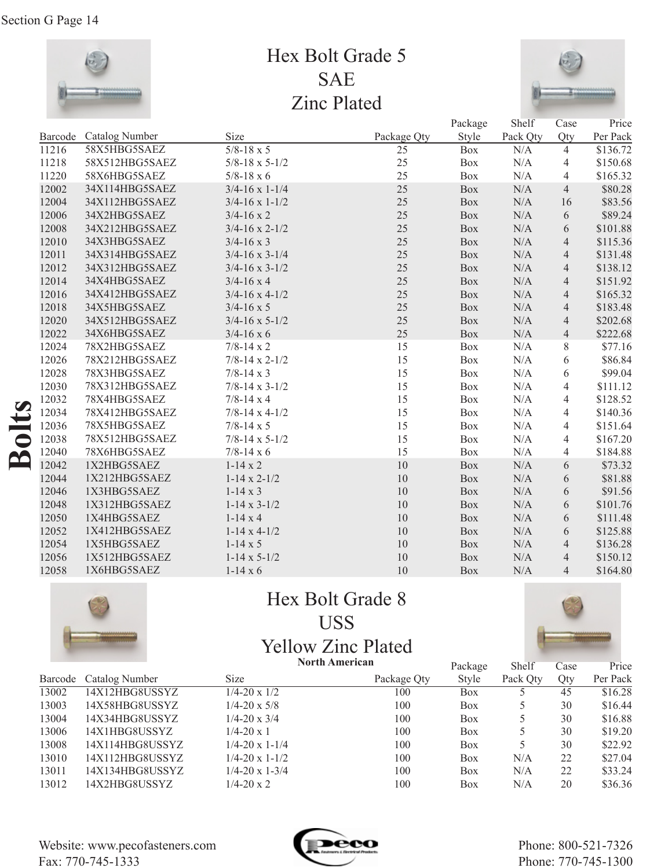

## Hex Bolt Grade 5 SAE Zinc Plated



| Barcode | Catalog Number |                           |             |            |           |                |          |
|---------|----------------|---------------------------|-------------|------------|-----------|----------------|----------|
|         |                | Size                      | Package Qty | Style      | Pack Qty  | Qty            | Per Pack |
| 11216   | 58X5HBG5SAEZ   | $5/8 - 18 \times 5$       | 25          | Box        | N/A       | $\overline{4}$ | \$136.72 |
| 11218   | 58X512HBG5SAEZ | $5/8 - 18 \times 5 - 1/2$ | 25          | Box        | N/A       | $\overline{4}$ | \$150.68 |
| 11220   | 58X6HBG5SAEZ   | $5/8 - 18 \times 6$       | 25          | Box        | N/A       | 4              | \$165.32 |
| 12002   | 34X114HBG5SAEZ | $3/4 - 16 \times 1 - 1/4$ | 25          | <b>Box</b> | N/A       | $\overline{4}$ | \$80.28  |
| 12004   | 34X112HBG5SAEZ | $3/4 - 16 \times 1 - 1/2$ | 25          | <b>Box</b> | N/A       | 16             | \$83.56  |
| 12006   | 34X2HBG5SAEZ   | $3/4 - 16 \times 2$       | 25          | Box        | $\rm N/A$ | 6              | \$89.24  |
| 12008   | 34X212HBG5SAEZ | $3/4 - 16 \times 2 - 1/2$ | 25          | <b>Box</b> | N/A       | 6              | \$101.88 |
| 12010   | 34X3HBG5SAEZ   | $3/4 - 16 \times 3$       | 25          | Box        | $\rm N/A$ | $\overline{4}$ | \$115.36 |
| 12011   | 34X314HBG5SAEZ | $3/4 - 16 \times 3 - 1/4$ | 25          | Box        | N/A       | $\overline{4}$ | \$131.48 |
| 12012   | 34X312HBG5SAEZ | $3/4 - 16 \times 3 - 1/2$ | 25          | Box        | $\rm N/A$ | $\overline{4}$ | \$138.12 |
| 12014   | 34X4HBG5SAEZ   | $3/4 - 16 \times 4$       | 25          | <b>Box</b> | N/A       | $\overline{4}$ | \$151.92 |
| 12016   | 34X412HBG5SAEZ | $3/4 - 16 \times 4 - 1/2$ | 25          | Box        | N/A       | $\overline{4}$ | \$165.32 |
| 12018   | 34X5HBG5SAEZ   | $3/4 - 16 \times 5$       | 25          | Box        | N/A       | $\overline{4}$ | \$183.48 |
| 12020   | 34X512HBG5SAEZ | $3/4 - 16 \times 5 - 1/2$ | 25          | Box        | $\rm N/A$ | $\overline{4}$ | \$202.68 |
| 12022   | 34X6HBG5SAEZ   | $3/4 - 16 \times 6$       | 25          | <b>Box</b> | N/A       | $\overline{4}$ | \$222.68 |
| 12024   | 78X2HBG5SAEZ   | $7/8 - 14 \times 2$       | 15          | Box        | N/A       | 8              | \$77.16  |
| 12026   | 78X212HBG5SAEZ | $7/8 - 14 \times 2 - 1/2$ | 15          | <b>Box</b> | N/A       | 6              | \$86.84  |
| 12028   | 78X3HBG5SAEZ   | $7/8 - 14 \times 3$       | 15          | Box        | N/A       | 6              | \$99.04  |
| 12030   | 78X312HBG5SAEZ | $7/8 - 14 \times 3 - 1/2$ | 15          | <b>Box</b> | N/A       | $\overline{4}$ | \$111.12 |
| 12032   | 78X4HBG5SAEZ   | $7/8 - 14 \times 4$       | 15          | Box        | $\rm N/A$ | $\overline{4}$ | \$128.52 |
| 12034   | 78X412HBG5SAEZ | $7/8 - 14 \times 4 - 1/2$ | 15          | <b>Box</b> | N/A       | $\overline{4}$ | \$140.36 |
| 12036   | 78X5HBG5SAEZ   | $7/8 - 14 \times 5$       | 15          | Box        | N/A       | $\overline{4}$ | \$151.64 |
| 12038   | 78X512HBG5SAEZ | $7/8 - 14 \times 5 - 1/2$ | 15          | Box        | $\rm N/A$ | 4              | \$167.20 |
| 12040   | 78X6HBG5SAEZ   | $7/8 - 14 \times 6$       | 15          | <b>Box</b> | N/A       | $\overline{4}$ | \$184.88 |
| 12042   | 1X2HBG5SAEZ    | $1-14 \times 2$           | 10          | Box        | N/A       | 6              | \$73.32  |
| 12044   | 1X212HBG5SAEZ  | $1-14 \times 2-1/2$       | 10          | Box        | N/A       | 6              | \$81.88  |
| 12046   | 1X3HBG5SAEZ    | $1-14 \times 3$           | 10          | Box        | $\rm N/A$ | 6              | \$91.56  |
| 12048   | 1X312HBG5SAEZ  | $1-14 \times 3-1/2$       | 10          | <b>Box</b> | N/A       | 6              | \$101.76 |
| 12050   | 1X4HBG5SAEZ    | $1-14x4$                  | 10          | Box        | N/A       | 6              | \$111.48 |
| 12052   | 1X412HBG5SAEZ  | $1-14 \times 4-1/2$       | 10          | <b>Box</b> | N/A       | 6              | \$125.88 |
| 12054   | 1X5HBG5SAEZ    | $1-14 \times 5$           | 10          | Box        | $\rm N/A$ | $\overline{4}$ | \$136.28 |
| 12056   | 1X512HBG5SAEZ  | $1-14 \times 5-1/2$       | 10          | <b>Box</b> | N/A       | $\overline{4}$ | \$150.12 |
| 12058   | 1X6HBG5SAEZ    | $1-14 \times 6$           | 10          | <b>Box</b> | N/A       | $\overline{4}$ | \$164.80 |



## Hex Bolt Grade 8 USS Yellow Zinc Plated

**North American**



|                        |                           |             | Package               | Shelf    | Case | Price    |
|------------------------|---------------------------|-------------|-----------------------|----------|------|----------|
| Barcode Catalog Number | <b>Size</b>               | Package Qty | Style                 | Pack Qty | Qty  | Per Pack |
| 14X12HBG8USSYZ         | $1/4 - 20 \times 1/2$     | 100         | <b>Box</b>            |          | 45   | \$16.28  |
| 14X58HBG8USSYZ         | $1/4 - 20 \times 5/8$     | 100         | <b>Box</b>            |          | 30   | \$16.44  |
| 14X34HBG8USSYZ         | $1/4 - 20 \times 3/4$     | 100         | <b>Box</b>            |          | 30   | \$16.88  |
| 14X1HBG8USSYZ          | $1/4 - 20 \times 1$       | 100         | Box                   |          | 30   | \$19.20  |
| 14X114HBG8USSYZ        | $1/4 - 20 \times 1 - 1/4$ | 100         | <b>Box</b>            |          | 30   | \$22.92  |
| 14X112HBG8USSYZ        | $1/4 - 20 \times 1 - 1/2$ | 100         | <b>Box</b>            | N/A      | 22   | \$27.04  |
| 14X134HBG8USSYZ        | $1/4 - 20 \times 1 - 3/4$ | 100         | <b>Box</b>            | N/A      | 22   | \$33.24  |
| 14X2HBG8USSYZ          | $1/4 - 20 \times 2$       | 100         | Box                   | N/A      | 20   | \$36.36  |
|                        |                           |             | <b>North American</b> |          |      |          |

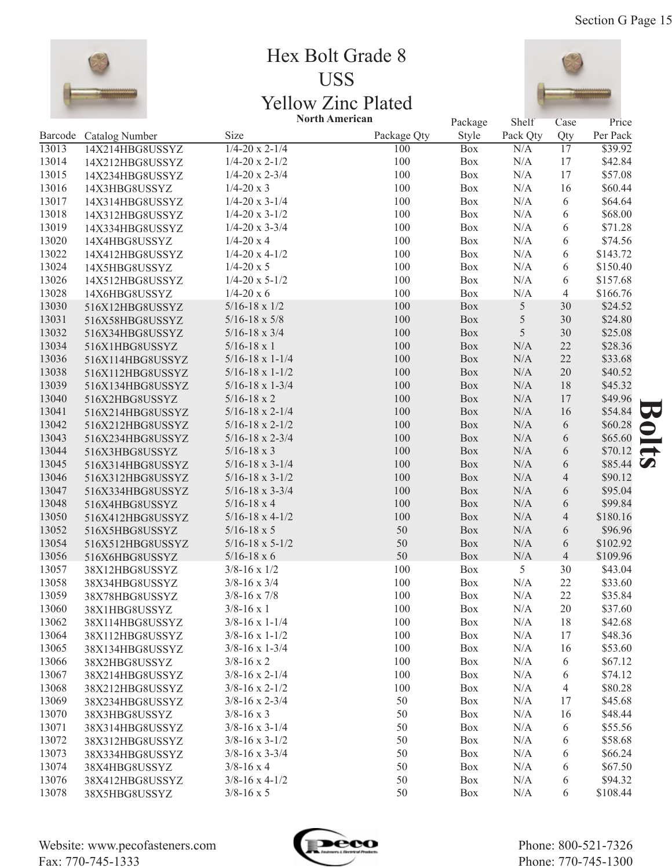

### Hex Bolt Grade 8 USS Yellow Zinc Plated **North American**



|       |                        | <b>North American</b>      |             | Package    | Shelf      | Case            | Price    |                  |
|-------|------------------------|----------------------------|-------------|------------|------------|-----------------|----------|------------------|
|       | Barcode Catalog Number | Size                       | Package Qty | Style      | Pack Qty   | Qty             | Per Pack |                  |
| 13013 | 14X214HBG8USSYZ        | $1/4 - 20 \times 2 - 1/4$  | 100         | <b>Box</b> | N/A        | $\overline{17}$ | \$39.92  |                  |
| 13014 | 14X212HBG8USSYZ        | $1/4 - 20 \times 2 - 1/2$  | 100         | Box        | $\rm N/A$  | 17              | \$42.84  |                  |
| 13015 | 14X234HBG8USSYZ        | $1/4 - 20 \times 2 - 3/4$  | 100         | Box        | N/A        | 17              | \$57.08  |                  |
| 13016 | 14X3HBG8USSYZ          | $1/4 - 20x3$               | 100         | Box        | N/A        | 16              | \$60.44  |                  |
| 13017 | 14X314HBG8USSYZ        | $1/4 - 20 \times 3 - 1/4$  | 100         | Box        | N/A        | 6               | \$64.64  |                  |
| 13018 | 14X312HBG8USSYZ        | $1/4 - 20 \times 3 - 1/2$  | 100         | Box        | N/A        | 6               | \$68.00  |                  |
| 13019 | 14X334HBG8USSYZ        | $1/4 - 20 \times 3 - 3/4$  | 100         | Box        | N/A        | 6               | \$71.28  |                  |
| 13020 | 14X4HBG8USSYZ          | $1/4 - 20x4$               | 100         | Box        | N/A        | 6               | \$74.56  |                  |
| 13022 | 14X412HBG8USSYZ        | $1/4 - 20 \times 4 - 1/2$  | 100         | Box        | N/A        | 6               | \$143.72 |                  |
| 13024 | 14X5HBG8USSYZ          | $1/4 - 20 \times 5$        | 100         | Box        | N/A        | 6               | \$150.40 |                  |
| 13026 | 14X512HBG8USSYZ        | $1/4 - 20 \times 5 - 1/2$  | 100         | Box        | N/A        | 6               | \$157.68 |                  |
| 13028 | 14X6HBG8USSYZ          | $1/4 - 20x6$               | 100         | Box        | N/A        | $\overline{4}$  | \$166.76 |                  |
| 13030 | 516X12HBG8USSYZ        | $5/16 - 18 \times 1/2$     | 100         | Box        | 5          | 30              | \$24.52  |                  |
| 13031 | 516X58HBG8USSYZ        | $5/16 - 18 \times 5/8$     | 100         | Box        | $\sqrt{5}$ | 30              | \$24.80  |                  |
| 13032 | 516X34HBG8USSYZ        | $5/16 - 18 \times 3/4$     | 100         | Box        | 5          | 30              | \$25.08  |                  |
| 13034 | 516X1HBG8USSYZ         | $5/16 - 18 \times 1$       | 100         | Box        | N/A        | 22              | \$28.36  |                  |
| 13036 | 516X114HBG8USSYZ       | $5/16 - 18 \times 1 - 1/4$ | 100         | Box        | $\rm N/A$  | 22              | \$33.68  |                  |
| 13038 | 516X112HBG8USSYZ       | $5/16 - 18 \times 1 - 1/2$ | 100         | Box        | $\rm N/A$  | $20\,$          | \$40.52  |                  |
| 13039 | 516X134HBG8USSYZ       | $5/16 - 18 \times 1 - 3/4$ | 100         | Box        | $\rm N/A$  | 18              | \$45.32  |                  |
| 13040 | 516X2HBG8USSYZ         | $5/16 - 18 \times 2$       | 100         | Box        | $\rm N/A$  | 17              | \$49.96  |                  |
| 13041 | 516X214HBG8USSYZ       | $5/16 - 18 \times 2 - 1/4$ | 100         | Box        | $\rm N/A$  | 16              | \$54.84  | 59               |
| 13042 | 516X212HBG8USSYZ       | $5/16 - 18 \times 2 - 1/2$ | 100         | Box        | $\rm N/A$  | 6               | \$60.28  | $\bullet$        |
| 13043 | 516X234HBG8USSYZ       | $5/16 - 18 \times 2 - 3/4$ | 100         | Box        | $\rm N/A$  | 6               | \$65.60  | ۰                |
| 13044 | 516X3HBG8USSYZ         | $5/16 - 18 \times 3$       | 100         | Box        | $\rm N/A$  | 6               | \$70.12  | $\rightarrow$    |
| 13045 | 516X314HBG8USSYZ       | $5/16 - 18 \times 3 - 1/4$ | 100         | Box        | $\rm N/A$  | 6               | \$85.44  | $\boldsymbol{O}$ |
| 13046 | 516X312HBG8USSYZ       | $5/16 - 18 \times 3 - 1/2$ | 100         | Box        | $\rm N/A$  | $\overline{4}$  | \$90.12  |                  |
| 13047 | 516X334HBG8USSYZ       | $5/16 - 18 \times 3 - 3/4$ | 100         | Box        | $\rm N/A$  | 6               | \$95.04  |                  |
| 13048 | 516X4HBG8USSYZ         | $5/16 - 18 \times 4$       | 100         | Box        | $\rm N/A$  | 6               | \$99.84  |                  |
| 13050 | 516X412HBG8USSYZ       | $5/16 - 18 \times 4 - 1/2$ | 100         | Box        | $\rm N/A$  | $\overline{4}$  | \$180.16 |                  |
| 13052 | 516X5HBG8USSYZ         | $5/16 - 18 \times 5$       | 50          | Box        | N/A        | 6               | \$96.96  |                  |
| 13054 | 516X512HBG8USSYZ       | $5/16 - 18 \times 5 - 1/2$ | 50          | Box        | N/A        | 6               | \$102.92 |                  |
| 13056 | 516X6HBG8USSYZ         | $5/16 - 18 \times 6$       | 50          | Box        | N/A        | $\overline{4}$  | \$109.96 |                  |
| 13057 | 38X12HBG8USSYZ         | $3/8 - 16 \times 1/2$      | 100         | Box        | 5          | 30              | \$43.04  |                  |
| 13058 | 38X34HBG8USSYZ         | $3/8 - 16 \times 3/4$      | 100         | Box        | N/A        | 22              | \$33.60  |                  |
| 13059 | 38X78HBG8USSYZ         | $3/8 - 16 \times 7/8$      | 100         | Box        | N/A        | 22              | \$35.84  |                  |
| 13060 | 38X1HBG8USSYZ          | $3/8 - 16 \times 1$        | $100\,$     | Box        | N/A        | 20              | \$37.60  |                  |
| 13062 | 38X114HBG8USSYZ        | $3/8 - 16 \times 1 - 1/4$  | 100         | <b>Box</b> | N/A        | 18              | \$42.68  |                  |
| 13064 | 38X112HBG8USSYZ        | $3/8 - 16 \times 1 - 1/2$  | 100         | Box        | N/A        | 17              | \$48.36  |                  |
| 13065 | 38X134HBG8USSYZ        | $3/8 - 16 \times 1 - 3/4$  | 100         | Box        | N/A        | 16              | \$53.60  |                  |
| 13066 | 38X2HBG8USSYZ          | $3/8 - 16 \times 2$        | 100         | Box        | N/A        | 6               | \$67.12  |                  |
| 13067 | 38X214HBG8USSYZ        | $3/8 - 16 \times 2 - 1/4$  | 100         | Box        | N/A        | 6               | \$74.12  |                  |
| 13068 | 38X212HBG8USSYZ        | $3/8 - 16 \times 2 - 1/2$  | 100         | Box        | N/A        | $\overline{4}$  | \$80.28  |                  |
| 13069 | 38X234HBG8USSYZ        | $3/8 - 16 \times 2 - 3/4$  | 50          | Box        | N/A        | 17              | \$45.68  |                  |
| 13070 | 38X3HBG8USSYZ          | $3/8 - 16 \times 3$        | 50          | Box        | N/A        | 16              | \$48.44  |                  |
| 13071 | 38X314HBG8USSYZ        | $3/8 - 16 \times 3 - 1/4$  | 50          | Box        | N/A        | 6               | \$55.56  |                  |
| 13072 | 38X312HBG8USSYZ        | $3/8 - 16 \times 3 - 1/2$  | 50          | Box        | N/A        | 6               | \$58.68  |                  |
| 13073 | 38X334HBG8USSYZ        | $3/8 - 16 \times 3 - 3/4$  | 50          | Box        | N/A        | 6               | \$66.24  |                  |
| 13074 | 38X4HBG8USSYZ          | $3/8 - 16 \times 4$        | 50          | Box        | N/A        | 6               | \$67.50  |                  |
| 13076 | 38X412HBG8USSYZ        | $3/8 - 16 \times 4 - 1/2$  | 50          | Box        | N/A        | 6               | \$94.32  |                  |
| 13078 | 38X5HBG8USSYZ          | $3/8 - 16 \times 5$        | 50          | Box        | N/A        | 6               | \$108.44 |                  |
|       |                        |                            |             |            |            |                 |          |                  |

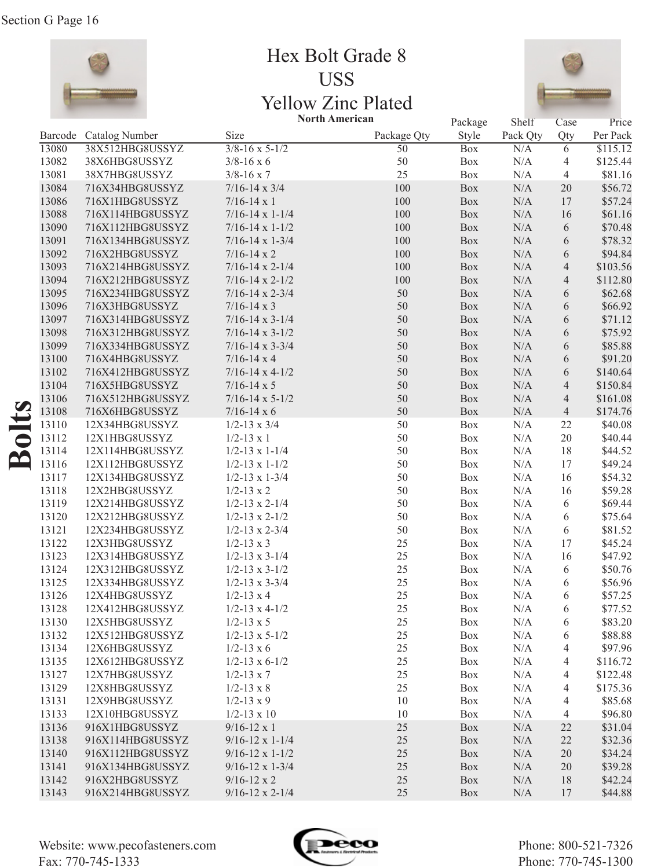

Hex Bolt Grade 8 USS Yellow Zinc Plated



|       |                        |                            | <b>North American</b> | Package    | Shelf     | Case           | Price              |
|-------|------------------------|----------------------------|-----------------------|------------|-----------|----------------|--------------------|
|       | Barcode Catalog Number | Size                       | Package Qty           | Style      | Pack Qty  | Qty            | Per Pack           |
| 13080 | 38X512HBG8USSYZ        | $3/8 - 16 \times 5 - 1/2$  | 50                    | <b>Box</b> | N/A       | 6              | \$115.12           |
| 13082 | 38X6HBG8USSYZ          | $3/8 - 16 \times 6$        | 50                    | Box        | N/A       | 4              | \$125.44           |
| 13081 | 38X7HBG8USSYZ          | $3/8 - 16 \times 7$        | 25                    | Box        | N/A       | $\overline{4}$ | \$81.16            |
| 13084 | 716X34HBG8USSYZ        | $7/16 - 14 \times 3/4$     | 100                   | Box        | $\rm N/A$ | $20\,$         | \$56.72            |
| 13086 | 716X1HBG8USSYZ         | $7/16 - 14 \times 1$       | 100                   | Box        | N/A       | 17             | \$57.24            |
| 13088 | 716X114HBG8USSYZ       | $7/16 - 14 \times 1 - 1/4$ | 100                   | Box        | N/A       | 16             | \$61.16            |
| 13090 | 716X112HBG8USSYZ       | $7/16 - 14 \times 1 - 1/2$ | 100                   | Box        | N/A       | 6              | \$70.48            |
| 13091 | 716X134HBG8USSYZ       | $7/16 - 14 \times 1 - 3/4$ | 100                   | Box        | N/A       | 6              | \$78.32            |
| 13092 | 716X2HBG8USSYZ         | $7/16 - 14 \times 2$       | 100                   | Box        | N/A       | 6              | \$94.84            |
| 13093 | 716X214HBG8USSYZ       | $7/16 - 14 \times 2 - 1/4$ | 100                   | Box        | $\rm N/A$ | $\overline{4}$ | \$103.56           |
| 13094 | 716X212HBG8USSYZ       | $7/16 - 14 \times 2 - 1/2$ | 100                   | Box        | $\rm N/A$ | $\overline{4}$ | \$112.80           |
| 13095 | 716X234HBG8USSYZ       | $7/16 - 14 \times 2 - 3/4$ | 50                    | Box        | N/A       | 6              | \$62.68            |
| 13096 | 716X3HBG8USSYZ         | $7/16 - 14 \times 3$       | 50                    | Box        | N/A       | 6              | \$66.92            |
| 13097 | 716X314HBG8USSYZ       | $7/16 - 14 \times 3 - 1/4$ | 50                    | Box        | N/A       | 6              | \$71.12            |
| 13098 | 716X312HBG8USSYZ       | $7/16 - 14 \times 3 - 1/2$ | 50                    | Box        | N/A       | 6              | \$75.92            |
| 13099 | 716X334HBG8USSYZ       | $7/16 - 14 \times 3 - 3/4$ | 50                    | Box        | N/A       | 6              | \$85.88            |
| 13100 | 716X4HBG8USSYZ         | $7/16 - 14 \times 4$       | 50                    | Box        | N/A       | 6              | \$91.20            |
| 13102 | 716X412HBG8USSYZ       | $7/16 - 14 \times 4 - 1/2$ | 50                    | Box        | N/A       | 6              | \$140.64           |
| 13104 | 716X5HBG8USSYZ         | $7/16 - 14 \times 5$       | 50                    | Box        | $\rm N/A$ | $\overline{4}$ | \$150.84           |
| 13106 | 716X512HBG8USSYZ       | $7/16 - 14 \times 5 - 1/2$ | 50                    | Box        | N/A       | $\overline{4}$ | \$161.08           |
| 13108 | 716X6HBG8USSYZ         | $7/16 - 14 \times 6$       | 50                    | Box        | N/A       | $\overline{4}$ | \$174.76           |
| 13110 | 12X34HBG8USSYZ         | $1/2 - 13 \times 3/4$      | 50                    | Box        | N/A       | 22             | \$40.08            |
| 13112 | 12X1HBG8USSYZ          | $1/2 - 13 \times 1$        | 50                    | Box        | N/A       | 20             | \$40.44            |
| 13114 | 12X114HBG8USSYZ        | $1/2 - 13 \times 1 - 1/4$  | 50                    | Box        | N/A       | 18             | \$44.52            |
| 13116 | 12X112HBG8USSYZ        | $1/2 - 13 \times 1 - 1/2$  | 50                    | Box        | N/A       | 17             | \$49.24            |
| 13117 | 12X134HBG8USSYZ        | $1/2 - 13 \times 1 - 3/4$  | 50                    | Box        | N/A       | 16             | \$54.32            |
| 13118 |                        |                            | 50                    |            | N/A       | 16             |                    |
| 13119 | 12X2HBG8USSYZ          | $1/2 - 13 \times 2$        | 50                    | Box        |           |                | \$59.28<br>\$69.44 |
|       | 12X214HBG8USSYZ        | $1/2 - 13 \times 2 - 1/4$  | 50                    | Box        | N/A       | 6              |                    |
| 13120 | 12X212HBG8USSYZ        | $1/2 - 13 \times 2 - 1/2$  | 50                    | Box        | N/A       | 6              | \$75.64            |
| 13121 | 12X234HBG8USSYZ        | $1/2 - 13 \times 2 - 3/4$  | 25                    | Box        | N/A       | 6<br>17        | \$81.52            |
| 13122 | 12X3HBG8USSYZ          | $1/2 - 13 \times 3$        |                       | Box        | N/A       |                | \$45.24            |
| 13123 | 12X314HBG8USSYZ        | $1/2 - 13 \times 3 - 1/4$  | 25                    | Box        | N/A       | 16             | \$47.92            |
| 13124 | 12X312HBG8USSYZ        | $1/2 - 13 \times 3 - 1/2$  | 25                    | Box        | N/A       | 6              | \$50.76            |
| 13125 | 12X334HBG8USSYZ        | $1/2 - 13 \times 3 - 3/4$  | 25                    | Box        | N/A       | 6              | \$56.96            |
| 13126 | 12X4HBG8USSYZ          | $1/2 - 13 \times 4$        | 25                    | Box        | N/A       | 6              | \$57.25            |
| 13128 | 12X412HBG8USSYZ        | $1/2 - 13 \times 4 - 1/2$  | 25                    | Box        | N/A       | 6              | \$77.52            |
| 13130 | 12X5HBG8USSYZ          | $1/2 - 13 \times 5$        | $25\,$                | Box        | N/A       | 6              | \$83.20            |
| 13132 | 12X512HBG8USSYZ        | $1/2 - 13 \times 5 - 1/2$  | $25\,$                | Box        | N/A       | 6              | \$88.88            |
| 13134 | 12X6HBG8USSYZ          | $1/2 - 13 \times 6$        | $25\,$                | Box        | N/A       | 4              | \$97.96            |
| 13135 | 12X612HBG8USSYZ        | $1/2 - 13 \times 6 - 1/2$  | $25\,$                | Box        | N/A       | $\overline{4}$ | \$116.72           |
| 13127 | 12X7HBG8USSYZ          | $1/2 - 13 \times 7$        | $25\,$                | Box        | N/A       | $\overline{4}$ | \$122.48           |
| 13129 | 12X8HBG8USSYZ          | $1/2 - 13 \times 8$        | 25                    | Box        | N/A       | 4              | \$175.36           |
| 13131 | 12X9HBG8USSYZ          | $1/2 - 13 \times 9$        | 10                    | Box        | N/A       | 4              | \$85.68            |
| 13133 | 12X10HBG8USSYZ         | $1/2 - 13 \times 10$       | 10                    | Box        | N/A       | $\overline{4}$ | \$96.80            |
| 13136 | 916X1HBG8USSYZ         | $9/16 - 12 \times 1$       | $25\,$                | Box        | N/A       | 22             | \$31.04            |
| 13138 | 916X114HBG8USSYZ       | $9/16 - 12 \times 1 - 1/4$ | $25\,$                | Box        | N/A       | 22             | \$32.36            |
| 13140 | 916X112HBG8USSYZ       | $9/16 - 12 \times 1 - 1/2$ | $25\,$                | Box        | N/A       | 20             | \$34.24            |
| 13141 | 916X134HBG8USSYZ       | $9/16 - 12 \times 1 - 3/4$ | $25\,$                | Box        | N/A       | 20             | \$39.28            |
| 13142 | 916X2HBG8USSYZ         | $9/16 - 12 \times 2$       | $25\,$                | Box        | N/A       | 18             | \$42.24            |
| 13143 | 916X214HBG8USSYZ       | $9/16 - 12 \times 2 - 1/4$ | 25                    | Box        | N/A       | 17             | \$44.88            |

**Bolts**

Website: www.pecofasteners.com Fax: 770-745-1333

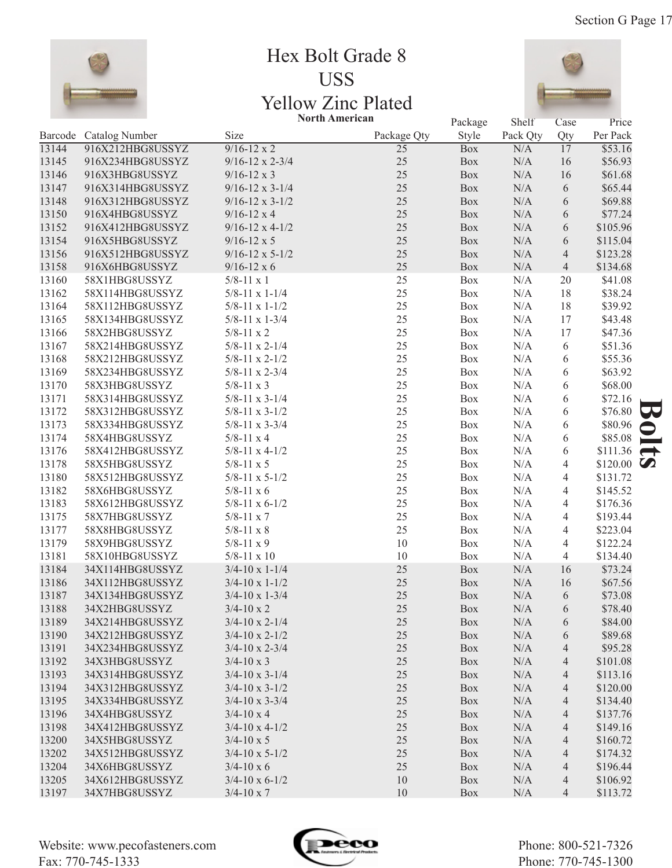

# Hex Bolt Grade 8 USS Yellow Zinc Plated



|       |                        | <b>North American</b>      |             | Package | Shelf    | Case           | Price              |               |
|-------|------------------------|----------------------------|-------------|---------|----------|----------------|--------------------|---------------|
|       | Barcode Catalog Number | Size                       | Package Qty | Style   | Pack Qty | Qty            | Per Pack           |               |
| 13144 | 916X212HBG8USSYZ       | $9/16 - 12 \times 2$       | 25          | Box     | N/A      | 17             | \$53.16            |               |
| 13145 | 916X234HBG8USSYZ       | $9/16 - 12 \times 2 - 3/4$ | 25          | Box     | N/A      | 16             | \$56.93            |               |
| 13146 | 916X3HBG8USSYZ         | $9/16 - 12 \times 3$       | 25          | Box     | N/A      | 16             | \$61.68            |               |
| 13147 | 916X314HBG8USSYZ       | $9/16 - 12 \times 3 - 1/4$ | 25          | Box     | N/A      | 6              | \$65.44            |               |
| 13148 | 916X312HBG8USSYZ       | $9/16 - 12 \times 3 - 1/2$ | 25          | Box     | N/A      | 6              | \$69.88            |               |
| 13150 | 916X4HBG8USSYZ         | $9/16 - 12 \times 4$       | 25          | Box     | N/A      | 6              | \$77.24            |               |
| 13152 | 916X412HBG8USSYZ       | $9/16 - 12 \times 4 - 1/2$ | 25          | Box     | N/A      | 6              | \$105.96           |               |
| 13154 | 916X5HBG8USSYZ         | $9/16 - 12 \times 5$       | 25          | Box     | N/A      | 6              | \$115.04           |               |
| 13156 | 916X512HBG8USSYZ       | $9/16 - 12 \times 5 - 1/2$ | 25          | Box     | N/A      | $\overline{4}$ | \$123.28           |               |
| 13158 | 916X6HBG8USSYZ         | $9/16 - 12 \times 6$       | 25          | Box     | N/A      | $\overline{4}$ | \$134.68           |               |
| 13160 | 58X1HBG8USSYZ          | $5/8 - 11 \times 1$        | $25\,$      | Box     | N/A      | 20             | \$41.08            |               |
| 13162 | 58X114HBG8USSYZ        | $5/8 - 11 \times 1 - 1/4$  | 25          | Box     | N/A      | 18             | \$38.24            |               |
| 13164 | 58X112HBG8USSYZ        | $5/8 - 11 \times 1 - 1/2$  | 25          | Box     | N/A      | 18             | \$39.92            |               |
| 13165 | 58X134HBG8USSYZ        | $5/8 - 11 \times 1 - 3/4$  | 25          | Box     | N/A      | 17             | \$43.48            |               |
| 13166 | 58X2HBG8USSYZ          | $5/8 - 11 \times 2$        | 25          | Box     | N/A      | 17             | \$47.36            |               |
| 13167 | 58X214HBG8USSYZ        | $5/8 - 11 \times 2 - 1/4$  | 25          | Box     | N/A      | 6              | \$51.36            |               |
| 13168 | 58X212HBG8USSYZ        | $5/8 - 11 \times 2 - 1/2$  | 25          | Box     | N/A      | 6              | \$55.36            |               |
| 13169 | 58X234HBG8USSYZ        | $5/8 - 11 \times 2 - 3/4$  | 25          | Box     | N/A      | 6              | \$63.92            |               |
| 13170 | 58X3HBG8USSYZ          | $5/8 - 11 \times 3$        | 25          | Box     | N/A      | 6              | \$68.00            |               |
| 13171 | 58X314HBG8USSYZ        | $5/8 - 11 \times 3 - 1/4$  | 25          | Box     | N/A      | 6              | \$72.16            |               |
| 13172 | 58X312HBG8USSYZ        | $5/8 - 11 \times 3 - 1/2$  | 25          | Box     | N/A      | 6              | \$76.80            |               |
| 13173 | 58X334HBG8USSYZ        | $5/8 - 11 \times 3 - 3/4$  | 25          | Box     | N/A      | 6              | \$80.96            |               |
| 13174 | 58X4HBG8USSYZ          | $5/8 - 11 \times 4$        | 25          | Box     | N/A      | 6              | \$85.08            | $\sim$        |
| 13176 | 58X412HBG8USSYZ        | $5/8 - 11 \times 4 - 1/2$  | 25          | Box     | N/A      | 6              | \$111.36           | $\rightarrow$ |
| 13178 | 58X5HBG8USSYZ          | $5/8 - 11 \times 5$        | 25          | Box     | N/A      | 4              | \$120.00 $\bullet$ |               |
| 13180 | 58X512HBG8USSYZ        | $5/8 - 11 \times 5 - 1/2$  | 25          | Box     | N/A      | 4              | \$131.72           |               |
| 13182 | 58X6HBG8USSYZ          | $5/8 - 11 \times 6$        | 25          | Box     | N/A      | 4              | \$145.52           |               |
| 13183 | 58X612HBG8USSYZ        | $5/8-11 \times 6-1/2$      | 25          | Box     | N/A      | 4              | \$176.36           |               |
| 13175 | 58X7HBG8USSYZ          | $5/8 - 11 \times 7$        | 25          | Box     | N/A      | 4              | \$193.44           |               |
| 13177 | 58X8HBG8USSYZ          | $5/8 - 11 \times 8$        | 25          | Box     | N/A      | 4              | \$223.04           |               |
| 13179 | 58X9HBG8USSYZ          | $5/8 - 11 \times 9$        | $10\,$      | Box     | N/A      | 4              | \$122.24           |               |
| 13181 | 58X10HBG8USSYZ         | $5/8 - 11 \times 10$       | 10          | Box     | N/A      | 4              | \$134.40           |               |
| 13184 | 34X114HBG8USSYZ        | $3/4 - 10 \times 1 - 1/4$  | 25          | Box     | N/A      | 16             | \$73.24            |               |
| 13186 | 34X112HBG8USSYZ        | $3/4 - 10 \times 1 - 1/2$  | 25          | Box     | N/A      | 16             | \$67.56            |               |
| 13187 | 34X134HBG8USSYZ        | $3/4 - 10 \times 1 - 3/4$  | 25          | Box     | N/A      | 6              | \$73.08            |               |
| 13188 | 34X2HBG8USSYZ          | $3/4 - 10 \times 2$        | 25          | Box     | N/A      | 6              | \$78.40            |               |
| 13189 | 34X214HBG8USSYZ        | $3/4 - 10 \times 2 - 1/4$  | 25          | Box     | N/A      | 6              | \$84.00            |               |
| 13190 | 34X212HBG8USSYZ        | $3/4 - 10 \times 2 - 1/2$  | 25          | Box     | N/A      | 6              | \$89.68            |               |
| 13191 | 34X234HBG8USSYZ        | $3/4 - 10 \times 2 - 3/4$  | 25          | Box     | N/A      | 4              | \$95.28            |               |
| 13192 | 34X3HBG8USSYZ          | $3/4 - 10 \times 3$        | 25          | Box     | N/A      | 4              | \$101.08           |               |
| 13193 | 34X314HBG8USSYZ        | $3/4 - 10 \times 3 - 1/4$  | 25          | Box     | N/A      | 4              | \$113.16           |               |
| 13194 | 34X312HBG8USSYZ        | $3/4 - 10 \times 3 - 1/2$  | 25          | Box     | N/A      | 4              | \$120.00           |               |
| 13195 | 34X334HBG8USSYZ        | $3/4 - 10 \times 3 - 3/4$  | 25          | Box     | N/A      | 4              | \$134.40           |               |
| 13196 | 34X4HBG8USSYZ          | $3/4 - 10 \times 4$        | 25          | Box     | N/A      | 4              | \$137.76           |               |
| 13198 | 34X412HBG8USSYZ        | $3/4$ -10 x 4-1/2          | 25          | Box     | N/A      | 4              | \$149.16           |               |
| 13200 | 34X5HBG8USSYZ          | $3/4 - 10 \times 5$        | 25          | Box     | N/A      | 4              | \$160.72           |               |
| 13202 | 34X512HBG8USSYZ        | $3/4 - 10 \times 5 - 1/2$  | 25          | Box     | N/A      | 4              | \$174.32           |               |
| 13204 | 34X6HBG8USSYZ          | $3/4 - 10 \times 6$        | 25          | Box     | N/A      | 4              | \$196.44           |               |
| 13205 | 34X612HBG8USSYZ        | $3/4$ -10 x 6-1/2          | 10          | Box     | N/A      | 4              | \$106.92           |               |
| 13197 | 34X7HBG8USSYZ          | $3/4 - 10 \times 7$        | 10          | Box     | N/A      | 4              | \$113.72           |               |

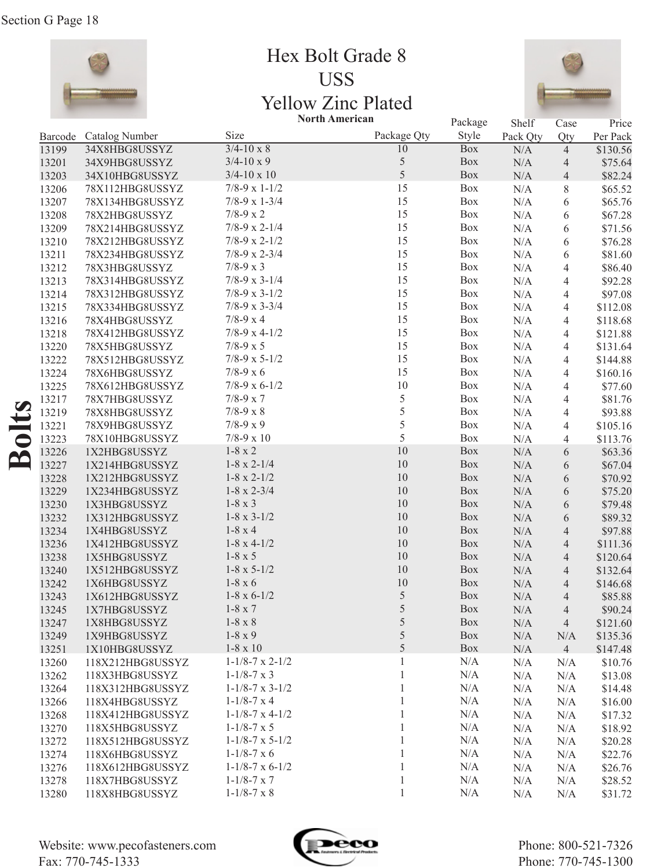

Hex Bolt Grade 8 USS Yellow Zinc Plated



|       |                        |                              | <b>North American</b> | Package    | Shelf     | Case           | Price    |
|-------|------------------------|------------------------------|-----------------------|------------|-----------|----------------|----------|
|       | Barcode Catalog Number | Size                         | Package Qty           | Style      | Pack Qty  | Qty            | Per Pack |
| 13199 | 34X8HBG8USSYZ          | $3/4 - 10 \times 8$          | 10                    | <b>Box</b> | N/A       | $\overline{4}$ | \$130.56 |
| 13201 | 34X9HBG8USSYZ          | $3/4 - 10 \times 9$          | 5                     | Box        | $\rm N/A$ | 4              | \$75.64  |
| 13203 | 34X10HBG8USSYZ         | $3/4 - 10 \times 10$         | 5                     | Box        | $\rm N/A$ | $\overline{4}$ | \$82.24  |
| 13206 | 78X112HBG8USSYZ        | $7/8-9 \times 1-1/2$         | 15                    | Box        | N/A       | 8              | \$65.52  |
| 13207 | 78X134HBG8USSYZ        | $7/8-9 \times 1-3/4$         | 15                    | Box        | N/A       | 6              | \$65.76  |
| 13208 | 78X2HBG8USSYZ          | $7/8 - 9 \times 2$           | 15                    | Box        | $\rm N/A$ | 6              | \$67.28  |
| 13209 | 78X214HBG8USSYZ        | $7/8-9 \times 2-1/4$         | 15                    | Box        | $\rm N/A$ | 6              | \$71.56  |
| 13210 | 78X212HBG8USSYZ        | $7/8-9 \times 2-1/2$         | 15                    | Box        | $\rm N/A$ | 6              | \$76.28  |
| 13211 | 78X234HBG8USSYZ        | $7/8-9 \times 2-3/4$         | 15                    | Box        | $\rm N/A$ | 6              | \$81.60  |
| 13212 | 78X3HBG8USSYZ          | $7/8 - 9 \times 3$           | 15                    | Box        | $\rm N/A$ | 4              | \$86.40  |
| 13213 | 78X314HBG8USSYZ        | $7/8-9 \times 3-1/4$         | 15                    | Box        | $\rm N/A$ | 4              | \$92.28  |
| 13214 | 78X312HBG8USSYZ        | $7/8-9 \times 3-1/2$         | 15                    | Box        | $\rm N/A$ | 4              | \$97.08  |
| 13215 | 78X334HBG8USSYZ        | $7/8-9 \times 3-3/4$         | 15                    | Box        | $\rm N/A$ | 4              | \$112.08 |
| 13216 | 78X4HBG8USSYZ          | $7/8 - 9 \times 4$           | 15                    | Box        | $\rm N/A$ | 4              | \$118.68 |
| 13218 | 78X412HBG8USSYZ        | $7/8-9 \times 4-1/2$         | 15                    | Box        | $\rm N/A$ | 4              | \$121.88 |
| 13220 | 78X5HBG8USSYZ          | $7/8 - 9 \times 5$           | 15                    | Box        | $\rm N/A$ | 4              | \$131.64 |
| 13222 | 78X512HBG8USSYZ        | $7/8-9 \times 5-1/2$         | 15                    | Box        | $\rm N/A$ | 4              | \$144.88 |
| 13224 | 78X6HBG8USSYZ          | $7/8 - 9 \times 6$           | 15                    | Box        | $\rm N/A$ | 4              | \$160.16 |
| 13225 | 78X612HBG8USSYZ        | $7/8-9 \times 6-1/2$         | $10\,$                | Box        | $\rm N/A$ | 4              | \$77.60  |
| 13217 | 78X7HBG8USSYZ          | $7/8 - 9 \times 7$           | 5                     | Box        | $\rm N/A$ | 4              | \$81.76  |
| 13219 |                        | $7/8 - 9 \times 8$           | 5                     | Box        | $\rm N/A$ | 4              | \$93.88  |
|       | 78X8HBG8USSYZ          | $7/8-9 x 9$                  | 5                     | Box        |           |                |          |
| 13221 | 78X9HBG8USSYZ          | $7/8 - 9 \times 10$          | 5                     | Box        | $\rm N/A$ | 4              | \$105.16 |
| 13223 | 78X10HBG8USSYZ         | $1-8 \times 2$               | 10                    | Box        | N/A       | 4              | \$113.76 |
| 13226 | 1X2HBG8USSYZ           | $1-8 \times 2-1/4$           | $10\,$                | Box        | $\rm N/A$ | 6              | \$63.36  |
| 13227 | 1X214HBG8USSYZ         |                              | $10\,$                |            | $\rm N/A$ | 6              | \$67.04  |
| 13228 | 1X212HBG8USSYZ         | $1-8 \times 2-1/2$           | 10                    | Box        | $\rm N/A$ | 6              | \$70.92  |
| 13229 | 1X234HBG8USSYZ         | $1-8 \times 2-3/4$           | $10\,$                | Box        | $\rm N/A$ | 6              | \$75.20  |
| 13230 | 1X3HBG8USSYZ           | $1-8 \times 3$               |                       | Box        | $\rm N/A$ | 6              | \$79.48  |
| 13232 | 1X312HBG8USSYZ         | $1-8 \times 3-1/2$           | $10\,$                | Box        | $\rm N/A$ | 6              | \$89.32  |
| 13234 | 1X4HBG8USSYZ           | $1-8 \times 4$               | $10\,$                | Box        | $\rm N/A$ | $\overline{4}$ | \$97.88  |
| 13236 | 1X412HBG8USSYZ         | $1-8 \times 4-1/2$           | $10\,$                | Box        | $\rm N/A$ | $\overline{4}$ | \$111.36 |
| 13238 | 1X5HBG8USSYZ           | $1-8 \times 5$               | $10\,$                | Box        | $\rm N/A$ | $\overline{4}$ | \$120.64 |
| 13240 | 1X512HBG8USSYZ         | $1-8 \times 5-1/2$           | $10\,$                | Box        | $\rm N/A$ | $\overline{4}$ | \$132.64 |
| 13242 | 1X6HBG8USSYZ           | $1-8 \times 6$               | 10                    | Box        | $\rm N/A$ | $\overline{4}$ | \$146.68 |
| 13243 | 1X612HBG8USSYZ         | $1-8 \times 6-1/2$           | 5                     | Box        | N/A       | 4              | \$85.88  |
| 13245 | 1X7HBG8USSYZ           | $1-8 \times 7$               | $\sqrt{5}$            | Box        | N/A       | 4              | \$90.24  |
| 13247 | 1X8HBG8USSYZ           | $1-8 \times 8$               | $\sqrt{5}$            | Box        | N/A       | 4              | \$121.60 |
| 13249 | 1X9HBG8USSYZ           | $1-8 \times 9$               | $\sqrt{5}$            | Box        | N/A       | N/A            | \$135.36 |
| 13251 | 1X10HBG8USSYZ          | $1-8 \times 10$              | 5                     | Box        | N/A       | $\overline{4}$ | \$147.48 |
| 13260 | 118X212HBG8USSYZ       | $1 - 1/8 - 7 \times 2 - 1/2$ | $\mathbf{1}$          | N/A        | N/A       | N/A            | \$10.76  |
| 13262 | 118X3HBG8USSYZ         | $1 - 1/8 - 7 \times 3$       | 1                     | N/A        | N/A       | N/A            | \$13.08  |
| 13264 | 118X312HBG8USSYZ       | $1 - 1/8 - 7 \times 3 - 1/2$ | $\mathbf{1}$          | N/A        | N/A       | N/A            | \$14.48  |
| 13266 | 118X4HBG8USSYZ         | $1 - 1/8 - 7 \times 4$       | $\mathbf{1}$          | N/A        | N/A       | N/A            | \$16.00  |
| 13268 | 118X412HBG8USSYZ       | $1 - 1/8 - 7 \times 4 - 1/2$ | $\mathbf{1}$          | N/A        | N/A       | N/A            | \$17.32  |
| 13270 | 118X5HBG8USSYZ         | $1 - 1/8 - 7 \times 5$       | $\mathbf{1}$          | N/A        | N/A       | N/A            | \$18.92  |
| 13272 | 118X512HBG8USSYZ       | $1 - 1/8 - 7 \times 5 - 1/2$ | $\mathbf{1}$          | N/A        | N/A       | N/A            | \$20.28  |
| 13274 | 118X6HBG8USSYZ         | $1 - 1/8 - 7 \times 6$       | $\mathbf{1}$          | N/A        | N/A       | N/A            | \$22.76  |
| 13276 | 118X612HBG8USSYZ       | $1-1/8-7 \times 6-1/2$       | $\mathbf{1}$          | N/A        | N/A       | N/A            | \$26.76  |
| 13278 | 118X7HBG8USSYZ         | $1 - 1/8 - 7 \times 7$       | 1                     | N/A        | N/A       | N/A            | \$28.52  |
| 13280 | 118X8HBG8USSYZ         | $1 - 1/8 - 7 \times 8$       | $\,1\,$               | N/A        | N/A       | N/A            | \$31.72  |

**Bolts**

Website: www.pecofasteners.com Fax: 770-745-1333

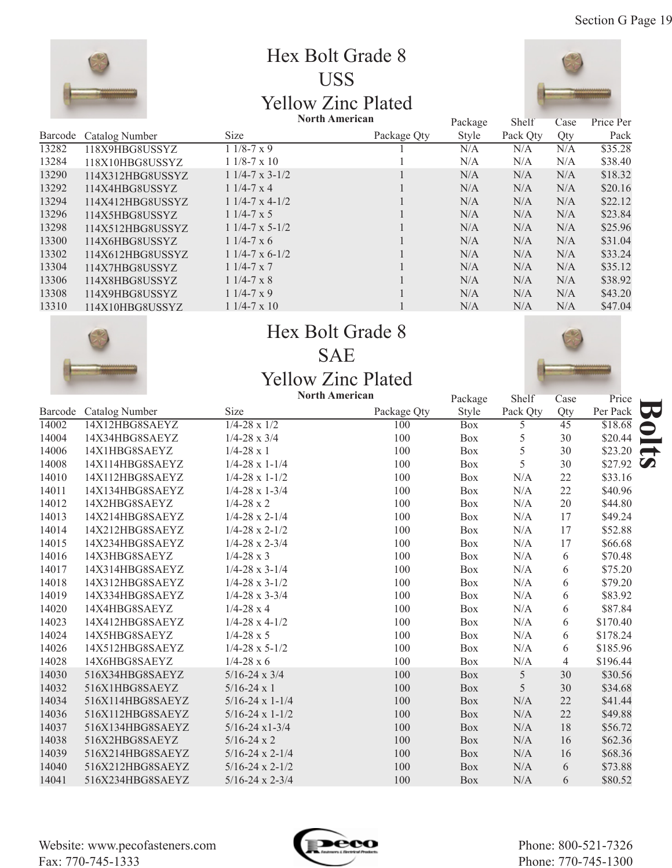

# Hex Bolt Grade 8 USS Yellow Zinc Plated



|         |                  |                           | <b>North American</b> | Package | Shelf    | Case | Price Per |
|---------|------------------|---------------------------|-----------------------|---------|----------|------|-----------|
| Barcode | Catalog Number   | Size                      | Package Qty           | Style   | Pack Qty | Qty  | Pack      |
| 13282   | 118X9HBG8USSYZ   | $11/8-7 \times 9$         |                       | N/A     | N/A      | N/A  | \$35.28   |
| 13284   | 118X10HBG8USSYZ  | $11/8-7 \times 10$        |                       | N/A     | N/A      | N/A  | \$38.40   |
| 13290   | 114X312HBG8USSYZ | $11/4-7 \times 3-1/2$     |                       | N/A     | N/A      | N/A  | \$18.32   |
| 13292   | 114X4HBG8USSYZ   | $11/4 - 7 \times 4$       |                       | N/A     | N/A      | N/A  | \$20.16   |
| 13294   | 114X412HBG8USSYZ | $11/4-7 \times 4-1/2$     |                       | N/A     | N/A      | N/A  | \$22.12   |
| 13296   | 114X5HBG8USSYZ   | $11/4 - 7 \times 5$       |                       | N/A     | N/A      | N/A  | \$23.84   |
| 13298   | 114X512HBG8USSYZ | $11/4 - 7 \times 5 - 1/2$ |                       | N/A     | N/A      | N/A  | \$25.96   |
| 13300   | 114X6HBG8USSYZ   | $11/4-7 \times 6$         |                       | N/A     | N/A      | N/A  | \$31.04   |
| 13302   | 114X612HBG8USSYZ | $11/4-7 \times 6-1/2$     |                       | N/A     | N/A      | N/A  | \$33.24   |
| 13304   | 114X7HBG8USSYZ   | $11/4 - 7 \times 7$       |                       | N/A     | N/A      | N/A  | \$35.12   |
| 13306   | 114X8HBG8USSYZ   | $11/4 - 7 \times 8$       |                       | N/A     | N/A      | N/A  | \$38.92   |
| 13308   | 114X9HBG8USSYZ   | $11/4-7 \times 9$         |                       | N/A     | N/A      | N/A  | \$43.20   |
| 13310   | 114X10HBG8USSYZ  | $11/4 - 7 \times 10$      |                       | N/A     | N/A      | N/A  | \$47.04   |



# Hex Bolt Grade 8 SAE

#### Yellow Zinc Plated **North American**



|         |                  |                              | <b>North American</b> |                  | Shelf    | Case            | Price    |                       |
|---------|------------------|------------------------------|-----------------------|------------------|----------|-----------------|----------|-----------------------|
| Barcode | Catalog Number   | Size                         | Package Qty           | Package<br>Style | Pack Qty | Qty             | Per Pack | W                     |
| 14002   | 14X12HBG8SAEYZ   | $\frac{1}{4-28 \times 1}{2}$ | 100                   | <b>Box</b>       | 5        | $\overline{45}$ | \$18.68  |                       |
| 14004   | 14X34HBG8SAEYZ   | $1/4 - 28 \times 3/4$        | 100                   | <b>Box</b>       | 5        | 30              | \$20.44  |                       |
| 14006   | 14X1HBG8SAEYZ    | $1/4 - 28 \times 1$          | 100                   | Box              | 5        | 30              | \$23.20  | $\rightarrow$         |
| 14008   | 14X114HBG8SAEYZ  | $1/4 - 28 \times 1 - 1/4$    | 100                   | <b>Box</b>       | 5        | 30              | \$27.92  | $\boldsymbol{\omega}$ |
| 14010   | 14X112HBG8SAEYZ  | $1/4-28 \times 1-1/2$        | 100                   | <b>Box</b>       | N/A      | 22              | \$33.16  |                       |
| 14011   | 14X134HBG8SAEYZ  | $1/4 - 28 \times 1 - 3/4$    | 100                   | <b>Box</b>       | N/A      | 22              | \$40.96  |                       |
| 14012   | 14X2HBG8SAEYZ    | $1/4 - 28 \times 2$          | 100                   | <b>Box</b>       | N/A      | 20              | \$44.80  |                       |
| 14013   | 14X214HBG8SAEYZ  | $1/4 - 28 \times 2 - 1/4$    | 100                   | <b>Box</b>       | N/A      | 17              | \$49.24  |                       |
| 14014   | 14X212HBG8SAEYZ  | $1/4 - 28 \times 2 - 1/2$    | 100                   | <b>Box</b>       | N/A      | 17              | \$52.88  |                       |
| 14015   | 14X234HBG8SAEYZ  | $1/4 - 28 \times 2 - 3/4$    | 100                   | <b>Box</b>       | N/A      | 17              | \$66.68  |                       |
| 14016   | 14X3HBG8SAEYZ    | $1/4 - 28 \times 3$          | 100                   | <b>Box</b>       | N/A      | 6               | \$70.48  |                       |
| 14017   | 14X314HBG8SAEYZ  | $1/4 - 28 \times 3 - 1/4$    | 100                   | Box              | N/A      | 6               | \$75.20  |                       |
| 14018   | 14X312HBG8SAEYZ  | $1/4 - 28 \times 3 - 1/2$    | 100                   | Box              | N/A      | 6               | \$79.20  |                       |
| 14019   | 14X334HBG8SAEYZ  | $1/4 - 28 \times 3 - 3/4$    | 100                   | <b>Box</b>       | N/A      | 6               | \$83.92  |                       |
| 14020   | 14X4HBG8SAEYZ    | $1/4 - 28 \times 4$          | 100                   | <b>Box</b>       | N/A      | 6               | \$87.84  |                       |
| 14023   | 14X412HBG8SAEYZ  | $1/4 - 28 \times 4 - 1/2$    | 100                   | Box              | N/A      | 6               | \$170.40 |                       |
| 14024   | 14X5HBG8SAEYZ    | $1/4 - 28 \times 5$          | 100                   | Box              | N/A      | 6               | \$178.24 |                       |
| 14026   | 14X512HBG8SAEYZ  | $1/4 - 28 \times 5 - 1/2$    | 100                   | <b>Box</b>       | N/A      | 6               | \$185.96 |                       |
| 14028   | 14X6HBG8SAEYZ    | $1/4 - 28 \times 6$          | 100                   | <b>Box</b>       | N/A      | $\overline{4}$  | \$196.44 |                       |
| 14030   | 516X34HBG8SAEYZ  | $5/16 - 24 \times 3/4$       | 100                   | Box              | 5        | 30              | \$30.56  |                       |
| 14032   | 516X1HBG8SAEYZ   | $5/16-24 \times 1$           | 100                   | <b>Box</b>       | 5        | 30              | \$34.68  |                       |
| 14034   | 516X114HBG8SAEYZ | $5/16-24 \times 1-1/4$       | 100                   | <b>Box</b>       | N/A      | 22              | \$41.44  |                       |
| 14036   | 516X112HBG8SAEYZ | $5/16-24 \times 1-1/2$       | 100                   | <b>Box</b>       | N/A      | 22              | \$49.88  |                       |
| 14037   | 516X134HBG8SAEYZ | $5/16 - 24 \times 1 - 3/4$   | 100                   | <b>Box</b>       | N/A      | 18              | \$56.72  |                       |
| 14038   | 516X2HBG8SAEYZ   | $5/16 - 24 \times 2$         | 100                   | <b>Box</b>       | N/A      | 16              | \$62.36  |                       |
| 14039   | 516X214HBG8SAEYZ | $5/16 - 24 \times 2 - 1/4$   | 100                   | <b>Box</b>       | N/A      | 16              | \$68.36  |                       |
| 14040   | 516X212HBG8SAEYZ | $5/16 - 24 \times 2 - 1/2$   | 100                   | <b>Box</b>       | N/A      | 6               | \$73.88  |                       |
| 14041   | 516X234HBG8SAEYZ | $5/16 - 24 \times 2 - 3/4$   | 100                   | <b>Box</b>       | N/A      | 6               | \$80.52  |                       |

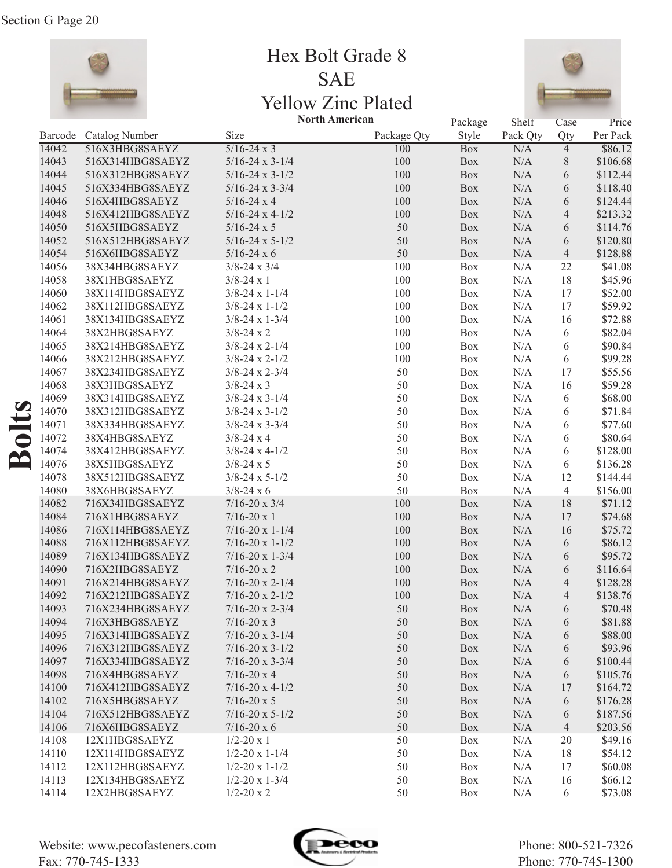

Hex Bolt Grade 8 SAE Yellow Zinc Plated



|         |                  |                            | <b>North American</b> | Package    | Shelf     | Case           | Price    |
|---------|------------------|----------------------------|-----------------------|------------|-----------|----------------|----------|
| Barcode | Catalog Number   | Size                       | Package Qty           | Style      | Pack Qty  | Qty            | Per Pack |
| 14042   | 516X3HBG8SAEYZ   | $5/16-24 \times 3$         | 100                   | <b>Box</b> | N/A       | $\overline{4}$ | \$86.12  |
| 14043   | 516X314HBG8SAEYZ | $5/16 - 24 \times 3 - 1/4$ | 100                   | Box        | $\rm N/A$ | $8\,$          | \$106.68 |
| 14044   | 516X312HBG8SAEYZ | $5/16 - 24 \times 3 - 1/2$ | 100                   | Box        | $\rm N/A$ | 6              | \$112.44 |
| 14045   | 516X334HBG8SAEYZ | $5/16 - 24 \times 3 - 3/4$ | 100                   | Box        | $\rm N/A$ | 6              | \$118.40 |
| 14046   | 516X4HBG8SAEYZ   | $5/16 - 24x4$              | 100                   | Box        | $\rm N/A$ | 6              | \$124.44 |
| 14048   | 516X412HBG8SAEYZ | $5/16 - 24 \times 4 - 1/2$ | 100                   | Box        | $\rm N/A$ | $\overline{4}$ | \$213.32 |
| 14050   | 516X5HBG8SAEYZ   | $5/16 - 24 \times 5$       | 50                    | Box        | $\rm N/A$ | 6              | \$114.76 |
| 14052   | 516X512HBG8SAEYZ | $5/16 - 24 \times 5 - 1/2$ | 50                    | Box        | $\rm N/A$ | 6              | \$120.80 |
| 14054   | 516X6HBG8SAEYZ   | $5/16 - 24 \times 6$       | 50                    | Box        | $\rm N/A$ | $\overline{4}$ | \$128.88 |
| 14056   | 38X34HBG8SAEYZ   | $3/8 - 24 \times 3/4$      | 100                   | Box        | $\rm N/A$ | 22             | \$41.08  |
| 14058   | 38X1HBG8SAEYZ    | $3/8 - 24x1$               | 100                   | Box        | $\rm N/A$ | 18             | \$45.96  |
| 14060   | 38X114HBG8SAEYZ  | $3/8 - 24 \times 1 - 1/4$  | 100                   | Box        | $\rm N/A$ | 17             | \$52.00  |
| 14062   | 38X112HBG8SAEYZ  | $3/8 - 24 \times 1 - 1/2$  | 100                   | Box        | $\rm N/A$ | 17             | \$59.92  |
| 14061   | 38X134HBG8SAEYZ  | $3/8 - 24 \times 1 - 3/4$  | 100                   | Box        | $\rm N/A$ | 16             | \$72.88  |
| 14064   | 38X2HBG8SAEYZ    | $3/8 - 24x2$               | 100                   | Box        | $\rm N/A$ | 6              | \$82.04  |
| 14065   | 38X214HBG8SAEYZ  | $3/8 - 24 \times 2 - 1/4$  | 100                   | Box        | $\rm N/A$ | 6              | \$90.84  |
| 14066   | 38X212HBG8SAEYZ  | $3/8 - 24 \times 2 - 1/2$  | 100                   | Box        | $\rm N/A$ | 6              | \$99.28  |
| 14067   | 38X234HBG8SAEYZ  | $3/8 - 24 \times 2 - 3/4$  | 50                    | Box        | $\rm N/A$ | 17             | \$55.56  |
| 14068   | 38X3HBG8SAEYZ    | $3/8 - 24x3$               | 50                    | Box        | $\rm N/A$ | 16             | \$59.28  |
| 14069   | 38X314HBG8SAEYZ  | $3/8 - 24 \times 3 - 1/4$  | 50                    | Box        | $\rm N/A$ | 6              | \$68.00  |
| 14070   | 38X312HBG8SAEYZ  | $3/8 - 24 \times 3 - 1/2$  | 50                    | Box        | N/A       | 6              | \$71.84  |
| 14071   | 38X334HBG8SAEYZ  | $3/8 - 24 \times 3 - 3/4$  | 50                    | Box        | $\rm N/A$ | 6              | \$77.60  |
| 14072   | 38X4HBG8SAEYZ    | $3/8 - 24x4$               | 50                    | Box        | $\rm N/A$ | 6              | \$80.64  |
| 14074   | 38X412HBG8SAEYZ  | $3/8 - 24 \times 4 - 1/2$  | 50                    | Box        | $\rm N/A$ | 6              | \$128.00 |
| 14076   | 38X5HBG8SAEYZ    | $3/8 - 24 \times 5$        | 50                    | Box        | $\rm N/A$ | 6              | \$136.28 |
| 14078   | 38X512HBG8SAEYZ  | $3/8 - 24 \times 5 - 1/2$  | 50                    | Box        | $\rm N/A$ | 12             | \$144.44 |
| 14080   | 38X6HBG8SAEYZ    | $3/8 - 24 \times 6$        | 50                    | Box        | $\rm N/A$ | $\overline{4}$ | \$156.00 |
| 14082   | 716X34HBG8SAEYZ  | $7/16 - 20 \times 3/4$     | 100                   | Box        | $\rm N/A$ | 18             | \$71.12  |
| 14084   | 716X1HBG8SAEYZ   | $7/16 - 20 \times 1$       | 100                   | Box        | $\rm N/A$ | 17             | \$74.68  |
| 14086   | 716X114HBG8SAEYZ | $7/16 - 20 \times 1 - 1/4$ | 100                   | Box        | $\rm N/A$ | 16             | \$75.72  |
| 14088   | 716X112HBG8SAEYZ | $7/16 - 20 \times 1 - 1/2$ | 100                   | Box        | $\rm N/A$ | $\sqrt{6}$     | \$86.12  |
| 14089   | 716X134HBG8SAEYZ | $7/16 - 20 \times 1 - 3/4$ | 100                   | Box        | $\rm N/A$ | 6              | \$95.72  |
| 14090   | 716X2HBG8SAEYZ   | $7/16 - 20 \times 2$       | 100                   | Box        | $\rm N/A$ | 6              | \$116.64 |
| 14091   | 716X214HBG8SAEYZ | $7/16 - 20 \times 2 - 1/4$ | 100                   | Box        | $\rm N/A$ | $\overline{4}$ | \$128.28 |
| 14092   | 716X212HBG8SAEYZ | $7/16 - 20 \times 2 - 1/2$ | 100                   | Box        | $\rm N/A$ | $\overline{4}$ | \$138.76 |
| 14093   | 716X234HBG8SAEYZ | $7/16 - 20 \times 2 - 3/4$ | $50\,$                | Box        | $\rm N/A$ | $\sqrt{6}$     | \$70.48  |
| 14094   | 716X3HBG8SAEYZ   | $7/16 - 20 \times 3$       | 50                    | Box        | N/A       | 6              | \$81.88  |
| 14095   | 716X314HBG8SAEYZ | $7/16 - 20 \times 3 - 1/4$ | $50\,$                | Box        | N/A       | 6              | \$88.00  |
| 14096   | 716X312HBG8SAEYZ | $7/16 - 20 \times 3 - 1/2$ | $50\,$                | Box        | N/A       | 6              | \$93.96  |
| 14097   | 716X334HBG8SAEYZ | $7/16 - 20 \times 3 - 3/4$ | $50\,$                | <b>Box</b> | N/A       | 6              | \$100.44 |
| 14098   | 716X4HBG8SAEYZ   | $7/16 - 20 \times 4$       | $50\,$                | <b>Box</b> | N/A       | 6              | \$105.76 |
| 14100   | 716X412HBG8SAEYZ | $7/16 - 20 \times 4 - 1/2$ | $50\,$                | Box        | N/A       | 17             | \$164.72 |
| 14102   | 716X5HBG8SAEYZ   | $7/16 - 20 \times 5$       | $50\,$                | Box        | N/A       | 6              | \$176.28 |
| 14104   | 716X512HBG8SAEYZ | $7/16 - 20 \times 5 - 1/2$ | $50\,$                | Box        | N/A       | 6              | \$187.56 |
| 14106   | 716X6HBG8SAEYZ   | $7/16 - 20 \times 6$       | $50\,$                | Box        | N/A       | $\overline{4}$ | \$203.56 |
| 14108   | 12X1HBG8SAEYZ    | $1/2 - 20 \times 1$        | 50                    | Box        | N/A       | 20             | \$49.16  |
| 14110   | 12X114HBG8SAEYZ  | $1/2 - 20 \times 1 - 1/4$  | $50\,$                | Box        | N/A       | 18             | \$54.12  |
| 14112   | 12X112HBG8SAEYZ  | $1/2 - 20 \times 1 - 1/2$  | $50\,$                | Box        | N/A       | 17             | \$60.08  |
| 14113   | 12X134HBG8SAEYZ  | $1/2 - 20 \times 1 - 3/4$  | $50\,$                | Box        | N/A       | 16             | \$66.12  |
| 14114   | 12X2HBG8SAEYZ    | $1/2 - 20x2$               | 50                    | Box        | N/A       | 6              | \$73.08  |

**Bolts**

Website: www.pecofasteners.com Fax: 770-745-1333

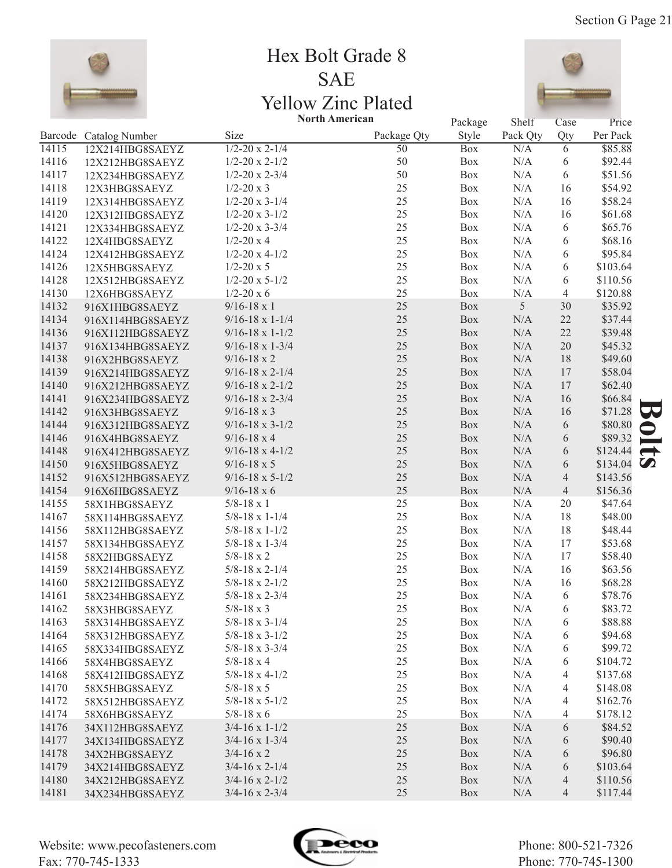

## Hex Bolt Grade 8 SAE Yellow Zinc Plated **North American**



|       |                        | <b>NOTUL AMETICAN</b>      |                 | Package    | Shelf     | Case           | Price              |               |
|-------|------------------------|----------------------------|-----------------|------------|-----------|----------------|--------------------|---------------|
|       | Barcode Catalog Number | Size                       | Package Qty     | Style      | Pack Qty  | Qty            | Per Pack           |               |
| 14115 | 12X214HBG8SAEYZ        | $1/2 - 20 \times 2 - 1/4$  | $\overline{50}$ | <b>Box</b> | N/A       | 6              | \$85.88            |               |
| 14116 | 12X212HBG8SAEYZ        | $1/2 - 20 \times 2 - 1/2$  | 50              | Box        | N/A       | 6              | \$92.44            |               |
| 14117 | 12X234HBG8SAEYZ        | $1/2 - 20 \times 2 - 3/4$  | 50              | Box        | N/A       | 6              | \$51.56            |               |
| 14118 | 12X3HBG8SAEYZ          | $1/2 - 20 \times 3$        | 25              | Box        | N/A       | 16             | \$54.92            |               |
| 14119 | 12X314HBG8SAEYZ        | $1/2 - 20 \times 3 - 1/4$  | 25              | Box        | N/A       | 16             | \$58.24            |               |
| 14120 | 12X312HBG8SAEYZ        | $1/2 - 20 \times 3 - 1/2$  | 25              | Box        | N/A       | 16             | \$61.68            |               |
| 14121 | 12X334HBG8SAEYZ        | $1/2 - 20 \times 3 - 3/4$  | 25              | Box        | N/A       | 6              | \$65.76            |               |
| 14122 | 12X4HBG8SAEYZ          | $1/2 - 20x4$               | 25              | Box        | N/A       | 6              | \$68.16            |               |
| 14124 | 12X412HBG8SAEYZ        | $1/2 - 20 \times 4 - 1/2$  | 25              | Box        | N/A       | 6              | \$95.84            |               |
| 14126 | 12X5HBG8SAEYZ          | $1/2 - 20 \times 5$        | 25              | Box        | N/A       | 6              | \$103.64           |               |
| 14128 | 12X512HBG8SAEYZ        | $1/2 - 20 \times 5 - 1/2$  | 25              | Box        | N/A       | 6              | \$110.56           |               |
| 14130 | 12X6HBG8SAEYZ          | $1/2 - 20 \times 6$        | 25              | Box        | N/A       | $\overline{4}$ | \$120.88           |               |
| 14132 | 916X1HBG8SAEYZ         | $9/16 - 18 \times 1$       | 25              | Box        | 5         | 30             | \$35.92            |               |
| 14134 | 916X114HBG8SAEYZ       | $9/16 - 18 \times 1 - 1/4$ | 25              | Box        | N/A       | 22             | \$37.44            |               |
| 14136 | 916X112HBG8SAEYZ       | $9/16 - 18 \times 1 - 1/2$ | 25              | Box        | N/A       | 22             | \$39.48            |               |
| 14137 | 916X134HBG8SAEYZ       | $9/16 - 18 \times 1 - 3/4$ | 25              | Box        | N/A       | 20             | \$45.32            |               |
| 14138 | 916X2HBG8SAEYZ         | $9/16 - 18 \times 2$       | 25              | Box        | $\rm N/A$ | 18             | \$49.60            |               |
| 14139 | 916X214HBG8SAEYZ       | $9/16 - 18 \times 2 - 1/4$ | 25              | Box        | N/A       | 17             | \$58.04            |               |
| 14140 | 916X212HBG8SAEYZ       | $9/16 - 18 \times 2 - 1/2$ | 25              | Box        | $\rm N/A$ | 17             | \$62.40            |               |
| 14141 | 916X234HBG8SAEYZ       | $9/16 - 18 \times 2 - 3/4$ | 25              | Box        | $\rm N/A$ | 16             | \$66.84            |               |
| 14142 | 916X3HBG8SAEYZ         | $9/16 - 18 \times 3$       | 25              | Box        | N/A       | 16             | \$71.28            | 50            |
| 14144 | 916X312HBG8SAEYZ       | $9/16 - 18 \times 3 - 1/2$ | 25              | Box        | $\rm N/A$ | 6              | \$80.80            |               |
| 14146 | 916X4HBG8SAEYZ         | $9/16 - 18 \times 4$       | 25              | Box        | $\rm N/A$ | 6              | \$89.32            |               |
| 14148 | 916X412HBG8SAEYZ       | $9/16 - 18 \times 4 - 1/2$ | 25              | Box        | $\rm N/A$ | 6              | \$124.44           | $\rightarrow$ |
| 14150 | 916X5HBG8SAEYZ         | $9/16 - 18 \times 5$       | 25              | Box        | $\rm N/A$ | 6              | \$134.04 $\bullet$ |               |
| 14152 | 916X512HBG8SAEYZ       | $9/16 - 18 \times 5 - 1/2$ | 25              | Box        | $\rm N/A$ | $\overline{4}$ | \$143.56           |               |
| 14154 | 916X6HBG8SAEYZ         | $9/16 - 18 \times 6$       | 25              | Box        | $\rm N/A$ | $\overline{4}$ | \$156.36           |               |
| 14155 | 58X1HBG8SAEYZ          | $5/8 - 18 \times 1$        | 25              | Box        | N/A       | 20             | \$47.64            |               |
| 14167 | 58X114HBG8SAEYZ        | $5/8 - 18 \times 1 - 1/4$  | 25              | Box        | N/A       | 18             | \$48.00            |               |
| 14156 | 58X112HBG8SAEYZ        | $5/8 - 18 \times 1 - 1/2$  | 25              | Box        | N/A       | 18             | \$48.44            |               |
| 14157 | 58X134HBG8SAEYZ        | $5/8 - 18 \times 1 - 3/4$  | 25              | Box        | N/A       | 17             | \$53.68            |               |
| 14158 | 58X2HBG8SAEYZ          | $5/8 - 18 \times 2$        | 25              | Box        | N/A       | 17             | \$58.40            |               |
| 14159 | 58X214HBG8SAEYZ        | $5/8 - 18 \times 2 - 1/4$  | 25              | Box        | N/A       | 16             | \$63.56            |               |
| 14160 | 58X212HBG8SAEYZ        | $5/8 - 18 \times 2 - 1/2$  | 25              | Box        | N/A       | 16             | \$68.28            |               |
| 14161 | 58X234HBG8SAEYZ        | $5/8 - 18 \times 2 - 3/4$  | 25              | Box        | N/A       | 6              | \$78.76            |               |
| 14162 | 58X3HBG8SAEYZ          | $5/8 - 18 \times 3$        | 25              | Box        | N/A       | 6              | \$83.72            |               |
| 14163 | 58X314HBG8SAEYZ        | $5/8 - 18 \times 3 - 1/4$  | 25              | Box        | N/A       | 6              | \$88.88            |               |
| 14164 | 58X312HBG8SAEYZ        | $5/8 - 18 \times 3 - 1/2$  | 25              | Box        | N/A       | 6              | \$94.68            |               |
| 14165 | 58X334HBG8SAEYZ        | $5/8 - 18 \times 3 - 3/4$  | 25              | Box        | N/A       | 6              | \$99.72            |               |
| 14166 | 58X4HBG8SAEYZ          | $5/8 - 18 \times 4$        | 25              | Box        | N/A       | 6              | \$104.72           |               |
| 14168 | 58X412HBG8SAEYZ        | $5/8 - 18 \times 4 - 1/2$  | 25              | Box        | N/A       | 4              | \$137.68           |               |
| 14170 | 58X5HBG8SAEYZ          | $5/8 - 18 \times 5$        | 25              | Box        | N/A       | 4              | \$148.08           |               |
| 14172 | 58X512HBG8SAEYZ        | $5/8 - 18 \times 5 - 1/2$  | 25              | Box        | N/A       | 4              | \$162.76           |               |
| 14174 | 58X6HBG8SAEYZ          | $5/8 - 18 \times 6$        | 25              | Box        | N/A       | 4              | \$178.12           |               |
| 14176 | 34X112HBG8SAEYZ        | $3/4 - 16 \times 1 - 1/2$  | 25              | Box        | N/A       | 6              | \$84.52            |               |
| 14177 | 34X134HBG8SAEYZ        | $3/4 - 16 \times 1 - 3/4$  | 25              | Box        | N/A       | 6              | \$90.40            |               |
| 14178 | 34X2HBG8SAEYZ          | $3/4 - 16 \times 2$        | 25              | Box        | N/A       | 6              | \$96.80            |               |
| 14179 | 34X214HBG8SAEYZ        | $3/4 - 16 \times 2 - 1/4$  | 25              | Box        | N/A       | 6              | \$103.64           |               |
| 14180 | 34X212HBG8SAEYZ        | $3/4 - 16 \times 2 - 1/2$  | 25              | Box        | N/A       | 4              | \$110.56           |               |
| 14181 | 34X234HBG8SAEYZ        | $3/4 - 16 \times 2 - 3/4$  | 25              | Box        | N/A       | 4              | \$117.44           |               |
|       |                        |                            |                 |            |           |                |                    |               |

Website: www.pecofasteners.com Fax: 770-745-1333

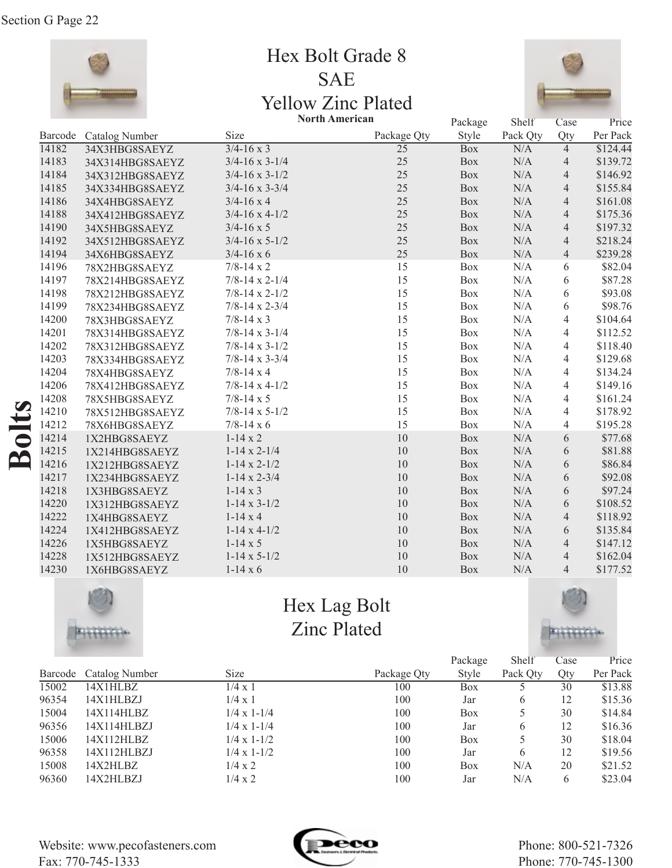

Hex Bolt Grade 8 SAE Yellow Zinc Plated



|                                        |                        |                           | <b>North American</b> | Package    | Shelf     | Case           | Price    |
|----------------------------------------|------------------------|---------------------------|-----------------------|------------|-----------|----------------|----------|
|                                        | Barcode Catalog Number | Size                      | Package Qty           | Style      | Pack Qty  | Qty            | Per Pack |
| 14182                                  | 34X3HBG8SAEYZ          | $3/4 - 16 \times 3$       | $\overline{25}$       | <b>Box</b> | N/A       | $\overline{4}$ | \$124.44 |
| 14183                                  | 34X314HBG8SAEYZ        | $3/4 - 16 \times 3 - 1/4$ | 25                    | Box        | N/A       | $\overline{4}$ | \$139.72 |
| 14184                                  | 34X312HBG8SAEYZ        | $3/4 - 16 \times 3 - 1/2$ | 25                    | Box        | $\rm N/A$ | $\overline{4}$ | \$146.92 |
| 14185                                  | 34X334HBG8SAEYZ        | $3/4 - 16 \times 3 - 3/4$ | 25                    | Box        | $\rm N/A$ | $\overline{4}$ | \$155.84 |
| 14186                                  | 34X4HBG8SAEYZ          | $3/4 - 16x4$              | 25                    | Box        | $\rm N/A$ | $\overline{4}$ | \$161.08 |
| 14188                                  | 34X412HBG8SAEYZ        | $3/4 - 16 \times 4 - 1/2$ | 25                    | Box        | $\rm N/A$ | $\overline{4}$ | \$175.36 |
| 14190                                  | 34X5HBG8SAEYZ          | $3/4 - 16 \times 5$       | 25                    | Box        | $\rm N/A$ | $\overline{4}$ | \$197.32 |
| 14192                                  | 34X512HBG8SAEYZ        | $3/4 - 16 \times 5 - 1/2$ | 25                    | <b>Box</b> | N/A       | $\overline{4}$ | \$218.24 |
| 14194                                  | 34X6HBG8SAEYZ          | $3/4 - 16 \times 6$       | 25                    | <b>Box</b> | N/A       | $\overline{4}$ | \$239.28 |
| 14196                                  | 78X2HBG8SAEYZ          | $7/8 - 14 \times 2$       | 15                    | Box        | N/A       | 6              | \$82.04  |
| 14197                                  | 78X214HBG8SAEYZ        | $7/8 - 14 \times 2 - 1/4$ | 15                    | Box        | N/A       | 6              | \$87.28  |
| 14198                                  | 78X212HBG8SAEYZ        | $7/8 - 14 \times 2 - 1/2$ | 15                    | Box        | $\rm N/A$ | 6              | \$93.08  |
| 14199                                  | 78X234HBG8SAEYZ        | $7/8 - 14 \times 2 - 3/4$ | 15                    | Box        | N/A       | 6              | \$98.76  |
| 14200                                  | 78X3HBG8SAEYZ          | $7/8 - 14 \times 3$       | 15                    | Box        | N/A       | $\overline{4}$ | \$104.64 |
| 14201                                  | 78X314HBG8SAEYZ        | $7/8 - 14 \times 3 - 1/4$ | 15                    | Box        | N/A       | 4              | \$112.52 |
| 14202                                  | 78X312HBG8SAEYZ        | $7/8 - 14 \times 3 - 1/2$ | 15                    | Box        | $\rm N/A$ | 4              | \$118.40 |
| 14203                                  | 78X334HBG8SAEYZ        | $7/8 - 14 \times 3 - 3/4$ | 15                    | Box        | $\rm N/A$ | $\overline{4}$ | \$129.68 |
| 14204                                  | 78X4HBG8SAEYZ          | $7/8 - 14 \times 4$       | 15                    | Box        | N/A       | $\overline{4}$ | \$134.24 |
| 14206                                  | 78X412HBG8SAEYZ        | $7/8 - 14 \times 4 - 1/2$ | 15                    | Box        | $\rm N/A$ | $\overline{4}$ | \$149.16 |
| 14208                                  | 78X5HBG8SAEYZ          | $7/8 - 14 \times 5$       | 15                    | Box        | $\rm N/A$ | $\overline{4}$ | \$161.24 |
| 14210                                  | 78X512HBG8SAEYZ        | $7/8 - 14 \times 5 - 1/2$ | 15                    | Box        | N/A       | $\overline{4}$ | \$178.92 |
| 14212                                  | 78X6HBG8SAEYZ          | $7/8 - 14 \times 6$       | 15                    | Box        | N/A       | $\overline{4}$ | \$195.28 |
| $\bullet$<br>14214                     | 1X2HBG8SAEYZ           | $1-14 \times 2$           | 10                    | <b>Box</b> | N/A       | 6              | \$77.68  |
| 14215<br>$\mathbf{\underline{\alpha}}$ | 1X214HBG8SAEYZ         | $1-14 \times 2-1/4$       | 10                    | Box        | N/A       | 6              | \$81.88  |
| 14216                                  | 1X212HBG8SAEYZ         | $1-14 \times 2-1/2$       | 10                    | Box        | $\rm N/A$ | 6              | \$86.84  |
| 14217                                  | 1X234HBG8SAEYZ         | $1-14 \times 2-3/4$       | 10                    | Box        | $\rm N/A$ | 6              | \$92.08  |
| 14218                                  | 1X3HBG8SAEYZ           | $1-14 \times 3$           | 10                    | Box        | $\rm N/A$ | 6              | \$97.24  |
| 14220                                  | 1X312HBG8SAEYZ         | $1-14 \times 3-1/2$       | 10                    | <b>Box</b> | N/A       | 6              | \$108.52 |
| 14222                                  | 1X4HBG8SAEYZ           | $1-14x4$                  | 10                    | <b>Box</b> | N/A       | $\overline{4}$ | \$118.92 |
| 14224                                  | 1X412HBG8SAEYZ         | $1-14 \times 4-1/2$       | 10                    | <b>Box</b> | N/A       | 6              | \$135.84 |
| 14226                                  | 1X5HBG8SAEYZ           | $1-14 \times 5$           | 10                    | <b>Box</b> | N/A       | $\overline{4}$ | \$147.12 |
| 14228                                  | 1X512HBG8SAEYZ         | $1-14 \times 5-1/2$       | 10                    | <b>Box</b> | N/A       | $\overline{4}$ | \$162.04 |
| 14230                                  | 1X6HBG8SAEYZ           | $1-14 \times 6$           | 10                    | <b>Box</b> | $\rm N/A$ | $\overline{4}$ | \$177.52 |



Hex Lag Bolt Zinc Plated



|       |                        |                      |             | Package | Shelf        | Case | Price    |
|-------|------------------------|----------------------|-------------|---------|--------------|------|----------|
|       | Barcode Catalog Number | <b>Size</b>          | Package Qty | Style   | Pack Qty     | Qty  | Per Pack |
| 15002 | 14X1HLBZ               | $1/4 \times 1$       | 100         | Box     |              | 30   | \$13.88  |
| 96354 | 14X1HLBZJ              | $1/4 \times 1$       | 100         | Jar     | <sub>b</sub> | 12   | \$15.36  |
| 15004 | 14X114HLBZ             | $1/4 \times 1 - 1/4$ | 100         | Box     |              | 30   | \$14.84  |
| 96356 | 14X114HLBZJ            | $1/4 \times 1 - 1/4$ | 100         | Jar     | <sub>b</sub> | 12   | \$16.36  |
| 15006 | 14X112HLBZ             | $1/4 \times 1 - 1/2$ | 100         | Box     |              | 30   | \$18.04  |
| 96358 | 14X112HLBZJ            | $1/4 \times 1 - 1/2$ | 100         | Jar     | <sub>b</sub> | 12   | \$19.56  |
| 15008 | 14X2HLBZ               | $1/4 \times 2$       | 100         | Box     | N/A          | 20   | \$21.52  |
| 96360 | 14X2HLBZJ              | $1/4 \times 2$       | 100         | Jar     | N/A          | 6    | \$23.04  |

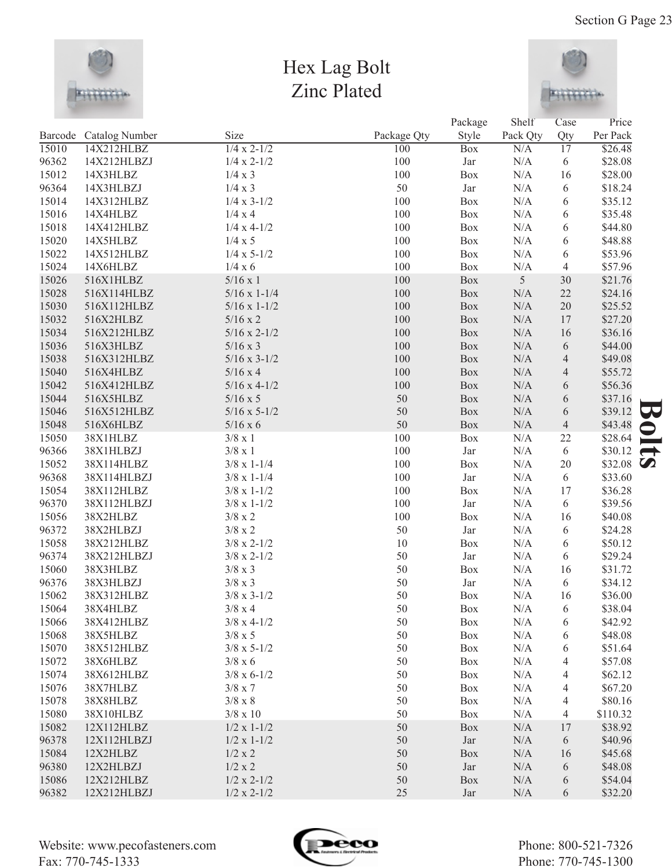

## Hex Lag Bolt Zinc Plated



|       |                        |                       |             | Package    | Shelf    | Case             | Price                    |
|-------|------------------------|-----------------------|-------------|------------|----------|------------------|--------------------------|
|       | Barcode Catalog Number | Size                  | Package Qty | Style      | Pack Qty | Qty              | Per Pack                 |
| 15010 | 14X212HLBZ             | $1/4 \times 2 - 1/2$  | 100         | <b>Box</b> | N/A      | $\overline{17}$  | \$26.48                  |
| 96362 | 14X212HLBZJ            | $1/4 \times 2 - 1/2$  | 100         | Jar        | N/A      | 6                | \$28.08                  |
| 15012 | 14X3HLBZ               | 1/4 x 3               | 100         | Box        | N/A      | 16               | \$28.00                  |
| 96364 | 14X3HLBZJ              | 1/4 x 3               | 50          | Jar        | N/A      | 6                | \$18.24                  |
| 15014 | 14X312HLBZ             | $1/4 \times 3 - 1/2$  | 100         | Box        | N/A      | 6                | \$35.12                  |
| 15016 | 14X4HLBZ               | 1/4 x 4               | 100         | Box        | N/A      | 6                | \$35.48                  |
| 15018 | 14X412HLBZ             | $1/4 \times 4 - 1/2$  | 100         | Box        | N/A      | 6                | \$44.80                  |
| 15020 | 14X5HLBZ               | 1/4 x 5               | 100         | Box        | N/A      | 6                | \$48.88                  |
| 15022 | 14X512HLBZ             | $1/4 \times 5 - 1/2$  | 100         | Box        | N/A      | 6                | \$53.96                  |
| 15024 | 14X6HLBZ               | 1/4 x 6               | 100         | Box        | N/A      | 4                | \$57.96                  |
| 15026 | 516X1HLBZ              | $5/16 \times 1$       | 100         | Box        | 5        | 30               | \$21.76                  |
| 15028 | 516X114HLBZ            | $5/16 \times 1 - 1/4$ | 100         | Box        | N/A      | 22               | \$24.16                  |
| 15030 | 516X112HLBZ            | $5/16 \times 1 - 1/2$ | 100         | Box        | N/A      | 20               | \$25.52                  |
| 15032 | 516X2HLBZ              | $5/16 \times 2$       | 100         | Box        | N/A      | 17               | \$27.20                  |
| 15034 | 516X212HLBZ            | $5/16 \times 2 - 1/2$ | 100         | Box        | N/A      | 16               | \$36.16                  |
| 15036 | 516X3HLBZ              | $5/16 \times 3$       | 100         | Box        | N/A      | 6                | \$44.00                  |
| 15038 | 516X312HLBZ            | $5/16 \times 3 - 1/2$ | 100         | Box        | N/A      | $\overline{4}$   | \$49.08                  |
| 15040 | 516X4HLBZ              | $5/16 \times 4$       | 100         | Box        | N/A      | $\overline{4}$   | \$55.72                  |
| 15042 | 516X412HLBZ            | $5/16 \times 4 - 1/2$ | 100         | Box        | N/A      | 6                | \$56.36                  |
| 15044 | 516X5HLBZ              | $5/16 \times 5$       | 50          | Box        | N/A      | 6                | \$37.16                  |
| 15046 | 516X512HLBZ            | $5/16 \times 5 - 1/2$ | 50          | Box        | N/A      | 6                | \$39.12                  |
| 15048 | 516X6HLBZ              | $5/16 \times 6$       | 50          | Box        | N/A      | $\overline{4}$   | \$43.48                  |
| 15050 | 38X1HLBZ               | $3/8 \times 1$        | 100         | Box        | N/A      | $22\,$           | \$28.64                  |
| 96366 | 38X1HLBZJ              | $3/8 \times 1$        | 100         | Jar        | N/A      | 6                | \$30.12<br>$\rightarrow$ |
| 15052 | 38X114HLBZ             | $3/8 \times 1 - 1/4$  | 100         | Box        | N/A      | 20               | \$32.08 $\bullet$        |
| 96368 | 38X114HLBZJ            | $3/8 \times 1 - 1/4$  | 100         | Jar        | N/A      | 6                | \$33.60                  |
| 15054 | 38X112HLBZ             | $3/8 \times 1 - 1/2$  | 100         | Box        | N/A      | 17               | \$36.28                  |
| 96370 | 38X112HLBZJ            | $3/8 \times 1 - 1/2$  | 100         | Jar        | N/A      | 6                | \$39.56                  |
| 15056 | 38X2HLBZ               | $3/8 \ge 2$           | 100         | Box        | N/A      | 16               | \$40.08                  |
| 96372 | 38X2HLBZJ              | $3/8 \times 2$        | 50          | Jar        | N/A      | 6                | \$24.28                  |
| 15058 | 38X212HLBZ             | $3/8 \times 2 - 1/2$  | 10          | Box        | N/A      | 6                | \$50.12                  |
| 96374 | 38X212HLBZJ            | $3/8 \times 2 - 1/2$  | 50          | Jar        | N/A      | 6                | \$29.24                  |
| 15060 | 38X3HLBZ               | $3/8 \times 3$        | 50          | Box        | N/A      | 16               | \$31.72                  |
| 96376 | 38X3HLBZJ              | $3/8 \times 3$        | 50          | Jar        | N/A      | 6                | \$34.12                  |
| 15062 | 38X312HLBZ             | $3/8 \times 3 - 1/2$  | 50          | Box        | N/A      | 16               | \$36.00                  |
| 15064 | 38X4HLBZ               | $3/8 \ge 4$           | 50          | Box        | N/A      | $\boldsymbol{6}$ | \$38.04                  |
| 15066 | 38X412HLBZ             | $3/8 \times 4 - 1/2$  | 50          | Box        | N/A      | 6                | \$42.92                  |
| 15068 | 38X5HLBZ               | $3/8 \times 5$        | 50          | Box        | N/A      | 6                | \$48.08                  |
| 15070 | 38X512HLBZ             | $3/8 \times 5 - 1/2$  | 50          | Box        | N/A      | 6                | \$51.64                  |
| 15072 | 38X6HLBZ               | $3/8 \times 6$        | 50          | Box        | N/A      | 4                | \$57.08                  |
| 15074 | 38X612HLBZ             | $3/8 \times 6 - 1/2$  | 50          | Box        | N/A      | 4                | \$62.12                  |
| 15076 | 38X7HLBZ               | $3/8 \times 7$        | 50          | Box        | N/A      | 4                | \$67.20                  |
| 15078 | 38X8HLBZ               | $3/8 \ge 8$           | 50          | Box        | N/A      | 4                | \$80.16                  |
| 15080 | 38X10HLBZ              | $3/8 \ge 10$          | 50          | Box        | N/A      | 4                | \$110.32                 |
| 15082 | 12X112HLBZ             | $1/2 \times 1 - 1/2$  | 50          | Box        | N/A      | 17               | \$38.92                  |
| 96378 | 12X112HLBZJ            | $1/2 \times 1 - 1/2$  | 50          | Jar        | N/A      | 6                | \$40.96                  |
| 15084 | 12X2HLBZ               | 1/2 x 2               | 50          | Box        | N/A      | 16               | \$45.68                  |
| 96380 | 12X2HLBZJ              | 1/2 x 2               | 50          | Jar        | N/A      | 6                | \$48.08                  |
| 15086 | 12X212HLBZ             | $1/2 \times 2 - 1/2$  | 50          | Box        | N/A      | 6                | \$54.04                  |
| 96382 | 12X212HLBZJ            | $1/2 \times 2 - 1/2$  | 25          | Jar        | N/A      | 6                | \$32.20                  |

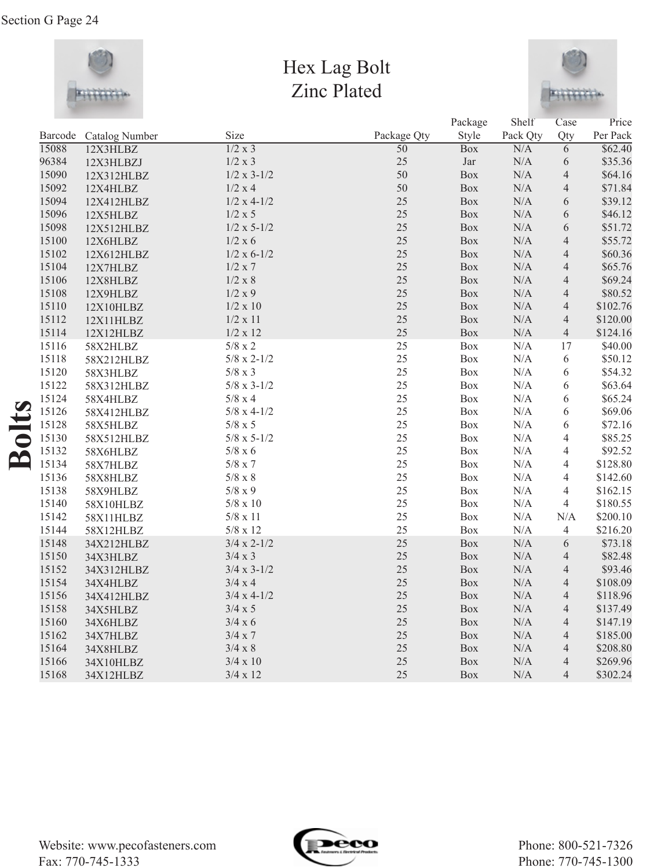

## Hex Lag Bolt Zinc Plated



|         |                |                      |                 | Package    | Shelf     | Case           | Price    |
|---------|----------------|----------------------|-----------------|------------|-----------|----------------|----------|
| Barcode | Catalog Number | Size                 | Package Qty     | Style      | Pack Qty  | Qty            | Per Pack |
| 15088   | 12X3HLBZ       | 1/2 x 3              | $\overline{50}$ | <b>Box</b> | N/A       | $\overline{6}$ | \$62.40  |
| 96384   | 12X3HLBZJ      | 1/2 x 3              | 25              | Jar        | N/A       | 6              | \$35.36  |
| 15090   | 12X312HLBZ     | $1/2 \times 3 - 1/2$ | 50              | Box        | N/A       | $\overline{4}$ | \$64.16  |
| 15092   | 12X4HLBZ       | 1/2 x 4              | 50              | Box        | N/A       | $\overline{4}$ | \$71.84  |
| 15094   | 12X412HLBZ     | $1/2 x 4-1/2$        | 25              | Box        | N/A       | 6              | \$39.12  |
| 15096   | 12X5HLBZ       | 1/2 x 5              | 25              | Box        | N/A       | 6              | \$46.12  |
| 15098   | 12X512HLBZ     | $1/2 \times 5 - 1/2$ | 25              | Box        | N/A       | 6              | \$51.72  |
| 15100   | 12X6HLBZ       | 1/2 x 6              | 25              | Box        | N/A       | $\overline{4}$ | \$55.72  |
| 15102   | 12X612HLBZ     | $1/2 \times 6 - 1/2$ | 25              | Box        | N/A       | $\overline{4}$ | \$60.36  |
| 15104   | 12X7HLBZ       | 1/2 x 7              | 25              | Box        | N/A       | $\overline{4}$ | \$65.76  |
| 15106   | 12X8HLBZ       | 1/2 x 8              | 25              | Box        | N/A       | $\overline{4}$ | \$69.24  |
| 15108   | 12X9HLBZ       | 1/2 x 9              | 25              | Box        | N/A       | $\overline{4}$ | \$80.52  |
| 15110   | 12X10HLBZ      | 1/2 x 10             | 25              | Box        | $\rm N/A$ | $\overline{4}$ | \$102.76 |
| 15112   | 12X11HLBZ      | 1/2 x 11             | 25              | Box        | $\rm N/A$ | $\overline{4}$ | \$120.00 |
| 15114   | 12X12HLBZ      | 1/2 x 12             | 25              | Box        | $\rm N/A$ | $\overline{4}$ | \$124.16 |
| 15116   | 58X2HLBZ       | $5/8 \ge 2$          | 25              | Box        | N/A       | 17             | \$40.00  |
| 15118   | 58X212HLBZ     | $5/8 \times 2 - 1/2$ | 25              | Box        | N/A       | 6              | \$50.12  |
| 15120   | 58X3HLBZ       | $5/8 \ge 3$          | 25              | Box        | N/A       | 6              | \$54.32  |
| 15122   | 58X312HLBZ     | $5/8 \times 3 - 1/2$ | 25              | Box        | N/A       | 6              | \$63.64  |
| 15124   | 58X4HLBZ       | $5/8 \times 4$       | 25              | Box        | N/A       | 6              | \$65.24  |
| 15126   | 58X412HLBZ     | $5/8 \times 4 - 1/2$ | 25              | Box        | N/A       | 6              | \$69.06  |
| 15128   | 58X5HLBZ       | $5/8 \times 5$       | 25              | Box        | $\rm N/A$ | 6              | \$72.16  |
| 15130   | 58X512HLBZ     | $5/8 \times 5 - 1/2$ | 25              | Box        | N/A       | $\overline{4}$ | \$85.25  |
| 15132   | 58X6HLBZ       | $5/8 \times 6$       | 25              | Box        | N/A       | $\overline{4}$ | \$92.52  |
| 15134   | 58X7HLBZ       | $5/8 \ge 7$          | 25              | Box        | N/A       | $\overline{4}$ | \$128.80 |
| 15136   | 58X8HLBZ       | $5/8 \ge 8$          | 25              | Box        | N/A       | $\overline{4}$ | \$142.60 |
| 15138   | 58X9HLBZ       | $5/8 \ge 9$          | 25              | <b>Box</b> | N/A       | $\overline{4}$ | \$162.15 |
| 15140   | 58X10HLBZ      | $5/8 \ge 10$         | 25              | <b>Box</b> | N/A       | $\overline{4}$ | \$180.55 |
| 15142   | 58X11HLBZ      | $5/8 \ge 11$         | 25              | Box        | N/A       | N/A            | \$200.10 |
| 15144   | 58X12HLBZ      | $5/8 \times 12$      | 25              | Box        | N/A       | $\overline{4}$ | \$216.20 |
| 15148   | 34X212HLBZ     | $3/4 \times 2 - 1/2$ | 25              | Box        | N/A       | $\sqrt{6}$     | \$73.18  |
| 15150   | 34X3HLBZ       | $3/4 \times 3$       | 25              | <b>Box</b> | N/A       | $\overline{4}$ | \$82.48  |
| 15152   | 34X312HLBZ     | $3/4 \times 3 - 1/2$ | 25              | Box        | N/A       | $\overline{4}$ | \$93.46  |
| 15154   | 34X4HLBZ       | 3/4 x 4              | 25              | Box        | N/A       | $\overline{4}$ | \$108.09 |
| 15156   | 34X412HLBZ     | $3/4 \times 4 - 1/2$ | 25              | Box        | $\rm N/A$ | $\overline{4}$ | \$118.96 |
| 15158   | 34X5HLBZ       | $3/4 \times 5$       | 25              | Box        | N/A       | $\overline{4}$ | \$137.49 |
| 15160   | 34X6HLBZ       | 3/4 x 6              | 25              | Box        | $\rm N/A$ | $\overline{4}$ | \$147.19 |
| 15162   | 34X7HLBZ       | $3/4 \times 7$       | 25              | Box        | N/A       | $\overline{4}$ | \$185.00 |
| 15164   | 34X8HLBZ       | $3/4 \times 8$       | 25              | Box        | $\rm N/A$ | $\overline{4}$ | \$208.80 |
| 15166   | 34X10HLBZ      | $3/4 \ge 10$         | 25              | Box        | N/A       | $\overline{4}$ | \$269.96 |
| 15168   | 34X12HLBZ      | $3/4 \times 12$      | 25              | Box        | $\rm N/A$ | $\overline{4}$ | \$302.24 |

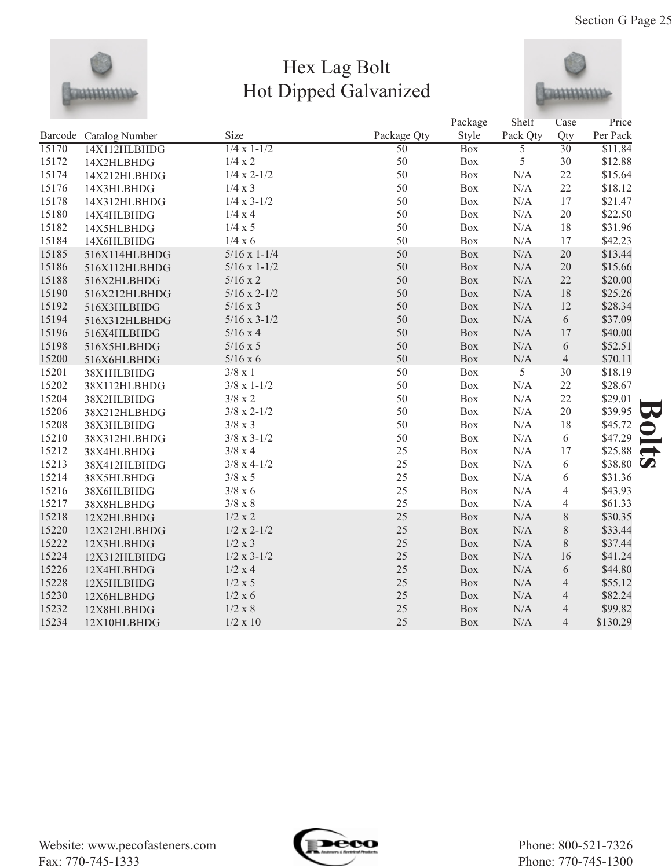

## Hex Lag Bolt Hot Dipped Galvanized



|       |                        |                       |                 | Package    | Shelf          | Case                     | Price    |
|-------|------------------------|-----------------------|-----------------|------------|----------------|--------------------------|----------|
|       | Barcode Catalog Number | Size                  | Package Qty     | Style      | Pack Qty       | Qty                      | Per Pack |
| 15170 | 14X112HLBHDG           | $1/4 \times 1 - 1/2$  | $\overline{50}$ | <b>Box</b> | $\overline{5}$ | $\overline{30}$          | \$11.84  |
| 15172 | 14X2HLBHDG             | 1/4 x 2               | 50              | Box        | 5              | 30                       | \$12.88  |
| 15174 | 14X212HLBHDG           | $1/4 \times 2 - 1/2$  | 50              | Box        | N/A            | 22                       | \$15.64  |
| 15176 | 14X3HLBHDG             | $1/4 \times 3$        | 50              | Box        | N/A            | 22                       | \$18.12  |
| 15178 | 14X312HLBHDG           | $1/4 \times 3 - 1/2$  | 50              | Box        | N/A            | 17                       | \$21.47  |
| 15180 | 14X4HLBHDG             | 1/4 x 4               | 50              | Box        | N/A            | 20                       | \$22.50  |
| 15182 | 14X5HLBHDG             | $1/4 \times 5$        | 50              | Box        | $\rm N/A$      | 18                       | \$31.96  |
| 15184 | 14X6HLBHDG             | 1/4 x 6               | 50              | Box        | $\rm N/A$      | 17                       | \$42.23  |
| 15185 | 516X114HLBHDG          | $5/16 \times 1 - 1/4$ | 50              | Box        | $\rm N/A$      | 20                       | \$13.44  |
| 15186 | 516X112HLBHDG          | $5/16 \times 1 - 1/2$ | 50              | Box        | N/A            | 20                       | \$15.66  |
| 15188 | 516X2HLBHDG            | $5/16 \times 2$       | 50              | Box        | N/A            | 22                       | \$20.00  |
| 15190 | 516X212HLBHDG          | $5/16 \times 2 - 1/2$ | 50              | <b>Box</b> | N/A            | 18                       | \$25.26  |
| 15192 | 516X3HLBHDG            | $5/16 \times 3$       | 50              | Box        | $\rm N/A$      | 12                       | \$28.34  |
| 15194 | 516X312HLBHDG          | $5/16 \times 3 - 1/2$ | 50              | Box        | $\rm N/A$      | 6                        | \$37.09  |
| 15196 | 516X4HLBHDG            | $5/16 \times 4$       | 50              | Box        | N/A            | 17                       | \$40.00  |
| 15198 | 516X5HLBHDG            | $5/16 \times 5$       | 50              | Box        | N/A            | 6                        | \$52.51  |
| 15200 | 516X6HLBHDG            | $5/16 \times 6$       | 50              | <b>Box</b> | N/A            | $\overline{4}$           | \$70.11  |
| 15201 | 38X1HLBHDG             | $3/8 \times 1$        | 50              | Box        | 5              | 30                       | \$18.19  |
| 15202 | 38X112HLBHDG           | $3/8 \times 1 - 1/2$  | 50              | Box        | N/A            | 22                       | \$28.67  |
| 15204 | 38X2HLBHDG             | $3/8 \ge 2$           | 50              | Box        | $\rm N/A$      | 22                       | \$29.01  |
| 15206 | 38X212HLBHDG           | $3/8 \times 2 - 1/2$  | 50              | Box        | $\rm N/A$      | 20                       | \$39.95  |
| 15208 | 38X3HLBHDG             | $3/8 \times 3$        | 50              | Box        | N/A            | 18                       | \$45.72  |
| 15210 | 38X312HLBHDG           | $3/8 \times 3 - 1/2$  | 50              | Box        | N/A            | 6                        | \$47.29  |
| 15212 | 38X4HLBHDG             | $3/8 \times 4$        | 25              | Box        | N/A            | 17                       | \$25.88  |
| 15213 | 38X412HLBHDG           | $3/8 \times 4 - 1/2$  | 25              | Box        | N/A            | 6                        | \$38.80  |
| 15214 | 38X5HLBHDG             | $3/8 \ge 5$           | 25              | Box        | $\rm N/A$      | 6                        | \$31.36  |
| 15216 | 38X6HLBHDG             | $3/8 \times 6$        | 25              | Box        | $\rm N/A$      | 4                        | \$43.93  |
| 15217 | 38X8HLBHDG             | $3/8 \ge 8$           | 25              | Box        | N/A            | $\overline{\mathcal{L}}$ | \$61.33  |
| 15218 | 12X2HLBHDG             | 1/2 x 2               | 25              | Box        | N/A            | 8                        | \$30.35  |
| 15220 | 12X212HLBHDG           | $1/2 x 2-1/2$         | 25              | Box        | N/A            | 8                        | \$33.44  |
| 15222 | 12X3HLBHDG             | 1/2 x 3               | 25              | Box        | N/A            | 8                        | \$37.44  |
| 15224 | 12X312HLBHDG           | $1/2 \times 3 - 1/2$  | 25              | Box        | $\rm N/A$      | 16                       | \$41.24  |
| 15226 | 12X4HLBHDG             | 1/2 x 4               | 25              | Box        | $\rm N/A$      | 6                        | \$44.80  |
| 15228 | 12X5HLBHDG             | 1/2 x 5               | 25              | Box        | $\rm N/A$      | $\overline{4}$           | \$55.12  |
| 15230 | 12X6HLBHDG             | 1/2 x 6               | 25              | Box        | $\rm N/A$      | $\overline{4}$           | \$82.24  |
| 15232 | 12X8HLBHDG             | $1/2 \ge 8$           | 25              | Box        | N/A            | $\overline{4}$           | \$99.82  |
| 15234 | 12X10HLBHDG            | $1/2 \times 10$       | 25              | <b>Box</b> | N/A            | $\overline{4}$           | \$130.29 |

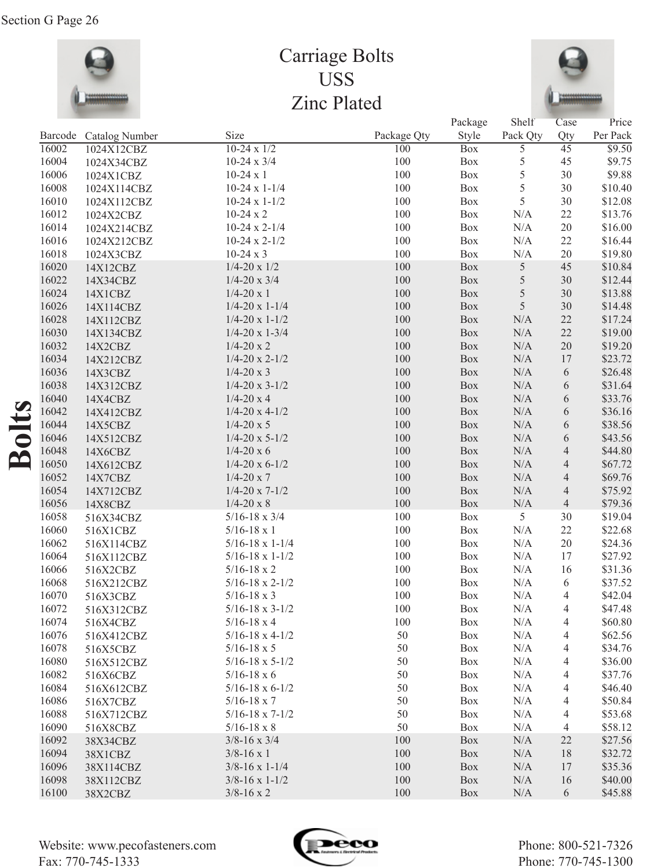

## Carriage Bolts USS Zinc Plated



|         |                |                                                    |             | Package    | Shelf          | Case            | Price              |
|---------|----------------|----------------------------------------------------|-------------|------------|----------------|-----------------|--------------------|
| Barcode | Catalog Number | Size                                               | Package Qty | Style      | Pack Qty       | Qty             | Per Pack           |
| 16002   | 1024X12CBZ     | $10-24 \times 1/2$                                 | 100         | <b>Box</b> | $\overline{5}$ | $\overline{45}$ | $\overline{$9.50}$ |
| 16004   | 1024X34CBZ     | $10-24 \times 3/4$                                 | 100         | Box        | 5              | 45              | \$9.75             |
| 16006   | 1024X1CBZ      | $10-24 \times 1$                                   | 100         | Box        | 5              | 30              | \$9.88             |
| 16008   | 1024X114CBZ    | $10-24 \times 1-1/4$                               | 100         | Box        | 5              | 30              | \$10.40            |
| 16010   | 1024X112CBZ    | $10-24 \times 1-1/2$                               | 100         | Box        | 5              | 30              | \$12.08            |
| 16012   | 1024X2CBZ      | $10-24 \times 2$                                   | 100         | Box        | N/A            | 22              | \$13.76            |
| 16014   | 1024X214CBZ    | $10-24 \times 2-1/4$                               | 100         | Box        | N/A            | 20              | \$16.00            |
| 16016   | 1024X212CBZ    | $10-24 \times 2-1/2$                               | 100         | Box        | N/A            | 22              | \$16.44            |
| 16018   | 1024X3CBZ      | $10-24 \times 3$                                   | 100         | Box        | N/A            | 20              | \$19.80            |
| 16020   | 14X12CBZ       | $1/4 - 20 \times 1/2$                              | 100         | Box        | $\mathfrak s$  | 45              | \$10.84            |
| 16022   | 14X34CBZ       | $1/4 - 20 \times 3/4$                              | 100         | Box        | $\sqrt{5}$     | 30              | \$12.44            |
| 16024   | 14X1CBZ        | $1/4 - 20x1$                                       | 100         | Box        | $\sqrt{5}$     | 30              | \$13.88            |
| 16026   | 14X114CBZ      | $1/4 - 20 \times 1 - 1/4$                          | 100         | Box        | 5              | 30              | \$14.48            |
| 16028   | 14X112CBZ      | $1/4 - 20 \times 1 - 1/2$                          | 100         | Box        | N/A            | 22              | \$17.24            |
| 16030   | 14X134CBZ      | $1/4 - 20 \times 1 - 3/4$                          | 100         | Box        | $\rm N/A$      | 22              | \$19.00            |
| 16032   | 14X2CBZ        | $1/4 - 20x2$                                       | 100         | Box        | $\rm N/A$      | 20              | \$19.20            |
| 16034   | 14X212CBZ      | $1/4 - 20 \times 2 - 1/2$                          | 100         | Box        | $\rm N/A$      | 17              | \$23.72            |
| 16036   | 14X3CBZ        | $1/4 - 20x3$                                       | 100         | Box        | $\rm N/A$      | 6               | \$26.48            |
| 16038   | 14X312CBZ      | $1/4 - 20 \times 3 - 1/2$                          | 100         | Box        | $\rm N/A$      | 6               | \$31.64            |
| 16040   | 14X4CBZ        | $1/4 - 20x4$                                       | 100         | Box        | $\rm N/A$      | 6               | \$33.76            |
| 16042   | 14X412CBZ      | $1/4 - 20 \times 4 - 1/2$                          | 100         | Box        | $\rm N/A$      | 6               | \$36.16            |
| 16044   | 14X5CBZ        | $1/4 - 20 \times 5$                                | 100         | Box        | $\rm N/A$      | 6               | \$38.56            |
| 16046   | 14X512CBZ      | $1/4 - 20 \times 5 - 1/2$                          | 100         | Box        | $\rm N/A$      | 6               | \$43.56            |
| 16048   | 14X6CBZ        | $1/4 - 20x6$                                       | 100         | Box        | $\rm N/A$      | 4               | \$44.80            |
| 16050   | 14X612CBZ      | $1/4 - 20 \times 6 - 1/2$                          | 100         | Box        | $\rm N/A$      | 4               | \$67.72            |
| 16052   | 14X7CBZ        | $1/4 - 20 \times 7$                                | 100         | Box        | $\rm N/A$      | 4               | \$69.76            |
| 16054   | 14X712CBZ      | $1/4 - 20 \times 7 - 1/2$                          | 100         | Box        | N/A            | 4               | \$75.92            |
| 16056   | 14X8CBZ        | $1/4 - 20 \times 8$                                | 100         | Box        | N/A            | $\overline{4}$  | \$79.36            |
| 16058   | 516X34CBZ      | $5/16 - 18 \times 3/4$                             | 100         | Box        | 5              | 30              | \$19.04            |
| 16060   | 516X1CBZ       | $5/16 - 18 \times 1$                               | 100         | Box        | N/A            | 22              | \$22.68            |
| 16062   | 516X114CBZ     | $5/16 - 18 \times 1 - 1/4$                         | 100         | Box        | N/A            | 20              | \$24.36            |
| 16064   | 516X112CBZ     | $5/16 - 18 \times 1 - 1/2$                         | 100         | Box        | N/A            | 17              | \$27.92            |
| 16066   |                | $5/16 - 18 \times 2$                               | 100         | Box        | N/A            | 16              | \$31.36            |
| 16068   | 516X2CBZ       | $5/16 - 18 \times 2 - 1/2$                         | 100         | Box        | N/A            | 6               | \$37.52            |
| 16070   | 516X212CBZ     | $5/16 - 18 \times 3$                               | 100         | Box        | N/A            | 4               | \$42.04            |
| 16072   | 516X3CBZ       | $5/16 - 18 \times 3 - 1/2$                         | $100\,$     |            |                | $\Delta$        |                    |
|         | 516X312CBZ     |                                                    |             | Box        | N/A            |                 | \$47.48            |
| 16074   | 516X4CBZ       | $5/16 - 18 \times 4$<br>$5/16 - 18 \times 4 - 1/2$ | 100<br>50   | Box        | N/A            | 4               | \$60.80            |
| 16076   | 516X412CBZ     |                                                    |             | Box        | N/A            | 4               | \$62.56            |
| 16078   | 516X5CBZ       | $5/16 - 18 \times 5$                               | 50          | Box        | N/A            | 4               | \$34.76            |
| 16080   | 516X512CBZ     | $5/16 - 18 \times 5 - 1/2$                         | 50          | Box        | N/A            | 4               | \$36.00            |
| 16082   | 516X6CBZ       | $5/16 - 18 \times 6$                               | 50          | Box        | N/A            | 4               | \$37.76            |
| 16084   | 516X612CBZ     | $5/16 - 18 \times 6 - 1/2$                         | 50          | Box        | N/A            | 4               | \$46.40            |
| 16086   | 516X7CBZ       | $5/16 - 18 \times 7$                               | 50          | Box        | N/A            | 4               | \$50.84            |
| 16088   | 516X712CBZ     | $5/16 - 18 \times 7 - 1/2$                         | 50          | <b>Box</b> | N/A            | 4               | \$53.68            |
| 16090   | 516X8CBZ       | $5/16 - 18 \times 8$                               | 50          | <b>Box</b> | N/A            | 4               | \$58.12            |
| 16092   | 38X34CBZ       | $3/8 - 16 \times 3/4$                              | 100         | Box        | N/A            | 22              | \$27.56            |
| 16094   | 38X1CBZ        | $3/8 - 16 \times 1$                                | 100         | Box        | N/A            | 18              | \$32.72            |
| 16096   | 38X114CBZ      | $3/8 - 16 \times 1 - 1/4$                          | 100         | Box        | N/A            | 17              | \$35.36            |
| 16098   | 38X112CBZ      | $3/8 - 16 \times 1 - 1/2$                          | 100         | Box        | N/A            | 16              | \$40.00            |
| 16100   | 38X2CBZ        | $3/8 - 16 \times 2$                                | 100         | Box        | $\rm N/A$      | 6               | \$45.88            |

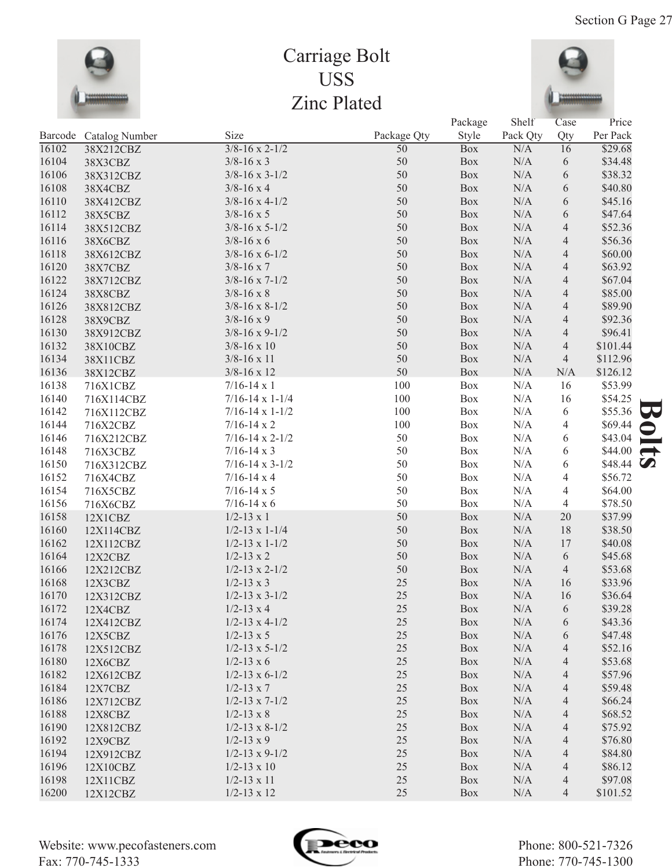

## Carriage Bolt USS Zinc Plated



|       |                        |                            |                 | Package    | Shelf     | Case           | Price             |
|-------|------------------------|----------------------------|-----------------|------------|-----------|----------------|-------------------|
|       | Barcode Catalog Number | Size                       | Package Qty     | Style      | Pack Qty  | Qty            | Per Pack          |
| 16102 | 38X212CBZ              | $3/8 - 16 \times 2 - 1/2$  | $\overline{50}$ | <b>Box</b> | N/A       | 16             | \$29.68           |
| 16104 | 38X3CBZ                | $3/8 - 16 \times 3$        | 50              | Box        | N/A       | 6              | \$34.48           |
| 16106 | 38X312CBZ              | $3/8 - 16 \times 3 - 1/2$  | 50              | Box        | N/A       | 6              | \$38.32           |
| 16108 | 38X4CBZ                | $3/8 - 16 \times 4$        | 50              | Box        | N/A       | 6              | \$40.80           |
| 16110 | 38X412CBZ              | $3/8 - 16 \times 4 - 1/2$  | 50              | Box        | N/A       | 6              | \$45.16           |
| 16112 | 38X5CBZ                | $3/8 - 16 \times 5$        | 50              | Box        | N/A       | 6              | \$47.64           |
| 16114 | 38X512CBZ              | $3/8 - 16 \times 5 - 1/2$  | 50              | Box        | N/A       | $\overline{4}$ | \$52.36           |
| 16116 | 38X6CBZ                | $3/8 - 16 \times 6$        | 50              | Box        | N/A       | $\overline{4}$ | \$56.36           |
| 16118 | 38X612CBZ              | $3/8 - 16 \times 6 - 1/2$  | 50              | Box        | N/A       | $\overline{4}$ | \$60.00           |
| 16120 | 38X7CBZ                | $3/8 - 16 \times 7$        | 50              | Box        | N/A       | $\overline{4}$ | \$63.92           |
| 16122 | 38X712CBZ              | $3/8 - 16 \times 7 - 1/2$  | 50              | Box        | N/A       | $\overline{4}$ | \$67.04           |
| 16124 | 38X8CBZ                | $3/8 - 16 \times 8$        | 50              | Box        | N/A       | $\overline{4}$ | \$85.00           |
| 16126 | 38X812CBZ              | $3/8 - 16 \times 8 - 1/2$  | 50              | Box        | N/A       | $\overline{4}$ | \$89.90           |
| 16128 | 38X9CBZ                | $3/8 - 16 \times 9$        | 50              | Box        | N/A       | $\overline{4}$ | \$92.36           |
| 16130 | 38X912CBZ              | $3/8 - 16 \times 9 - 1/2$  | 50              | Box        | N/A       | $\overline{4}$ | \$96.41           |
| 16132 | 38X10CBZ               | $3/8 - 16 \times 10$       | 50              | Box        | N/A       | $\overline{4}$ | \$101.44          |
| 16134 | 38X11CBZ               | $3/8 - 16 \times 11$       | 50              | Box        | N/A       | $\overline{4}$ | \$112.96          |
| 16136 | 38X12CBZ               | $3/8 - 16 \times 12$       | 50              | Box        | N/A       | N/A            | \$126.12          |
| 16138 | 716X1CBZ               | $7/16 - 14 \times 1$       | 100             | Box        | N/A       | 16             | \$53.99           |
| 16140 | 716X114CBZ             | $7/16 - 14 \times 1 - 1/4$ | 100             | Box        | N/A       | 16             | \$54.25           |
| 16142 | 716X112CBZ             | $7/16 - 14 \times 1 - 1/2$ | 100             | Box        | N/A       | 6              | \$55.36           |
| 16144 | 716X2CBZ               | $7/16 - 14 \times 2$       | 100             | Box        | N/A       | 4              | \$69.44           |
| 16146 | 716X212CBZ             | $7/16 - 14 \times 2 - 1/2$ | 50              | Box        | N/A       | 6              | \$43.04           |
| 16148 | 716X3CBZ               | $7/16 - 14 \times 3$       | 50              | Box        | N/A       | 6              | \$44.00           |
| 16150 | 716X312CBZ             | $7/16 - 14 \times 3 - 1/2$ | 50              | Box        | N/A       | 6              | \$48.44 $\bullet$ |
| 16152 | 716X4CBZ               | $7/16 - 14 \times 4$       | 50              | Box        | N/A       | 4              | \$56.72           |
| 16154 | 716X5CBZ               | $7/16 - 14 \times 5$       | 50              | Box        | N/A       | 4              | \$64.00           |
| 16156 | 716X6CBZ               | $7/16 - 14 \times 6$       | 50              | Box        | N/A       | $\overline{4}$ | \$78.50           |
| 16158 | 12X1CBZ                | $1/2 - 13 \times 1$        | 50              | Box        | N/A       | 20             | \$37.99           |
| 16160 | 12X114CBZ              | $1/2 - 13 \times 1 - 1/4$  | 50              | Box        | N/A       | 18             | \$38.50           |
| 16162 | 12X112CBZ              | $1/2 - 13 \times 1 - 1/2$  | 50              | Box        | N/A       | 17             | \$40.08           |
| 16164 | 12X2CBZ                | $1/2 - 13 \times 2$        | 50              | Box        | N/A       | 6              | \$45.68           |
| 16166 | 12X212CBZ              | $1/2 - 13 \times 2 - 1/2$  | 50              | Box        | N/A       | $\overline{4}$ | \$53.68           |
| 16168 | 12X3CBZ                | $1/2 - 13 \times 3$        | 25              | Box        | N/A       | 16             | \$33.96           |
| 16170 | 12X312CBZ              | $1/2 - 13 \times 3 - 1/2$  | 25              | Box        | N/A       | 16             | \$36.64           |
| 16172 | 12X4CBZ                | $1/2 - 13 \times 4$        | $25\,$          | Box        | $\rm N/A$ | 6              | \$39.28           |
| 16174 | 12X412CBZ              | $1/2 - 13 \times 4 - 1/2$  | 25              | Box        | N/A       | 6              | \$43.36           |
| 16176 | 12X5CBZ                | $1/2 - 13 \times 5$        | 25              | <b>Box</b> | N/A       | 6              | \$47.48           |
| 16178 | 12X512CBZ              | $1/2 - 13 \times 5 - 1/2$  | 25              | <b>Box</b> | N/A       | 4              | \$52.16           |
| 16180 | 12X6CBZ                | $1/2 - 13 \times 6$        | 25              | <b>Box</b> | N/A       | 4              | \$53.68           |
| 16182 | 12X612CBZ              | $1/2 - 13 \times 6 - 1/2$  | 25              | Box        | N/A       | 4              | \$57.96           |
| 16184 | 12X7CBZ                | $1/2 - 13 \times 7$        | 25              | Box        | N/A       | 4              | \$59.48           |
| 16186 | 12X712CBZ              | $1/2 - 13 \times 7 - 1/2$  | 25              | Box        | N/A       | 4              | \$66.24           |
| 16188 | 12X8CBZ                | $1/2 - 13 \times 8$        | 25              | Box        | N/A       | 4              | \$68.52           |
| 16190 | 12X812CBZ              | $1/2 - 13 \times 8 - 1/2$  | 25              | Box        | N/A       | 4              | \$75.92           |
| 16192 | 12X9CBZ                | $1/2 - 13 \times 9$        | 25              | Box        | N/A       | 4              | \$76.80           |
| 16194 | 12X912CBZ              | $1/2 - 13 \times 9 - 1/2$  | 25              | Box        | N/A       | 4              | \$84.80           |
| 16196 | 12X10CBZ               | $1/2 - 13 \times 10$       | 25              | Box        | N/A       | 4              | \$86.12           |
| 16198 | 12X11CBZ               | $1/2 - 13 \times 11$       | 25              | Box        | N/A       | 4              | \$97.08           |
| 16200 | 12X12CBZ               | $1/2 - 13 \times 12$       | 25              | Box        | N/A       | 4              | \$101.52          |

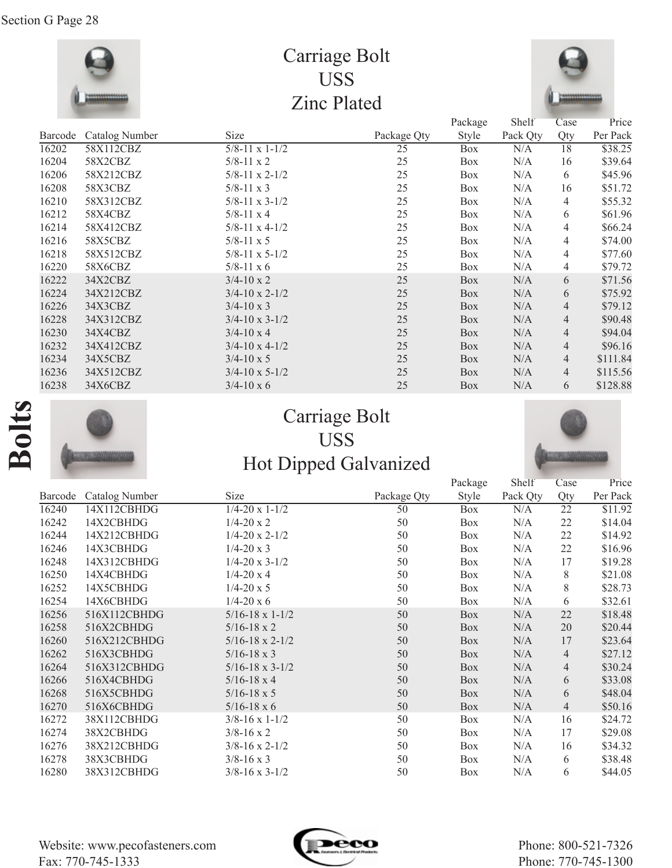

## Carriage Bolt USS Zinc Plated



|         |                       |                           |             | Package      | Shelf    | Case | Price    |
|---------|-----------------------|---------------------------|-------------|--------------|----------|------|----------|
| Barcode | <b>Catalog Number</b> | Size                      | Package Qty | <b>Style</b> | Pack Qty | Qty  | Per Pack |
| 16202   | 58X112CBZ             | $\frac{5}{8-11}$ x 1-1/2  | 25          | <b>Box</b>   | N/A      | 18   | \$38.25  |
| 16204   | 58X2CBZ               | $5/8 - 11 \times 2$       | 25          | <b>Box</b>   | N/A      | 16   | \$39.64  |
| 16206   | 58X212CBZ             | $5/8 - 11 \times 2 - 1/2$ | 25          | Box          | N/A      | 6    | \$45.96  |
| 16208   | 58X3CBZ               | $5/8 - 11 \times 3$       | 25          | <b>Box</b>   | N/A      | 16   | \$51.72  |
| 16210   | 58X312CBZ             | $5/8 - 11 \times 3 - 1/2$ | 25          | Box          | N/A      | 4    | \$55.32  |
| 16212   | 58X4CBZ               | $5/8 - 11 \times 4$       | 25          | Box          | N/A      | 6    | \$61.96  |
| 16214   | 58X412CBZ             | $5/8 - 11 \times 4 - 1/2$ | 25          | Box          | N/A      | 4    | \$66.24  |
| 16216   | 58X5CBZ               | $5/8 - 11 \times 5$       | 25          | Box          | N/A      | 4    | \$74.00  |
| 16218   | 58X512CBZ             | $5/8 - 11 \times 5 - 1/2$ | 25          | <b>Box</b>   | N/A      | 4    | \$77.60  |
| 16220   | 58X6CBZ               | $5/8 - 11 \times 6$       | 25          | Box          | N/A      | 4    | \$79.72  |
| 16222   | 34X2CBZ               | $3/4 - 10 \times 2$       | 25          | Box          | N/A      | 6    | \$71.56  |
| 16224   | 34X212CBZ             | $3/4 - 10 \times 2 - 1/2$ | 25          | Box          | N/A      | 6    | \$75.92  |
| 16226   | 34X3CBZ               | $3/4 - 10 \times 3$       | 25          | Box          | N/A      | 4    | \$79.12  |
| 16228   | 34X312CBZ             | $3/4 - 10 \times 3 - 1/2$ | 25          | Box          | N/A      | 4    | \$90.48  |
| 16230   | 34X4CBZ               | $3/4 - 10 \times 4$       | 25          | Box          | N/A      | 4    | \$94.04  |
| 16232   | 34X412CBZ             | $3/4 - 10 \times 4 - 1/2$ | 25          | Box          | N/A      | 4    | \$96.16  |
| 16234   | 34X5CBZ               | $3/4 - 10 \times 5$       | 25          | Box          | N/A      | 4    | \$111.84 |
| 16236   | 34X512CBZ             | $3/4 - 10 \times 5 - 1/2$ | 25          | Box          | N/A      | 4    | \$115.56 |
| 16238   | 34X6CBZ               | $3/4 - 10 \times 6$       | 25          | Box          | N/A      | 6    | \$128.88 |

# **Bolts**



## Carriage Bolt USS Hot Dipped Galvanized



|         |                |                                |             | Package    | Shelf    | Case            | Price    |
|---------|----------------|--------------------------------|-------------|------------|----------|-----------------|----------|
| Barcode | Catalog Number | <b>Size</b>                    | Package Qty | Style      | Pack Qty | Qty             | Per Pack |
| 16240   | 14X112CBHDG    | $\frac{1}{4-20 \times 1}$ -1/2 | 50          | <b>Box</b> | N/A      | $\overline{22}$ | \$11.92  |
| 16242   | 14X2CBHDG      | $1/4 - 20 \times 2$            | 50          | Box        | N/A      | 22              | \$14.04  |
| 16244   | 14X212CBHDG    | $1/4 - 20 \times 2 - 1/2$      | 50          | <b>Box</b> | N/A      | 22              | \$14.92  |
| 16246   | 14X3CBHDG      | $1/4 - 20 \times 3$            | 50          | Box        | N/A      | 22              | \$16.96  |
| 16248   | 14X312CBHDG    | $1/4 - 20 \times 3 - 1/2$      | 50          | Box        | N/A      | 17              | \$19.28  |
| 16250   | 14X4CBHDG      | $1/4 - 20 \times 4$            | 50          | Box        | N/A      | 8               | \$21.08  |
| 16252   | 14X5CBHDG      | $1/4 - 20 \times 5$            | 50          | <b>Box</b> | N/A      | 8               | \$28.73  |
| 16254   | 14X6CBHDG      | $1/4 - 20 \times 6$            | 50          | Box        | N/A      | 6               | \$32.61  |
| 16256   | 516X112CBHDG   | $5/16 - 18 \times 1 - 1/2$     | 50          | Box        | N/A      | 22              | \$18.48  |
| 16258   | 516X2CBHDG     | $5/16 - 18 \times 2$           | 50          | Box        | N/A      | 20              | \$20.44  |
| 16260   | 516X212CBHDG   | $5/16 - 18 \times 2 - 1/2$     | 50          | Box        | N/A      | 17              | \$23.64  |
| 16262   | 516X3CBHDG     | $5/16 - 18 \times 3$           | 50          | Box        | N/A      | $\overline{4}$  | \$27.12  |
| 16264   | 516X312CBHDG   | $5/16 - 18 \times 3 - 1/2$     | 50          | Box        | N/A      | 4               | \$30.24  |
| 16266   | 516X4CBHDG     | $5/16 - 18 \times 4$           | 50          | Box        | N/A      | 6               | \$33.08  |
| 16268   | 516X5CBHDG     | $5/16 - 18 \times 5$           | 50          | Box        | N/A      | 6               | \$48.04  |
| 16270   | 516X6CBHDG     | $5/16 - 18 \times 6$           | 50          | Box        | N/A      | 4               | \$50.16  |
| 16272   | 38X112CBHDG    | $3/8 - 16 \times 1 - 1/2$      | 50          | Box        | N/A      | 16              | \$24.72  |
| 16274   | 38X2CBHDG      | $3/8 - 16 \times 2$            | 50          | Box        | N/A      | 17              | \$29.08  |
| 16276   | 38X212CBHDG    | $3/8 - 16 \times 2 - 1/2$      | 50          | Box        | N/A      | 16              | \$34.32  |
| 16278   | 38X3CBHDG      | $3/8 - 16 \times 3$            | 50          | Box        | N/A      | 6               | \$38.48  |
| 16280   | 38X312CBHDG    | $3/8 - 16 \times 3 - 1/2$      | 50          | <b>Box</b> | N/A      | 6               | \$44.05  |

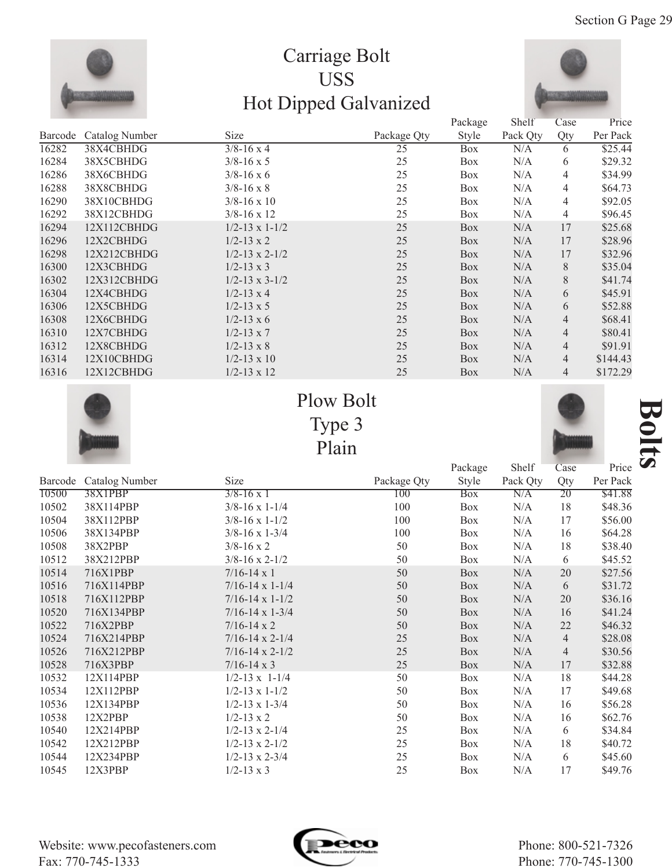

## Carriage Bolt USS Hot Dipped Galvanized



|         |                       |                           |             | Package    | Shelf    | Case           | Price    |
|---------|-----------------------|---------------------------|-------------|------------|----------|----------------|----------|
| Barcode | <b>Catalog Number</b> | Size                      | Package Qty | Style      | Pack Qty | Qty            | Per Pack |
| 16282   | 38X4CBHDG             | $3/8 - 16 \times 4$       | 25          | <b>Box</b> | N/A      | 6              | \$25.44  |
| 16284   | 38X5CBHDG             | $3/8 - 16 \times 5$       | 25          | <b>Box</b> | N/A      | 6              | \$29.32  |
| 16286   | 38X6CBHDG             | $3/8 - 16 \times 6$       | 25          | Box        | N/A      | 4              | \$34.99  |
| 16288   | 38X8CBHDG             | $3/8 - 16 \times 8$       | 25          | <b>Box</b> | N/A      | 4              | \$64.73  |
| 16290   | 38X10CBHDG            | $3/8 - 16 \times 10$      | 25          | Box        | N/A      | 4              | \$92.05  |
| 16292   | 38X12CBHDG            | $3/8 - 16 \times 12$      | 25          | Box        | N/A      | 4              | \$96.45  |
| 16294   | 12X112CBHDG           | $1/2 - 13 \times 1 - 1/2$ | 25          | <b>Box</b> | N/A      | 17             | \$25.68  |
| 16296   | 12X2CBHDG             | $1/2 - 13 \times 2$       | 25          | Box        | N/A      | 17             | \$28.96  |
| 16298   | 12X212CBHDG           | $1/2 - 13 \times 2 - 1/2$ | 25          | Box        | N/A      | 17             | \$32.96  |
| 16300   | 12X3CBHDG             | $1/2 - 13 \times 3$       | 25          | Box        | N/A      | 8              | \$35.04  |
| 16302   | 12X312CBHDG           | $1/2 - 13 \times 3 - 1/2$ | 25          | Box        | N/A      | 8              | \$41.74  |
| 16304   | 12X4CBHDG             | $1/2 - 13 \times 4$       | 25          | Box        | N/A      | 6              | \$45.91  |
| 16306   | 12X5CBHDG             | $1/2 - 13 \times 5$       | 25          | Box        | N/A      | 6              | \$52.88  |
| 16308   | 12X6CBHDG             | $1/2 - 13 \times 6$       | 25          | Box        | N/A      | 4              | \$68.41  |
| 16310   | 12X7CBHDG             | $1/2 - 13 \times 7$       | 25          | Box        | N/A      | 4              | \$80.41  |
| 16312   | 12X8CBHDG             | $1/2 - 13 \times 8$       | 25          | Box        | N/A      | 4              | \$91.91  |
| 16314   | 12X10CBHDG            | $1/2 - 13 \times 10$      | 25          | Box        | N/A      | $\overline{4}$ | \$144.43 |
| 16316   | 12X12CBHDG            | $1/2 - 13 \times 12$      | 25          | <b>Box</b> | N/A      | $\overline{4}$ | \$172.29 |







Price **B** 

|         |                |                            |             | Package    | Shelf    | Case           | Price    |
|---------|----------------|----------------------------|-------------|------------|----------|----------------|----------|
| Barcode | Catalog Number | Size                       | Package Qty | Style      | Pack Qty | Qty            | Per Pack |
| 10500   | <b>38X1PBP</b> | $\frac{3}{8-16}$ x 1       | 100         | <b>Box</b> | N/A      | 20             | \$41.88  |
| 10502   | 38X114PBP      | $3/8 - 16 \times 1 - 1/4$  | 100         | Box        | N/A      | 18             | \$48.36  |
| 10504   | 38X112PBP      | $3/8 - 16 \times 1 - 1/2$  | 100         | <b>Box</b> | N/A      | 17             | \$56.00  |
| 10506   | 38X134PBP      | $3/8 - 16 \times 1 - 3/4$  | 100         | Box        | N/A      | 16             | \$64.28  |
| 10508   | 38X2PBP        | $3/8 - 16 \times 2$        | 50          | Box        | N/A      | 18             | \$38.40  |
| 10512   | 38X212PBP      | $3/8 - 16 \times 2 - 1/2$  | 50          | Box        | N/A      | 6              | \$45.52  |
| 10514   | 716X1PBP       | $7/16 - 14 \times 1$       | 50          | Box        | N/A      | 20             | \$27.56  |
| 10516   | 716X114PBP     | $7/16 - 14 \times 1 - 1/4$ | 50          | Box        | N/A      | 6              | \$31.72  |
| 10518   | 716X112PBP     | $7/16 - 14 \times 1 - 1/2$ | 50          | Box        | N/A      | 20             | \$36.16  |
| 10520   | 716X134PBP     | $7/16 - 14 \times 1 - 3/4$ | 50          | Box        | N/A      | 16             | \$41.24  |
| 10522   | 716X2PBP       | $7/16 - 14 \times 2$       | 50          | Box        | N/A      | 22             | \$46.32  |
| 10524   | 716X214PBP     | $7/16 - 14 \times 2 - 1/4$ | 25          | Box        | N/A      | $\overline{4}$ | \$28.08  |
| 10526   | 716X212PBP     | $7/16 - 14 \times 2 - 1/2$ | 25          | Box        | N/A      | $\overline{4}$ | \$30.56  |
| 10528   | 716X3PBP       | $7/16 - 14 \times 3$       | 25          | <b>Box</b> | N/A      | 17             | \$32.88  |
| 10532   | 12X114PBP      | $1/2 - 13 \times 1 - 1/4$  | 50          | <b>Box</b> | N/A      | 18             | \$44.28  |
| 10534   | 12X112PBP      | $1/2 - 13 \times 1 - 1/2$  | 50          | Box        | N/A      | 17             | \$49.68  |
| 10536   | 12X134PBP      | $1/2 - 13 \times 1 - 3/4$  | 50          | Box        | N/A      | 16             | \$56.28  |
| 10538   | 12X2PBP        | $1/2 - 13 \times 2$        | 50          | Box        | N/A      | 16             | \$62.76  |
| 10540   | 12X214PBP      | $1/2 - 13 \times 2 - 1/4$  | 25          | Box        | N/A      | 6              | \$34.84  |
| 10542   | 12X212PBP      | $1/2 - 13 \times 2 - 1/2$  | 25          | Box        | N/A      | 18             | \$40.72  |
| 10544   | 12X234PBP      | $1/2 - 13 \times 2 - 3/4$  | 25          | Box        | N/A      | 6              | \$45.60  |
| 10545   | 12X3PBP        | $1/2 - 13 \times 3$        | 25          | Box        | N/A      | 17             | \$49.76  |

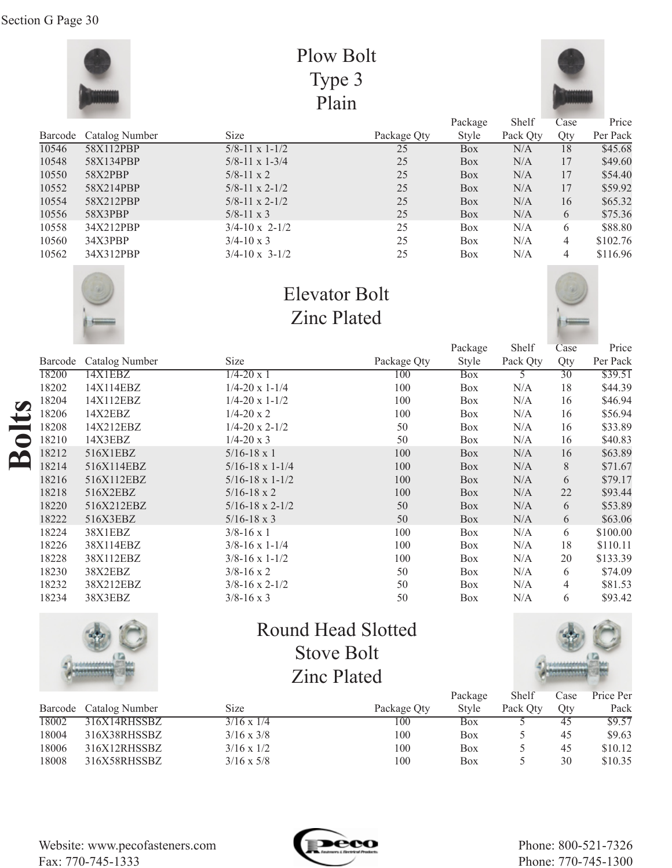|         |                |                           | Plow Bolt   |            |          |                |          |
|---------|----------------|---------------------------|-------------|------------|----------|----------------|----------|
|         |                |                           | Type 3      |            |          |                |          |
| Plain   |                |                           |             |            |          |                |          |
|         |                |                           |             | Package    | Shelf    | Case           | Price    |
| Barcode | Catalog Number | <b>Size</b>               | Package Qty | Style      | Pack Qty | Qty            | Per Pack |
| 10546   | 58X112PBP      | $5/8 - 11 \times 1 - 1/2$ | 25          | <b>Box</b> | N/A      | 18             | \$45.68  |
| 10548   | 58X134PBP      | $5/8 - 11 \times 1 - 3/4$ | 25          | <b>Box</b> | N/A      | 17             | \$49.60  |
| 10550   | 58X2PBP        | $5/8 - 11 \times 2$       | 25          | <b>Box</b> | N/A      | 17             | \$54.40  |
| 10552   | 58X214PBP      | $5/8 - 11 \times 2 - 1/2$ | 25          | Box        | N/A      | 17             | \$59.92  |
| 10554   | 58X212PBP      | $5/8 - 11 \times 2 - 1/2$ | 25          | Box        | N/A      | 16             | \$65.32  |
| 10556   | 58X3PBP        | $5/8 - 11 \times 3$       | 25          | Box        | N/A      | 6              | \$75.36  |
| 10558   | 34X212PBP      | $3/4 - 10 \times 2 - 1/2$ | 25          | <b>Box</b> | N/A      | 6              | \$88.80  |
| 10560   | 34X3PBP        | $3/4 - 10 \times 3$       | 25          | Box        | N/A      | $\overline{4}$ | \$102.76 |
| 10562   | 34X312PBP      | $3/4 - 10 \times 3 - 1/2$ | 25          | <b>Box</b> | N/A      | 4              | \$116.96 |



# Elevator Bolt Zinc Plated



Price Per Pack \$39.51 \$44.39 \$46.94 \$56.94 \$33.89 \$40.83 \$63.89 \$71.67 \$79.17 \$93.44 \$53.89 \$63.06 \$100.00 \$110.11 \$133.39 \$74.09 \$81.53 \$93.42

|           |         |                |                            |             | Package    | Shelf    | Case |
|-----------|---------|----------------|----------------------------|-------------|------------|----------|------|
|           | Barcode | Catalog Number | Size                       | Package Qty | Style      | Pack Qty | Qty  |
| $\bullet$ | 18200   | 14X1EBZ        | $1/4 - 20 \times 1$        | 100         | <b>Box</b> |          | 30   |
|           | 18202   | 14X114EBZ      | $1/4 - 20 \times 1 - 1/4$  | 100         | Box        | N/A      | 18   |
|           | 18204   | 14X112EBZ      | $1/4 - 20 \times 1 - 1/2$  | 100         | Box        | N/A      | 16   |
|           | 18206   | 14X2EBZ        | $1/4 - 20 \times 2$        | 100         | Box        | N/A      | 16   |
|           | 18208   | 14X212EBZ      | $1/4 - 20 \times 2 - 1/2$  | 50          | Box        | N/A      | 16   |
|           | 18210   | 14X3EBZ        | $1/4 - 20 \times 3$        | 50          | Box        | N/A      | 16   |
|           | 18212   | 516X1EBZ       | $5/16 - 18 \times 1$       | 100         | <b>Box</b> | N/A      | 16   |
|           | 18214   | 516X114EBZ     | $5/16 - 18 \times 1 - 1/4$ | 100         | <b>Box</b> | N/A      | 8    |
|           | 18216   | 516X112EBZ     | $5/16 - 18 \times 1 - 1/2$ | 100         | <b>Box</b> | N/A      | 6    |
|           | 18218   | 516X2EBZ       | $5/16 - 18 \times 2$       | 100         | <b>Box</b> | N/A      | 22   |
|           | 18220   | 516X212EBZ     | $5/16 - 18 \times 2 - 1/2$ | 50          | <b>Box</b> | N/A      | 6    |
|           | 18222   | 516X3EBZ       | $5/16 - 18 \times 3$       | 50          | <b>Box</b> | N/A      | 6    |
|           | 18224   | 38X1EBZ        | $3/8 - 16 \times 1$        | 100         | Box        | N/A      | 6    |
|           | 18226   | 38X114EBZ      | $3/8 - 16 \times 1 - 1/4$  | 100         | Box        | N/A      | 18   |
|           | 18228   | 38X112EBZ      | $3/8 - 16 \times 1 - 1/2$  | 100         | Box        | N/A      | 20   |
|           | 18230   | 38X2EBZ        | $3/8 - 16 \times 2$        | 50          | Box        | N/A      | 6    |

3/8-16 x 2-1/2 3/8-16 x 3



38X212EBZ 38X3EBZ

18232 18234

## Round Head Slotted Stove Bolt Zinc Plated

50 50 Box Box



4 6

N/A N/A

|       |                        |                   |             | Package    | Shelf    | Case | Price Per |
|-------|------------------------|-------------------|-------------|------------|----------|------|-----------|
|       | Barcode Catalog Number | Size              | Package Qty | Style      | Pack Otv | Otv  | Pack      |
| 18002 | 316X14RHSSBZ           | $3/16 \times 1/4$ | 100         | Box        |          | 45   | \$9.57    |
| 18004 | 316X38RHSSBZ           | $3/16 \times 3/8$ | 100         | <b>Box</b> |          | 45   | \$9.63    |
| 18006 | 316X12RHSSBZ           | $3/16 \times 1/2$ | 100         | Box        |          | 45   | \$10.12   |
| 18008 | 316X58RHSSBZ           | $3/16 \times 5/8$ | 100         | <b>Box</b> |          | 30   | \$10.35   |